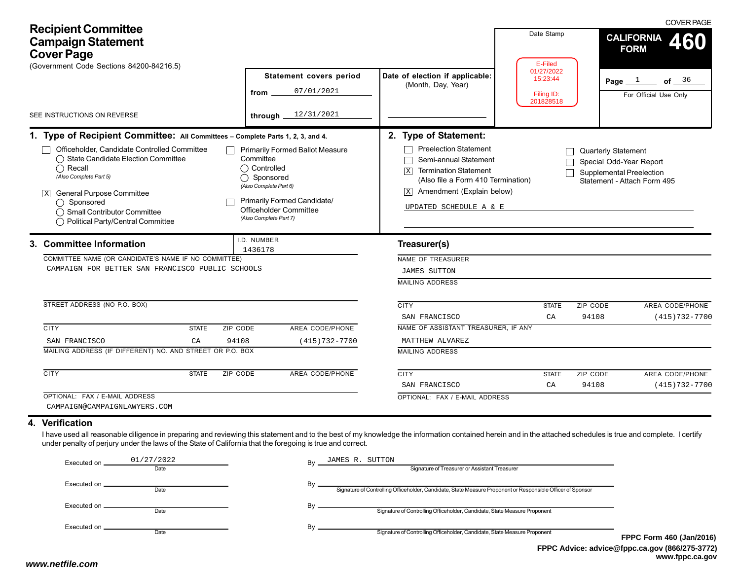| <b>Recipient Committee</b><br><b>Campaign Statement</b><br><b>Cover Page</b><br>(Government Code Sections 84200-84216.5)                                                                                                                                                                                                                                                                     |                                                                                                                                                                                                      | Date Stamp<br>E-Filed                                                                                                                                                                                                                            | <b>COVER PAGE</b><br><b>CALIFORNIA</b><br>460<br><b>FORM</b> |                                                                                                                        |
|----------------------------------------------------------------------------------------------------------------------------------------------------------------------------------------------------------------------------------------------------------------------------------------------------------------------------------------------------------------------------------------------|------------------------------------------------------------------------------------------------------------------------------------------------------------------------------------------------------|--------------------------------------------------------------------------------------------------------------------------------------------------------------------------------------------------------------------------------------------------|--------------------------------------------------------------|------------------------------------------------------------------------------------------------------------------------|
| SEE INSTRUCTIONS ON REVERSE                                                                                                                                                                                                                                                                                                                                                                  | <b>Statement covers period</b><br>07/01/2021<br>from<br>12/31/2021<br>through _                                                                                                                      | Date of election if applicable:<br>(Month, Day, Year)                                                                                                                                                                                            | 01/27/2022<br>15:23:44<br>Filing ID:<br>201828518            | Page $1$<br>of $36$<br>For Official Use Only                                                                           |
| 1. Type of Recipient Committee: All Committees - Complete Parts 1, 2, 3, and 4.<br>Officeholder, Candidate Controlled Committee<br>◯ State Candidate Election Committee<br>$\bigcap$ Recall<br>(Also Complete Part 5)<br>◯<br><b>General Purpose Committee</b><br>() Sponsored<br>◯ Small Contributor Committee<br>◯ Political Party/Central Committee                                       | <b>Primarily Formed Ballot Measure</b><br>Committee<br>◯ Controlled<br>Sponsored<br>(Also Complete Part 6)<br><b>Primarily Formed Candidate/</b><br>Officeholder Committee<br>(Also Complete Part 7) | 2. Type of Statement:<br><b>Preelection Statement</b><br>Semi-annual Statement<br><b>Termination Statement</b><br>$\overline{X}$<br>(Also file a Form 410 Termination)<br>Amendment (Explain below)<br>$\vert x \vert$<br>UPDATED SCHEDULE A & E |                                                              | Quarterly Statement<br>Special Odd-Year Report<br><b>Supplemental Preelection</b><br>Statement - Attach Form 495       |
| 3. Committee Information<br>COMMITTEE NAME (OR CANDIDATE'S NAME IF NO COMMITTEE)<br>CAMPAIGN FOR BETTER SAN FRANCISCO PUBLIC SCHOOLS                                                                                                                                                                                                                                                         | I.D. NUMBER<br>1436178                                                                                                                                                                               | Treasurer(s)<br>NAME OF TREASURER<br><b>JAMES SUTTON</b><br><b>MAILING ADDRESS</b>                                                                                                                                                               |                                                              |                                                                                                                        |
| STREET ADDRESS (NO P.O. BOX)<br><b>CITY</b><br>ZIP CODE<br><b>STATE</b><br>SAN FRANCISCO<br>94108<br>CA<br>MAILING ADDRESS (IF DIFFERENT) NO. AND STREET OR P.O. BOX<br><b>CITY</b><br><b>ZIP CODE</b><br><b>STATE</b><br>OPTIONAL: FAX / E-MAIL ADDRESS                                                                                                                                     | AREA CODE/PHONE<br>$(415)732 - 7700$<br>AREA CODE/PHONE                                                                                                                                              | <b>CITY</b><br>SAN FRANCISCO<br>NAME OF ASSISTANT TREASURER, IF ANY<br>MATTHEW ALVAREZ<br><b>MAILING ADDRESS</b><br><b>CITY</b><br>SAN FRANCISCO<br>OPTIONAL: FAX / E-MAIL ADDRESS                                                               | <b>STATE</b><br>CA<br><b>STATE</b><br>CA                     | ZIP CODE<br>AREA CODE/PHONE<br>94108<br>$(415)732 - 7700$<br>ZIP CODE<br>AREA CODE/PHONE<br>94108<br>$(415)732 - 7700$ |
| CAMPAIGN@CAMPAIGNLAWYERS.COM<br>4. Verification<br>I have used all reasonable diligence in preparing and reviewing this statement and to the best of my knowledge the information contained herein and in the attached schedules is true and complete. I certify<br>under penalty of perjury under the laws of the State of California that the foregoing is true and correct.<br>01/27/2002 | TAMES D STEEDAL                                                                                                                                                                                      |                                                                                                                                                                                                                                                  |                                                              |                                                                                                                        |

| Executed on _ | 01/27/2022 | JAMES R. SUTTON<br>Bv                                                                                       |            |
|---------------|------------|-------------------------------------------------------------------------------------------------------------|------------|
|               | Date       | Signature of Treasurer or Assistant Treasurer                                                               |            |
|               |            | Signature of Controlling Officeholder, Candidate, State Measure Proponent or Responsible Officer of Sponsor |            |
|               | Date       |                                                                                                             |            |
| Executed on   | Date       | Signature of Controlling Officeholder, Candidate, State Measure Proponent                                   |            |
|               |            |                                                                                                             |            |
|               | Date       | Bv<br>Signature of Controlling Officeholder, Candidate, State Measure Proponent                             |            |
|               |            |                                                                                                             | <b>FPP</b> |
|               |            | ______                                                                                                      |            |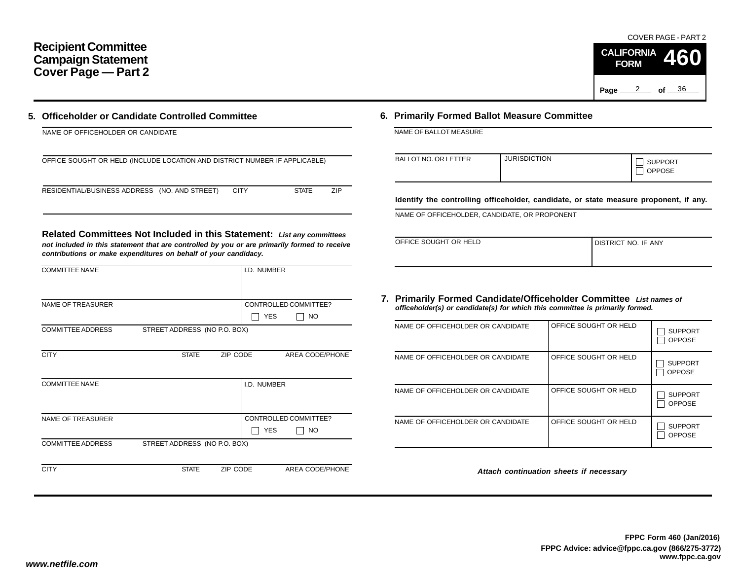## **Recipient Committee Campaign Statement Cover Page — Part 2**

Page <u>2</u> of 36 COVER PAGE - PART 2**CALIFORNIA FORM460**

| 5. Officeholder or Candidate Controlled Committee |
|---------------------------------------------------|
| NAME OF OFFICEHOLDER OR CANDIDATE                 |

| OFFICE SOUGHT OR HELD (INCLUDE LOCATION AND DISTRICT NUMBER IF APPLICABLE) |  |
|----------------------------------------------------------------------------|--|
|                                                                            |  |

RESIDENTIAL/BUSINESS ADDRESS (NO. AND STREET) CITY STATE ZIP

| Related Committees Not Included in this Statement: List any committees                       |  |
|----------------------------------------------------------------------------------------------|--|
| not included in this statement that are controlled by you or are primarily formed to receive |  |

*not included in this statement that are controlled by you or are primarily formed to receive contributions or make expenditures on behalf of your candidacy.*

| <b>COMMITTEE NAME</b>    |                              | I.D. NUMBER |                        |
|--------------------------|------------------------------|-------------|------------------------|
|                          |                              |             |                        |
| <b>NAME OF TREASURER</b> |                              |             | CONTROLLED COMMITTEE?  |
|                          |                              |             | <b>YES</b><br>NO       |
| <b>COMMITTEE ADDRESS</b> | STREET ADDRESS (NO P.O. BOX) |             |                        |
|                          |                              |             |                        |
| <b>CITY</b>              | <b>STATE</b>                 | ZIP CODE    | AREA CODE/PHONE        |
|                          |                              |             |                        |
| <b>COMMITTEE NAME</b>    |                              | I.D. NUMBER |                        |
|                          |                              |             |                        |
|                          |                              |             |                        |
| <b>NAME OF TREASURER</b> |                              |             | CONTROLLED COMMITTEE?  |
|                          |                              |             | <b>YES</b><br>NO       |
| <b>COMMITTEE ADDRESS</b> | STREET ADDRESS (NO P.O. BOX) |             |                        |
|                          |                              |             |                        |
| <b>CITY</b>              | <b>STATE</b>                 | ZIP CODE    | <b>AREA CODE/PHONE</b> |

## **6. Primarily Formed Ballot Measure Committee**

| <b>BALLOT NO. OR LETTER</b> | <b>JURISDICTION</b> | <b>SUPPORT</b><br><b>OPPOSE</b> |
|-----------------------------|---------------------|---------------------------------|
|                             |                     |                                 |

**Identify the controlling officeholder, candidate, or state measure proponent, if any.**

NAME OF OFFICEHOLDER, CANDIDATE, OR PROPONENT

| OFFICE SOUGHT OR HELD | I DISTRICT NO. IF ANY |
|-----------------------|-----------------------|
|                       |                       |

### **7. Primarily Formed Candidate/Officeholder Committee** *List names of officeholder(s) or candidate(s) for which this committee is primarily formed.*

| NAME OF OFFICEHOLDER OR CANDIDATE | OFFICE SOUGHT OR HELD | <b>SUPPORT</b><br><b>OPPOSE</b> |
|-----------------------------------|-----------------------|---------------------------------|
| NAME OF OFFICEHOLDER OR CANDIDATE | OFFICE SOUGHT OR HELD | <b>SUPPORT</b><br><b>OPPOSE</b> |
| NAME OF OFFICEHOLDER OR CANDIDATE | OFFICE SOUGHT OR HELD | <b>SUPPORT</b><br><b>OPPOSE</b> |
| NAME OF OFFICEHOLDER OR CANDIDATE | OFFICE SOUGHT OR HELD | <b>SUPPORT</b><br><b>OPPOSE</b> |

*Attach continuation sheets if necessary*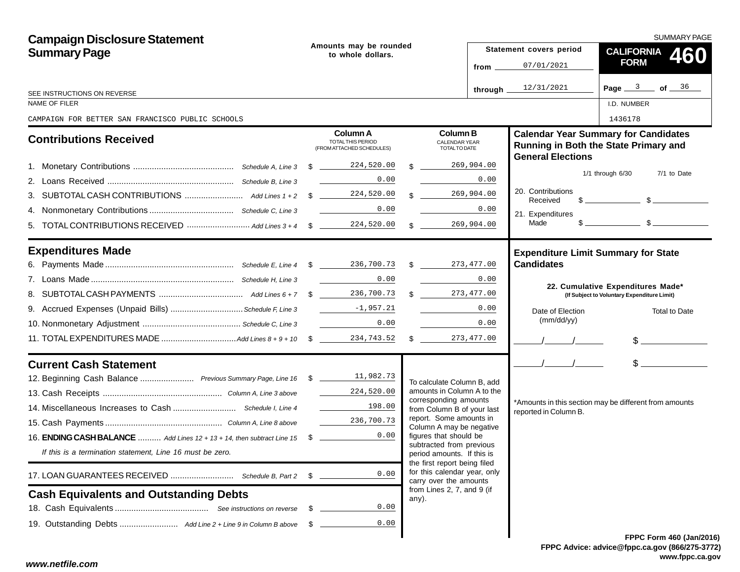| <b>Campaign Disclosure Statement</b>                                            |      |                                                                                                   |               |                                                                                        | <b>SUMMARY PAGE</b>              |                                                                 |                                                                                                                                                                                                                                                                                                                     |  |  |
|---------------------------------------------------------------------------------|------|---------------------------------------------------------------------------------------------------|---------------|----------------------------------------------------------------------------------------|----------------------------------|-----------------------------------------------------------------|---------------------------------------------------------------------------------------------------------------------------------------------------------------------------------------------------------------------------------------------------------------------------------------------------------------------|--|--|
| <b>Summary Page</b>                                                             |      | Amounts may be rounded<br>to whole dollars.                                                       |               |                                                                                        |                                  | Statement covers period                                         | <b>CALIFORNIA</b><br>460                                                                                                                                                                                                                                                                                            |  |  |
|                                                                                 |      |                                                                                                   | from $\equiv$ |                                                                                        |                                  | 07/01/2021                                                      | <b>FORM</b>                                                                                                                                                                                                                                                                                                         |  |  |
| SEE INSTRUCTIONS ON REVERSE                                                     |      |                                                                                                   |               |                                                                                        | through $\overline{\phantom{a}}$ | 12/31/2021                                                      | Page $3$ of $36$                                                                                                                                                                                                                                                                                                    |  |  |
| NAME OF FILER                                                                   |      |                                                                                                   |               |                                                                                        |                                  |                                                                 | I.D. NUMBER                                                                                                                                                                                                                                                                                                         |  |  |
| CAMPAIGN FOR BETTER SAN FRANCISCO PUBLIC SCHOOLS                                |      |                                                                                                   |               |                                                                                        |                                  |                                                                 | 1436178                                                                                                                                                                                                                                                                                                             |  |  |
| <b>Contributions Received</b>                                                   |      | Column A<br><b>TOTAL THIS PERIOD</b><br>(FROM ATTACHED SCHEDULES)                                 |               | <b>Column B</b><br><b>CALENDAR YEAR</b><br>TOTAL TO DATE                               |                                  | <b>General Elections</b>                                        | <b>Calendar Year Summary for Candidates</b><br>Running in Both the State Primary and                                                                                                                                                                                                                                |  |  |
|                                                                                 |      |                                                                                                   | $\mathcal{L}$ |                                                                                        | 269,904.00                       |                                                                 |                                                                                                                                                                                                                                                                                                                     |  |  |
|                                                                                 |      | 0.00                                                                                              |               |                                                                                        | 0.00                             |                                                                 | 1/1 through 6/30<br>7/1 to Date                                                                                                                                                                                                                                                                                     |  |  |
| З.                                                                              |      |                                                                                                   |               | $\frac{1}{2}$                                                                          | 269,904.00                       | 20. Contributions<br>Received                                   | $\frac{1}{2}$ $\frac{1}{2}$ $\frac{1}{2}$ $\frac{1}{2}$ $\frac{1}{2}$ $\frac{1}{2}$ $\frac{1}{2}$ $\frac{1}{2}$ $\frac{1}{2}$ $\frac{1}{2}$ $\frac{1}{2}$ $\frac{1}{2}$ $\frac{1}{2}$ $\frac{1}{2}$ $\frac{1}{2}$ $\frac{1}{2}$ $\frac{1}{2}$ $\frac{1}{2}$ $\frac{1}{2}$ $\frac{1}{2}$ $\frac{1}{2}$ $\frac{1}{2}$ |  |  |
|                                                                                 |      | 0.00<br>and the property of the control of                                                        |               |                                                                                        | 0.00                             | 21. Expenditures                                                |                                                                                                                                                                                                                                                                                                                     |  |  |
| 5.                                                                              |      |                                                                                                   |               | $\mathbb{S}$                                                                           | 269,904.00                       | Made                                                            | $\frac{1}{2}$ $\frac{1}{2}$ $\frac{1}{2}$ $\frac{1}{2}$ $\frac{1}{2}$ $\frac{1}{2}$ $\frac{1}{2}$ $\frac{1}{2}$ $\frac{1}{2}$ $\frac{1}{2}$ $\frac{1}{2}$ $\frac{1}{2}$ $\frac{1}{2}$ $\frac{1}{2}$ $\frac{1}{2}$ $\frac{1}{2}$ $\frac{1}{2}$ $\frac{1}{2}$ $\frac{1}{2}$ $\frac{1}{2}$ $\frac{1}{2}$ $\frac{1}{2}$ |  |  |
| <b>Expenditures Made</b>                                                        |      |                                                                                                   |               |                                                                                        |                                  | <b>Expenditure Limit Summary for State</b><br><b>Candidates</b> |                                                                                                                                                                                                                                                                                                                     |  |  |
|                                                                                 |      | 0.00                                                                                              |               |                                                                                        | 0.00                             |                                                                 |                                                                                                                                                                                                                                                                                                                     |  |  |
|                                                                                 |      |                                                                                                   |               | \$273,477.00                                                                           |                                  |                                                                 | 22. Cumulative Expenditures Made*<br>(If Subject to Voluntary Expenditure Limit)                                                                                                                                                                                                                                    |  |  |
|                                                                                 |      |                                                                                                   |               |                                                                                        | 0.00                             | Date of Election                                                | Total to Date                                                                                                                                                                                                                                                                                                       |  |  |
|                                                                                 |      | 0.00                                                                                              |               | <u>and a strong strong</u>                                                             | 0.00                             | (mm/dd/yy)                                                      |                                                                                                                                                                                                                                                                                                                     |  |  |
|                                                                                 |      |                                                                                                   |               |                                                                                        |                                  |                                                                 | $$$ $$$                                                                                                                                                                                                                                                                                                             |  |  |
| <b>Current Cash Statement</b>                                                   |      |                                                                                                   |               |                                                                                        |                                  | $\frac{1}{2}$                                                   | $\frac{1}{2}$                                                                                                                                                                                                                                                                                                       |  |  |
| 12. Beginning Cash Balance  Previous Summary Page, Line 16 \$ 11,982.73         |      |                                                                                                   |               | To calculate Column B, add                                                             |                                  |                                                                 |                                                                                                                                                                                                                                                                                                                     |  |  |
|                                                                                 |      | 224,520.00                                                                                        |               | amounts in Column A to the                                                             |                                  |                                                                 |                                                                                                                                                                                                                                                                                                                     |  |  |
|                                                                                 |      | $\mathcal{L}^{\text{max}}_{\text{max}}$ , where $\mathcal{L}^{\text{max}}_{\text{max}}$<br>198.00 |               | corresponding amounts<br>from Column B of your last                                    |                                  | reported in Column B.                                           | *Amounts in this section may be different from amounts                                                                                                                                                                                                                                                              |  |  |
|                                                                                 |      | 236,700.73                                                                                        |               | report. Some amounts in<br>Column A may be negative                                    |                                  |                                                                 |                                                                                                                                                                                                                                                                                                                     |  |  |
| 16. <b>ENDING CASH BALANCE</b> Add Lines 12 + 13 + 14, then subtract Line 15 \$ |      | 0.00                                                                                              |               | figures that should be                                                                 |                                  |                                                                 |                                                                                                                                                                                                                                                                                                                     |  |  |
| If this is a termination statement, Line 16 must be zero.                       |      |                                                                                                   |               | subtracted from previous<br>period amounts. If this is                                 |                                  |                                                                 |                                                                                                                                                                                                                                                                                                                     |  |  |
|                                                                                 | -S   | 0.00                                                                                              |               | the first report being filed<br>for this calendar year, only<br>carry over the amounts |                                  |                                                                 |                                                                                                                                                                                                                                                                                                                     |  |  |
| <b>Cash Equivalents and Outstanding Debts</b>                                   |      |                                                                                                   |               | from Lines 2, 7, and 9 (if                                                             |                                  |                                                                 |                                                                                                                                                                                                                                                                                                                     |  |  |
|                                                                                 | - \$ | 0.00                                                                                              |               | any).                                                                                  |                                  |                                                                 |                                                                                                                                                                                                                                                                                                                     |  |  |
|                                                                                 |      | 0.00                                                                                              |               |                                                                                        |                                  |                                                                 |                                                                                                                                                                                                                                                                                                                     |  |  |
|                                                                                 |      |                                                                                                   |               |                                                                                        |                                  |                                                                 | <b>FPPC Form 460 (Jan/201)</b>                                                                                                                                                                                                                                                                                      |  |  |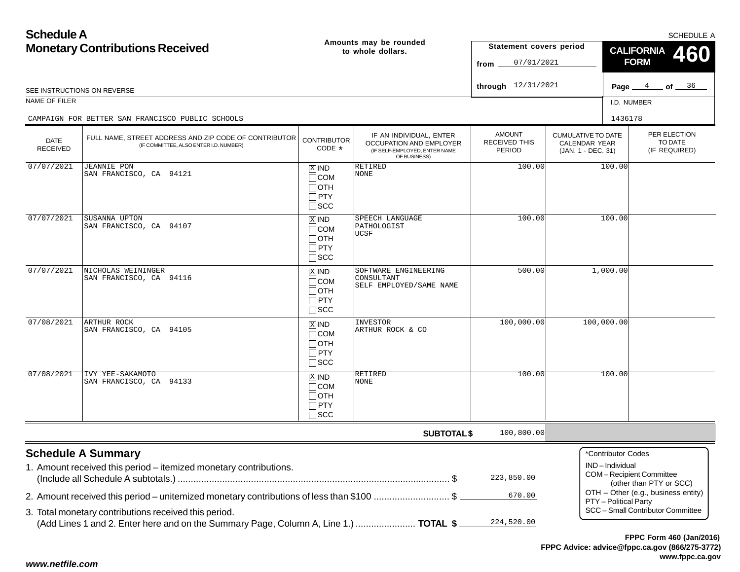| <b>Schedule A</b>                      |                                                                                                                                                                                            |                                                                    |                                                                                                     |                                                 |                                                                         | <b>SCHEDULE A</b>                                             |                                                                                           |  |  |
|----------------------------------------|--------------------------------------------------------------------------------------------------------------------------------------------------------------------------------------------|--------------------------------------------------------------------|-----------------------------------------------------------------------------------------------------|-------------------------------------------------|-------------------------------------------------------------------------|---------------------------------------------------------------|-------------------------------------------------------------------------------------------|--|--|
| <b>Monetary Contributions Received</b> |                                                                                                                                                                                            |                                                                    | Amounts may be rounded<br>to whole dollars.                                                         | Statement covers period<br>07/01/2021<br>from   |                                                                         | <b>CALIFORNIA</b><br><b>FORM</b>                              |                                                                                           |  |  |
|                                        | SEE INSTRUCTIONS ON REVERSE                                                                                                                                                                |                                                                    |                                                                                                     | through $12/31/2021$                            |                                                                         |                                                               | Page $4$ of $36$                                                                          |  |  |
| NAME OF FILER                          |                                                                                                                                                                                            |                                                                    |                                                                                                     |                                                 |                                                                         | I.D. NUMBER                                                   |                                                                                           |  |  |
|                                        | CAMPAIGN FOR BETTER SAN FRANCISCO PUBLIC SCHOOLS                                                                                                                                           |                                                                    |                                                                                                     |                                                 |                                                                         | 1436178                                                       |                                                                                           |  |  |
| <b>DATE</b><br><b>RECEIVED</b>         | FULL NAME, STREET ADDRESS AND ZIP CODE OF CONTRIBUTOR<br>(IF COMMITTEE, ALSO ENTER I.D. NUMBER)                                                                                            | <b>CONTRIBUTOR</b><br>CODE *                                       | IF AN INDIVIDUAL, ENTER<br>OCCUPATION AND EMPLOYER<br>(IF SELF-EMPLOYED, ENTER NAME<br>OF BUSINESS) | <b>AMOUNT</b><br><b>RECEIVED THIS</b><br>PERIOD | <b>CUMULATIVE TO DATE</b><br><b>CALENDAR YEAR</b><br>(JAN. 1 - DEC. 31) |                                                               | PER ELECTION<br>TO DATE<br>(IF REQUIRED)                                                  |  |  |
| 07/07/2021                             | <b>JEANNIE PON</b><br>SAN FRANCISCO, CA 94121                                                                                                                                              | $X$ IND<br>$\Box$ COM<br>$\Box$ OTH<br>$\Box$ PTY<br>$\square$ SCC | RETIRED<br>NONE                                                                                     | 100.00                                          |                                                                         | 100.00                                                        |                                                                                           |  |  |
| 07/07/2021                             | SUSANNA UPTON<br>SAN FRANCISCO, CA 94107                                                                                                                                                   | $X$ IND<br>$\Box$ COM<br>$\Box$ OTH<br>$\Box$ PTY<br>$\square$ SCC | SPEECH LANGUAGE<br>PATHOLOGIST<br>UCSF                                                              | 100.00                                          |                                                                         | 100.00                                                        |                                                                                           |  |  |
| 07/07/2021                             | NICHOLAS WEININGER<br>SAN FRANCISCO, CA 94116                                                                                                                                              | $X$ IND<br>$\Box$ COM<br>$\Box$ OTH<br>$\Box$ PTY<br>$\square$ SCC | SOFTWARE ENGINEERING<br>CONSULTANT<br>SELF EMPLOYED/SAME NAME                                       | 500.00                                          | 1,000.00                                                                |                                                               |                                                                                           |  |  |
| 07/08/2021                             | ARTHUR ROCK<br>SAN FRANCISCO, CA 94105                                                                                                                                                     | $X$ IND<br>$\Box$ COM<br>$\Box$ OTH<br>$\Box$ PTY<br>$\square$ SCC | INVESTOR<br>ARTHUR ROCK & CO                                                                        | 100,000.00                                      | 100,000.00                                                              |                                                               |                                                                                           |  |  |
| 07/08/2021                             | IVY YEE-SAKAMOTO<br>SAN FRANCISCO, CA 94133                                                                                                                                                | $X$ IND<br>$\Box$ COM<br>$\Box$ OTH<br>$\Box$ PTY<br>$\square$ SCC | RETIRED<br>NONE                                                                                     | 100.00                                          |                                                                         | 100.00                                                        |                                                                                           |  |  |
|                                        |                                                                                                                                                                                            |                                                                    | <b>SUBTOTAL \$</b>                                                                                  | 100,800.00                                      |                                                                         |                                                               |                                                                                           |  |  |
|                                        | <b>Schedule A Summary</b><br>1. Amount received this period - itemized monetary contributions.<br>2. Amount received this period – unitemized monetary contributions of less than \$100 \$ |                                                                    |                                                                                                     | 223,850.00<br>670.00                            |                                                                         | *Contributor Codes<br>IND-Individual<br>PTY - Political Party | COM-Recipient Committee<br>(other than PTY or SCC)<br>OTH - Other (e.g., business entity) |  |  |
|                                        | 3. Total monetary contributions received this period.<br>(Add Lines 1 and 2. Enter here and on the Summary Page, Column A, Line 1.)  TOTAL \$                                              |                                                                    |                                                                                                     | 224,520.00                                      |                                                                         |                                                               | SCC - Small Contributor Committee                                                         |  |  |

## *www.netfile.com*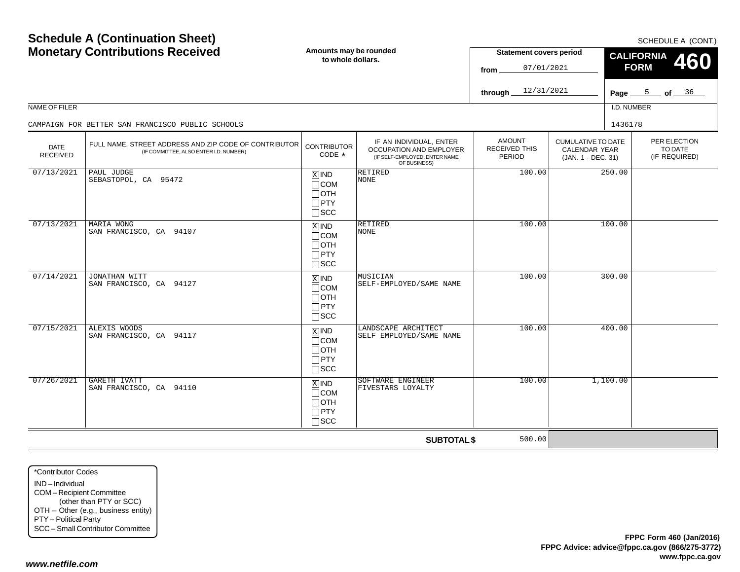| <b>Schedule A (Continuation Sheet)</b><br><b>Monetary Contributions Received</b> |                                                                                                 | Amounts may be rounded<br>to whole dollars.                                       |                                                                                                     | <b>Statement covers period</b><br>07/01/2021<br>from |                                                                         | SCHEDULE A (CONT.)<br><b>CALIFORNIA</b><br>460<br><b>FORM</b> |                  |  |
|----------------------------------------------------------------------------------|-------------------------------------------------------------------------------------------------|-----------------------------------------------------------------------------------|-----------------------------------------------------------------------------------------------------|------------------------------------------------------|-------------------------------------------------------------------------|---------------------------------------------------------------|------------------|--|
|                                                                                  |                                                                                                 |                                                                                   |                                                                                                     | 12/31/2021<br>through                                |                                                                         |                                                               | Page $5$ of $36$ |  |
| NAME OF FILER                                                                    |                                                                                                 |                                                                                   |                                                                                                     |                                                      |                                                                         | I.D. NUMBER                                                   |                  |  |
|                                                                                  | CAMPAIGN FOR BETTER SAN FRANCISCO PUBLIC SCHOOLS                                                |                                                                                   |                                                                                                     |                                                      |                                                                         | 1436178                                                       |                  |  |
| <b>DATE</b><br><b>RECEIVED</b>                                                   | FULL NAME, STREET ADDRESS AND ZIP CODE OF CONTRIBUTOR<br>(IF COMMITTEE, ALSO ENTER I.D. NUMBER) | <b>CONTRIBUTOR</b><br>CODE *                                                      | IF AN INDIVIDUAL, ENTER<br>OCCUPATION AND EMPLOYER<br>(IF SELF-EMPLOYED, ENTER NAME<br>OF BUSINESS) | <b>AMOUNT</b><br><b>RECEIVED THIS</b><br>PERIOD      | <b>CUMULATIVE TO DATE</b><br><b>CALENDAR YEAR</b><br>(JAN. 1 - DEC. 31) | PER ELECTION<br>TO DATE<br>(IF REQUIRED)                      |                  |  |
| 07/13/2021                                                                       | PAUL JUDGE<br>SEBASTOPOL, CA 95472                                                              | $X$ IND<br>$\Box$ COM<br>$\Box$ OTH<br>$\Box$ PTY<br>$\square$ SCC                | <b>RETIRED</b><br><b>NONE</b>                                                                       | 100.00                                               | 250.00                                                                  |                                                               |                  |  |
| 07/13/2021                                                                       | MARIA WONG<br>SAN FRANCISCO, CA 94107                                                           | $X$ IND<br>$\Box$ COM<br>$\Box$ OTH<br>$\Box$ PTY<br>$\square$ scc                | <b>RETIRED</b><br><b>NONE</b>                                                                       | 100.00                                               |                                                                         | 100.00                                                        |                  |  |
| 07/14/2021                                                                       | JONATHAN WITT<br>SAN FRANCISCO, CA 94127                                                        | $\overline{X}$ IND<br>$\Box$ COM<br>$\Box$ OTH<br>$\Box$ PTY<br>$\Box$ SCC        | MUSICIAN<br>SELF-EMPLOYED/SAME NAME                                                                 | 100.00                                               |                                                                         | 300.00                                                        |                  |  |
| 07/15/2021                                                                       | ALEXIS WOODS<br>SAN FRANCISCO, CA 94117                                                         | $\boxed{\text{X}}$ IND<br>$\Box$ COM<br>$\Box$ OTH<br>$\Box$ PTY<br>$\square$ SCC | LANDSCAPE ARCHITECT<br>SELF EMPLOYED/SAME NAME                                                      | 100.00                                               |                                                                         | 400.00                                                        |                  |  |
| 07/26/2021                                                                       | GARETH IVATT<br>SAN FRANCISCO, CA 94110                                                         | $X$ IND<br>$\Box$ COM<br>$\Box$ OTH<br>$\Box$ PTY<br>$\square$ SCC                | SOFTWARE ENGINEER<br>FIVESTARS LOYALTY                                                              | 100.00                                               |                                                                         | 1,100.00                                                      |                  |  |
|                                                                                  |                                                                                                 |                                                                                   | <b>SUBTOTAL \$</b>                                                                                  | 500.00                                               |                                                                         |                                                               |                  |  |

\*Contributor CodesIND – IndividualCOM – Recipient Committee (other than PTY or SCC) OTH – Other (e.g., business entity) PTY – Political Party SCC – Small Contributor Committee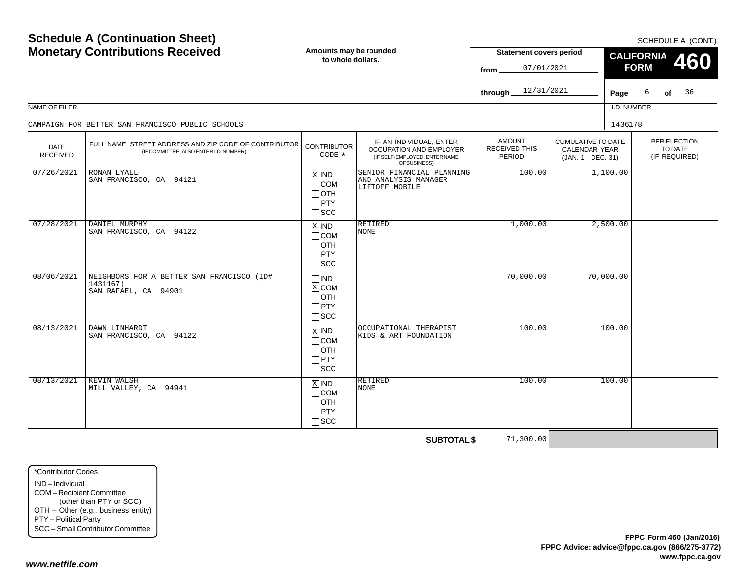| <b>Monetary Contributions Received</b> |                                                                                                 | Amounts may be rounded<br>to whole dollars.                           |                                                                                                     | <b>Statement covers period</b><br>07/01/2021<br>from |                                                                  | <b>CALIFORNIA</b><br>460<br><b>FORM</b> |                                          |
|----------------------------------------|-------------------------------------------------------------------------------------------------|-----------------------------------------------------------------------|-----------------------------------------------------------------------------------------------------|------------------------------------------------------|------------------------------------------------------------------|-----------------------------------------|------------------------------------------|
|                                        |                                                                                                 |                                                                       |                                                                                                     | 12/31/2021<br>through                                |                                                                  |                                         | Page $6$ of $36$                         |
| NAME OF FILER                          |                                                                                                 |                                                                       |                                                                                                     |                                                      |                                                                  | I.D. NUMBER                             |                                          |
|                                        | CAMPAIGN FOR BETTER SAN FRANCISCO PUBLIC SCHOOLS                                                |                                                                       |                                                                                                     |                                                      |                                                                  | 1436178                                 |                                          |
| <b>DATE</b><br><b>RECEIVED</b>         | FULL NAME, STREET ADDRESS AND ZIP CODE OF CONTRIBUTOR<br>(IF COMMITTEE, ALSO ENTER I.D. NUMBER) | <b>CONTRIBUTOR</b><br>CODE $*$                                        | IF AN INDIVIDUAL, ENTER<br>OCCUPATION AND EMPLOYER<br>(IF SELF-EMPLOYED, ENTER NAME<br>OF BUSINESS) | <b>AMOUNT</b><br><b>RECEIVED THIS</b><br>PERIOD      | <b>CUMULATIVE TO DATE</b><br>CALENDAR YEAR<br>(JAN. 1 - DEC. 31) |                                         | PER ELECTION<br>TO DATE<br>(IF REQUIRED) |
| 07/26/2021                             | RONAN LYALL<br>SAN FRANCISCO, CA 94121                                                          | $x$ IND<br>$\Box$ COM<br>$\Box$ OTH<br>$\square$ PTY<br>$\square$ SCC | SENIOR FINANCIAL PLANNING<br>AND ANALYSIS MANAGER<br>LIFTOFF MOBILE                                 | 100.00                                               | 1,100.00                                                         |                                         |                                          |
| 07/28/2021                             | DANIEL MURPHY<br>SAN FRANCISCO, CA 94122                                                        | $X$ IND<br>$\Box$ COM<br>$\Box$ oth<br>$\Box$ PTY<br>$\square$ SCC    | RETIRED<br>NONE                                                                                     | 1,000.00                                             | 2,500.00                                                         |                                         |                                          |
| 08/06/2021                             | NEIGHBORS FOR A BETTER SAN FRANCISCO (ID#<br>1431167)<br>SAN RAFAEL, CA 94901                   | $\Box$ IND<br>$X$ COM<br>$\Box$ OTH<br>$\Box$ PTY<br>$\square$ SCC    |                                                                                                     | 70,000.00                                            |                                                                  | 70,000.00                               |                                          |
| 08/13/2021                             | DAWN LINHARDT<br>SAN FRANCISCO, CA 94122                                                        | $X$ IND<br>$\sqcap$ COM<br>$\Box$ oth<br>$\Box$ PTY<br>$\Box$ scc     | OCCUPATIONAL THERAPIST<br>KIDS & ART FOUNDATION                                                     | 100.00                                               |                                                                  | 100.00                                  |                                          |
| 08/13/2021                             | <b>KEVIN WALSH</b><br>MILL VALLEY, CA 94941                                                     | $X$ IND<br>$\Box$ COM<br>$\Box$ OTH<br>$\Box$ PTY<br>$\Box$ scc       | RETIRED<br><b>NONE</b>                                                                              | 100.00                                               |                                                                  | 100.00                                  |                                          |
|                                        |                                                                                                 |                                                                       | <b>SUBTOTAL \$</b>                                                                                  | 71,300.00                                            |                                                                  |                                         |                                          |

\*Contributor CodesIND – Individual COM – Recipient Committee (other than PTY or SCC) OTH – Other (e.g., business entity) PTY – Political Party SCC – Small Contributor Committee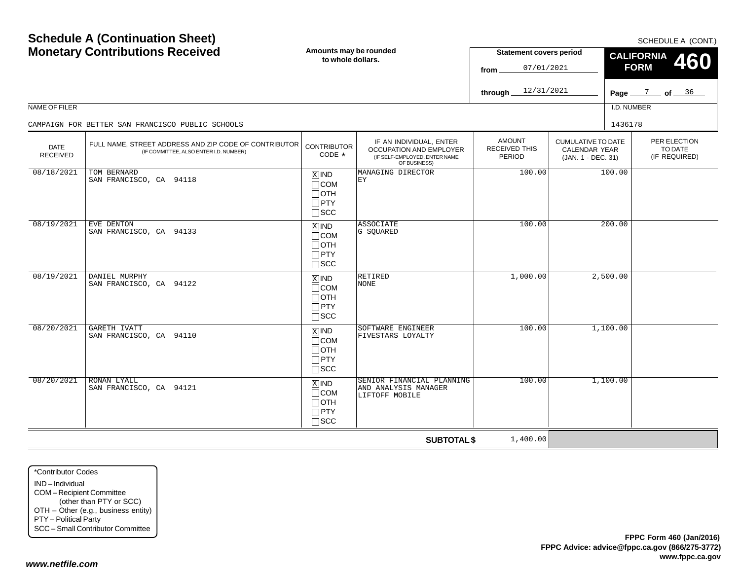|                                | <b>Schedule A (Continuation Sheet)</b><br><b>Monetary Contributions Received</b>                | Amounts may be rounded<br>to whole dollars.                                       |                                                                                                     | <b>Statement covers period</b><br>07/01/2021<br>from<br>12/31/2021<br>through |                                                                         | SCHEDULE A (CONT.)<br><b>CALIFORNIA</b><br>460<br><b>FORM</b><br>Page $\frac{7}{2}$ of $\frac{36}{2}$ |                                          |  |
|--------------------------------|-------------------------------------------------------------------------------------------------|-----------------------------------------------------------------------------------|-----------------------------------------------------------------------------------------------------|-------------------------------------------------------------------------------|-------------------------------------------------------------------------|-------------------------------------------------------------------------------------------------------|------------------------------------------|--|
| NAME OF FILER                  |                                                                                                 |                                                                                   |                                                                                                     |                                                                               |                                                                         | I.D. NUMBER                                                                                           |                                          |  |
|                                | CAMPAIGN FOR BETTER SAN FRANCISCO PUBLIC SCHOOLS                                                |                                                                                   |                                                                                                     |                                                                               |                                                                         | 1436178                                                                                               |                                          |  |
| <b>DATE</b><br><b>RECEIVED</b> | FULL NAME. STREET ADDRESS AND ZIP CODE OF CONTRIBUTOR<br>(IF COMMITTEE, ALSO ENTER I.D. NUMBER) | <b>CONTRIBUTOR</b><br>CODE *                                                      | IF AN INDIVIDUAL, ENTER<br>OCCUPATION AND EMPLOYER<br>(IF SELF-EMPLOYED, ENTER NAME<br>OF BUSINESS) | <b>AMOUNT</b><br><b>RECEIVED THIS</b><br>PERIOD                               | <b>CUMULATIVE TO DATE</b><br><b>CALENDAR YEAR</b><br>(JAN. 1 - DEC. 31) |                                                                                                       | PER ELECTION<br>TO DATE<br>(IF REQUIRED) |  |
| 08/18/2021                     | TOM BERNARD<br>SAN FRANCISCO, CA 94118                                                          | $\boxed{\text{X}}$ IND<br>$\Box$ COM<br>$\Box$ OTH<br>$\Box$ PTY<br>$\Box$ SCC    | MANAGING DIRECTOR<br>EY                                                                             | 100.00                                                                        |                                                                         | 100.00                                                                                                |                                          |  |
| 08/19/2021                     | EVE DENTON<br>SAN FRANCISCO, CA 94133                                                           | $\boxed{\text{X}}$ IND<br>$\Box$ COM<br>$\Box$ OTH<br>$\Box$ PTY<br>$\square$ SCC | ASSOCIATE<br>G SQUARED                                                                              | 100.00                                                                        |                                                                         | 200.00                                                                                                |                                          |  |
| 08/19/2021                     | DANIEL MURPHY<br>SAN FRANCISCO, CA 94122                                                        | $X$ IND<br>$\Box$ COM<br>$\Box$ OTH<br>$\Box$ PTY<br>$\square$ SCC                | RETIRED<br><b>NONE</b>                                                                              | 1,000.00                                                                      |                                                                         | 2,500.00                                                                                              |                                          |  |
| 08/20/2021                     | GARETH IVATT<br>SAN FRANCISCO, CA 94110                                                         | $\overline{X}$ IND<br>$\Box$ COM<br>$\Box$ OTH<br>$\Box$ PTY<br>$\square$ SCC     | SOFTWARE ENGINEER<br>FIVESTARS LOYALTY                                                              | 100.00                                                                        |                                                                         | 1,100.00                                                                                              |                                          |  |
| 08/20/2021                     | <b>RONAN LYALL</b><br>SAN FRANCISCO, CA 94121                                                   | $X$ IND<br>$\Box$ COM<br>$\Box$ OTH<br>$\Box$ PTY<br>$\Box$ SCC                   | SENIOR FINANCIAL PLANNING<br>AND ANALYSIS MANAGER<br>LIFTOFF MOBILE                                 | 100.00                                                                        |                                                                         | 1,100.00                                                                                              |                                          |  |
|                                |                                                                                                 |                                                                                   | <b>SUBTOTAL \$</b>                                                                                  | 1,400.00                                                                      |                                                                         |                                                                                                       |                                          |  |

\*Contributor CodesIND – IndividualCOM – Recipient Committee (other than PTY or SCC) OTH – Other (e.g., business entity) PTY – Political Party SCC – Small Contributor Committee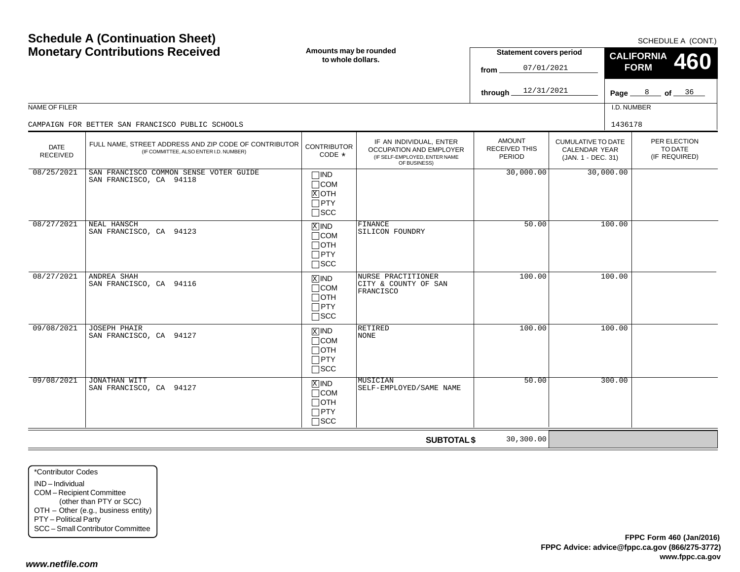| <b>Monetary Contributions Received</b> |                                                                                                 | Amounts may be rounded<br>to whole dollars.                          |                                                                                                     | <b>Statement covers period</b><br>07/01/2021<br>from   |                                                                  | <b>CALIFORNIA</b><br>460<br><b>FORM</b> |                                          |  |
|----------------------------------------|-------------------------------------------------------------------------------------------------|----------------------------------------------------------------------|-----------------------------------------------------------------------------------------------------|--------------------------------------------------------|------------------------------------------------------------------|-----------------------------------------|------------------------------------------|--|
|                                        |                                                                                                 |                                                                      |                                                                                                     | 12/31/2021<br>through                                  |                                                                  |                                         | Page $8$ of $36$                         |  |
| NAME OF FILER                          |                                                                                                 |                                                                      |                                                                                                     |                                                        |                                                                  | I.D. NUMBER                             |                                          |  |
|                                        | CAMPAIGN FOR BETTER SAN FRANCISCO PUBLIC SCHOOLS                                                |                                                                      |                                                                                                     |                                                        |                                                                  | 1436178                                 |                                          |  |
| <b>DATE</b><br><b>RECEIVED</b>         | FULL NAME, STREET ADDRESS AND ZIP CODE OF CONTRIBUTOR<br>(IF COMMITTEE, ALSO ENTER I.D. NUMBER) | <b>CONTRIBUTOR</b><br>CODE $*$                                       | IF AN INDIVIDUAL, ENTER<br>OCCUPATION AND EMPLOYER<br>(IF SELF-EMPLOYED, ENTER NAME<br>OF BUSINESS) | <b>AMOUNT</b><br><b>RECEIVED THIS</b><br><b>PERIOD</b> | <b>CUMULATIVE TO DATE</b><br>CALENDAR YEAR<br>(JAN. 1 - DEC. 31) |                                         | PER ELECTION<br>TO DATE<br>(IF REQUIRED) |  |
| 08/25/2021                             | SAN FRANCISCO COMMON SENSE VOTER GUIDE<br>SAN FRANCISCO, CA 94118                               | $\Box$ IND<br>$\Box$ COM<br>$X$ OTH<br>$\Box$ PTY<br>$\square$ SCC   |                                                                                                     | 30,000.00                                              | 30,000.00                                                        |                                         |                                          |  |
| 08/27/2021                             | NEAL HANSCH<br>SAN FRANCISCO, CA 94123                                                          | $X$ IND<br>$\Box$ COM<br>$\Box$ OTH<br>$\Box$ PTY<br>$\Box$ scc      | FINANCE<br>SILICON FOUNDRY                                                                          | 50.00                                                  | 100.00                                                           |                                         |                                          |  |
| 08/27/2021                             | ANDREA SHAH<br>SAN FRANCISCO, CA 94116                                                          | $x$ IND<br>$\Box$ COM<br>$\sqcap$ OTH<br>$\Box$ PTY<br>$\Box$ SCC    | NURSE PRACTITIONER<br>CITY & COUNTY OF SAN<br>FRANCISCO                                             | 100.00                                                 |                                                                  | 100.00                                  |                                          |  |
| 09/08/2021                             | <b>JOSEPH PHAIR</b><br>SAN FRANCISCO, CA 94127                                                  | $X$ IND<br>$\sqcap$ COM<br>$\Box$ OTH<br>$\Box$ PTY<br>$\square$ SCC | RETIRED<br><b>NONE</b>                                                                              | 100.00                                                 |                                                                  | 100.00                                  |                                          |  |
| 09/08/2021                             | <b>JONATHAN WITT</b><br>SAN FRANCISCO, CA 94127                                                 | $X$ IND<br>$\Box$ COM<br>$\Box$ oth<br>$\Box$ PTY<br>$\sqcap$ scc    | <b>MUSICIAN</b><br>SELF-EMPLOYED/SAME NAME                                                          | 50.00                                                  |                                                                  | 300.00                                  |                                          |  |
|                                        |                                                                                                 |                                                                      | <b>SUBTOTAL \$</b>                                                                                  | 30,300.00                                              |                                                                  |                                         |                                          |  |

\*Contributor CodesIND – Individual COM – Recipient Committee (other than PTY or SCC) OTH – Other (e.g., business entity) PTY – Political Party SCC – Small Contributor Committee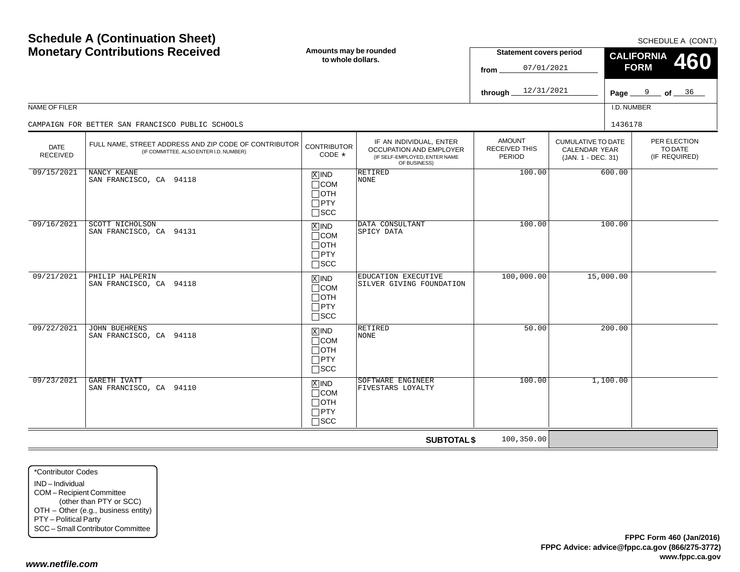$SCHFDUI F A (CONT)$ 

| <b>Monetary Contributions Received</b> |                                                                                                 | Amounts may be rounded<br>to whole dollars.                                       |                                                                                                     | <b>Statement covers period</b><br>07/01/2021<br>from |                                                                  | <b>CALIFORNIA</b><br>460<br><b>FORM</b> |                                          |  |
|----------------------------------------|-------------------------------------------------------------------------------------------------|-----------------------------------------------------------------------------------|-----------------------------------------------------------------------------------------------------|------------------------------------------------------|------------------------------------------------------------------|-----------------------------------------|------------------------------------------|--|
|                                        |                                                                                                 |                                                                                   |                                                                                                     | 12/31/2021<br>through.                               |                                                                  |                                         | Page $9$ of $36$                         |  |
| NAME OF FILER                          |                                                                                                 |                                                                                   |                                                                                                     |                                                      |                                                                  | I.D. NUMBER                             |                                          |  |
|                                        | CAMPAIGN FOR BETTER SAN FRANCISCO PUBLIC SCHOOLS                                                |                                                                                   |                                                                                                     |                                                      |                                                                  | 1436178                                 |                                          |  |
| <b>DATE</b><br><b>RECEIVED</b>         | FULL NAME, STREET ADDRESS AND ZIP CODE OF CONTRIBUTOR<br>(IF COMMITTEE, ALSO ENTER I.D. NUMBER) | <b>CONTRIBUTOR</b><br>CODE *                                                      | IF AN INDIVIDUAL, ENTER<br>OCCUPATION AND EMPLOYER<br>(IF SELF-EMPLOYED, ENTER NAME<br>OF BUSINESS) | <b>AMOUNT</b><br>RECEIVED THIS<br>PERIOD             | <b>CUMULATIVE TO DATE</b><br>CALENDAR YEAR<br>(JAN. 1 - DEC. 31) |                                         | PER ELECTION<br>TO DATE<br>(IF REQUIRED) |  |
| 09/15/2021                             | NANCY KEANE<br>SAN FRANCISCO, CA 94118                                                          | $X$ IND<br>$\Box$ COM<br>$\Box$ OTH<br>$\square$ PTY<br>$\square$ SCC             | <b>RETIRED</b><br><b>NONE</b>                                                                       | 100.00                                               |                                                                  | 600.00                                  |                                          |  |
| 09/16/2021                             | <b>SCOTT NICHOLSON</b><br>SAN FRANCISCO, CA 94131                                               | $X$ IND<br>$\Box$ COM<br>$\Box$ OTH<br>$\Box$ PTY<br>$\square$ scc                | DATA CONSULTANT<br>SPICY DATA                                                                       | 100.00                                               |                                                                  | 100.00                                  |                                          |  |
| 09/21/2021                             | PHILIP HALPERIN<br>SAN FRANCISCO, CA 94118                                                      | $\overline{X}$ IND<br>$\Box$ COM<br>$\Box$ oth<br>$\Box$ PTY<br>$\square$ SCC     | EDUCATION EXECUTIVE<br>SILVER GIVING FOUNDATION                                                     | 100,000.00                                           |                                                                  | 15,000.00                               |                                          |  |
| 09/22/2021                             | <b>JOHN BUEHRENS</b><br>SAN FRANCISCO, CA 94118                                                 | $\boxed{\text{X}}$ IND<br>$\Box$ COM<br>$\Box$ OTH<br>$\Box$ PTY<br>$\square$ SCC | RETIRED<br><b>NONE</b>                                                                              | 50.00                                                |                                                                  | 200.00                                  |                                          |  |
| 09/23/2021                             | <b>GARETH IVATT</b><br>SAN FRANCISCO, CA 94110                                                  | $X$ IND<br>$\Box$ COM<br>$\Box$ OTH<br>$\Box$ PTY<br>$\Box$ scc                   | SOFTWARE ENGINEER<br>FIVESTARS LOYALTY                                                              | 100.00                                               |                                                                  | 1,100.00                                |                                          |  |
|                                        |                                                                                                 |                                                                                   | <b>SUBTOTAL \$</b>                                                                                  | 100,350.00                                           |                                                                  |                                         |                                          |  |

\*Contributor CodesIND – IndividualCOM – Recipient Committee (other than PTY or SCC) OTH – Other (e.g., business entity) PTY – Political Party SCC – Small Contributor Committee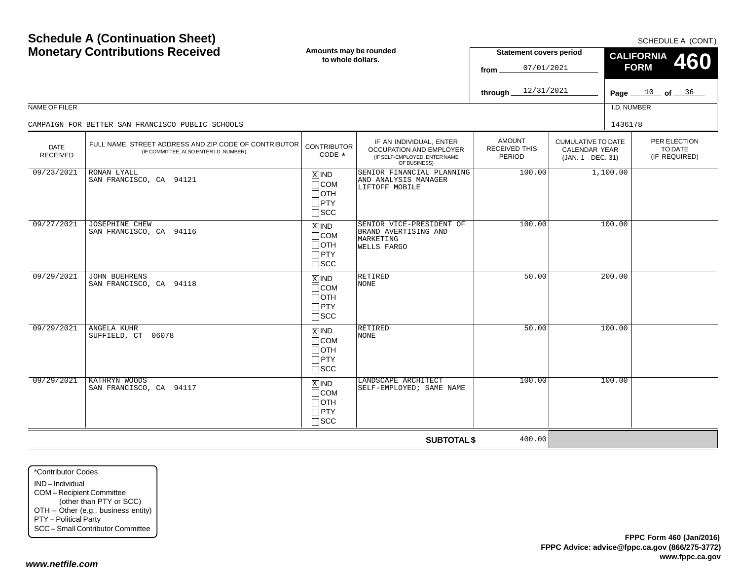| <b>Monetary Contributions Received</b> |                                                                                                 | Amounts may be rounded<br>to whole dollars.                          |                                                                                                     | <b>Statement covers period</b><br>07/01/2021<br>from |                                                                  | <b>CALIFORNIA</b><br>460<br><b>FORM</b> |                                          |
|----------------------------------------|-------------------------------------------------------------------------------------------------|----------------------------------------------------------------------|-----------------------------------------------------------------------------------------------------|------------------------------------------------------|------------------------------------------------------------------|-----------------------------------------|------------------------------------------|
|                                        |                                                                                                 |                                                                      |                                                                                                     | 12/31/2021<br>through                                |                                                                  |                                         | Page $10$ of $36$                        |
| <b>NAME OF FILER</b>                   |                                                                                                 |                                                                      |                                                                                                     |                                                      |                                                                  | I.D. NUMBER                             |                                          |
|                                        | CAMPAIGN FOR BETTER SAN FRANCISCO PUBLIC SCHOOLS                                                |                                                                      |                                                                                                     |                                                      |                                                                  | 1436178                                 |                                          |
| <b>DATE</b><br><b>RECEIVED</b>         | FULL NAME, STREET ADDRESS AND ZIP CODE OF CONTRIBUTOR<br>(IF COMMITTEE, ALSO ENTER I.D. NUMBER) | <b>CONTRIBUTOR</b><br>CODE *                                         | IF AN INDIVIDUAL, ENTER<br>OCCUPATION AND EMPLOYER<br>(IF SELF-EMPLOYED, ENTER NAME<br>OF BUSINESS) | <b>AMOUNT</b><br><b>RECEIVED THIS</b><br>PERIOD      | <b>CUMULATIVE TO DATE</b><br>CALENDAR YEAR<br>(JAN. 1 - DEC. 31) |                                         | PER ELECTION<br>TO DATE<br>(IF REQUIRED) |
| 09/23/2021                             | RONAN LYALL<br>SAN FRANCISCO, CA 94121                                                          | $X$ IND<br>$\Box$ COM<br>$\Box$ OTH<br>$\Box$ PTY<br>$\square$ scc   | SENIOR FINANCIAL PLANNING<br>AND ANALYSIS MANAGER<br>LIFTOFF MOBILE                                 | 100.00                                               | 1,100.00                                                         |                                         |                                          |
| 09/27/2021                             | <b>JOSEPHINE CHEW</b><br>SAN FRANCISCO, CA 94116                                                | $X$ IND<br>$\sqcap$ COM<br>$\Box$ OTH<br>$\Box$ PTY<br>$\square$ SCC | SENIOR VICE-PRESIDENT OF<br>BRAND AVERTISING AND<br>MARKETING<br><b>WELLS FARGO</b>                 | 100.00                                               | 100.00                                                           |                                         |                                          |
| 09/29/2021                             | <b>JOHN BUEHRENS</b><br>SAN FRANCISCO, CA 94118                                                 | $X$ IND<br>$\Box$ COM<br>$\Box$ OTH<br>$\Box$ PTY<br>$\sqcap$ scc    | RETIRED<br><b>NONE</b>                                                                              | 50.00                                                |                                                                  | 200.00                                  |                                          |
| 09/29/2021                             | ANGELA KUHR<br>SUFFIELD, CT 06078                                                               | $X$ IND<br>$\sqcap$ COM<br>$\Box$ oth<br>$\Box$ PTY<br>$\square$ SCC | RETIRED<br>NONE                                                                                     | 50.00                                                |                                                                  | 100.00                                  |                                          |
| 09/29/2021                             | KATHRYN WOODS<br>SAN FRANCISCO, CA 94117                                                        | $X$ IND<br>$\Box$ COM<br>$\Box$ oth<br>$\Box$ PTY<br>$\sqcap$ scc    | LANDSCAPE ARCHITECT<br>SELF-EMPLOYED; SAME NAME                                                     | 100.00                                               |                                                                  | 100.00                                  |                                          |
|                                        |                                                                                                 |                                                                      | <b>SUBTOTAL \$</b>                                                                                  | 400.00                                               |                                                                  |                                         |                                          |

\*Contributor CodesIND – Individual COM – Recipient Committee (other than PTY or SCC) OTH – Other (e.g., business entity) PTY – Political Party SCC – Small Contributor Committee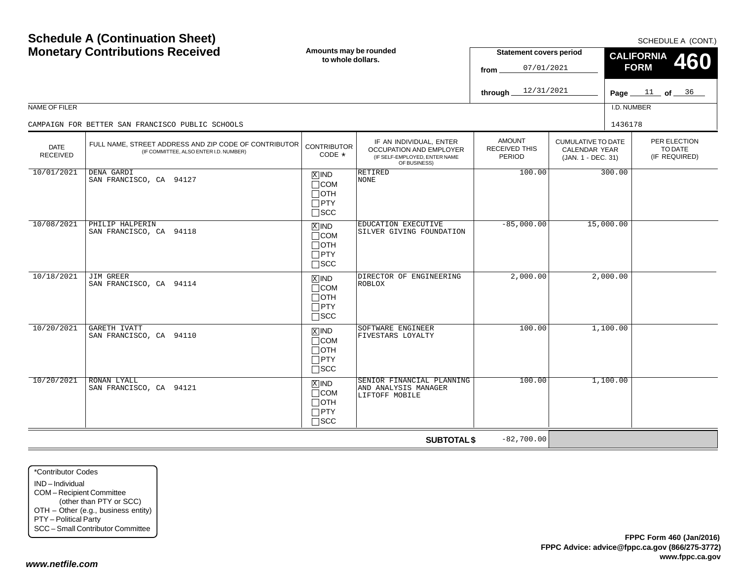| <b>Schedule A (Continuation Sheet)</b><br><b>Monetary Contributions Received</b><br>NAME OF FILER |                                                                                                 | Amounts may be rounded<br>to whole dollars.                                    |                                                                                                            | <b>Statement covers period</b><br>07/01/2021<br>from<br>12/31/2021<br>through. |                                                                  | SCHEDULE A (CONT.)<br><b>CALIFORNIA</b><br>460<br><b>FORM</b><br>$11$ of $36$<br>Page_<br>I.D. NUMBER |                                          |  |
|---------------------------------------------------------------------------------------------------|-------------------------------------------------------------------------------------------------|--------------------------------------------------------------------------------|------------------------------------------------------------------------------------------------------------|--------------------------------------------------------------------------------|------------------------------------------------------------------|-------------------------------------------------------------------------------------------------------|------------------------------------------|--|
|                                                                                                   | CAMPAIGN FOR BETTER SAN FRANCISCO PUBLIC SCHOOLS                                                |                                                                                |                                                                                                            |                                                                                |                                                                  | 1436178                                                                                               |                                          |  |
| <b>DATE</b><br><b>RECEIVED</b>                                                                    | FULL NAME, STREET ADDRESS AND ZIP CODE OF CONTRIBUTOR<br>(IF COMMITTEE, ALSO ENTER I.D. NUMBER) | <b>CONTRIBUTOR</b><br>CODE *                                                   | IF AN INDIVIDUAL, ENTER<br><b>OCCUPATION AND EMPLOYER</b><br>(IF SELF-EMPLOYED, ENTER NAME<br>OF BUSINESS) | <b>AMOUNT</b><br>RECEIVED THIS<br>PERIOD                                       | <b>CUMULATIVE TO DATE</b><br>CALENDAR YEAR<br>(JAN. 1 - DEC. 31) |                                                                                                       | PER ELECTION<br>TO DATE<br>(IF REQUIRED) |  |
| 10/01/2021                                                                                        | DENA GARDI<br>SAN FRANCISCO, CA 94127                                                           | $X$ IND<br>$\Box$ COM<br>$\Box$ OTH<br>$\Box$ PTY<br>$\square$ SCC             | <b>RETIRED</b><br><b>NONE</b>                                                                              | 100.00                                                                         |                                                                  | 300.00                                                                                                |                                          |  |
| 10/08/2021                                                                                        | PHILIP HALPERIN<br>SAN FRANCISCO, CA 94118                                                      | $X$ IND<br>$\Box$ COM<br>$\Box$ OTH<br>$\Box$ PTY<br>$\Box$ scc                | EDUCATION EXECUTIVE<br>SILVER GIVING FOUNDATION                                                            | $-85,000.00$                                                                   |                                                                  | 15,000.00                                                                                             |                                          |  |
| 10/18/2021                                                                                        | JIM GREER<br>SAN FRANCISCO, CA 94114                                                            | $\overline{X}$ IND<br>$\Box$ COM<br>$\Box$ OTH<br>$\Box$ PTY<br>$\square$ SCC  | DIRECTOR OF ENGINEERING<br><b>ROBLOX</b>                                                                   | 2,000.00                                                                       |                                                                  | 2,000.00                                                                                              |                                          |  |
| 10/20/2021                                                                                        | GARETH IVATT<br>SAN FRANCISCO, CA 94110                                                         | $\boxed{\text{X}}$ IND<br>$\Box$ COM<br>$\Box$ OTH<br>$\Box$ PTY<br>$\Box$ SCC | SOFTWARE ENGINEER<br>FIVESTARS LOYALTY                                                                     | 100.00                                                                         |                                                                  | 1,100.00                                                                                              |                                          |  |
| 10/20/2021                                                                                        | <b>RONAN LYALL</b><br>SAN FRANCISCO, CA 94121                                                   | $X$ IND<br>$\Box$ COM<br>$\Box$ OTH<br>$\Box$ PTY<br>$\Box$ SCC                | SENIOR FINANCIAL PLANNING<br>AND ANALYSIS MANAGER<br>LIFTOFF MOBILE                                        | 100.00                                                                         |                                                                  | 1,100.00                                                                                              |                                          |  |
|                                                                                                   |                                                                                                 |                                                                                | <b>SUBTOTAL \$</b>                                                                                         | $-82,700.00$                                                                   |                                                                  |                                                                                                       |                                          |  |

\*Contributor CodesIND – IndividualCOM – Recipient Committee (other than PTY or SCC) OTH – Other (e.g., business entity) PTY – Political Party SCC – Small Contributor Committee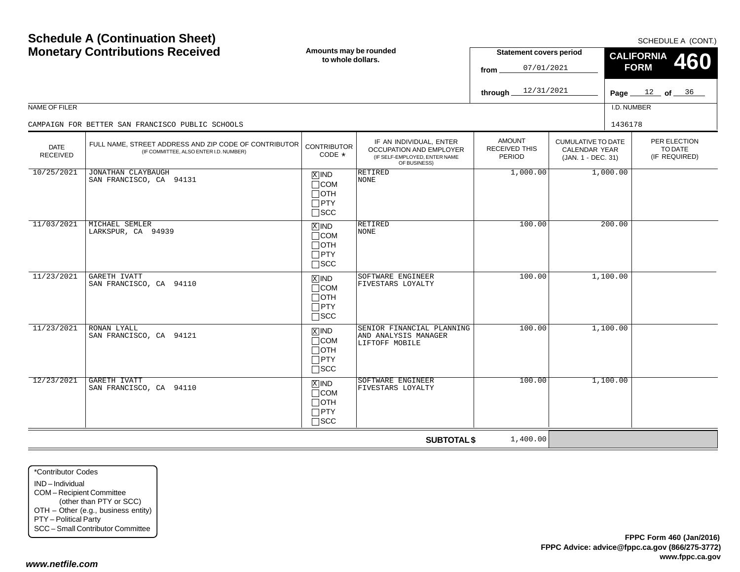| NAME OF FILER                  | <b>Schedule A (Continuation Sheet)</b><br><b>Monetary Contributions Received</b>                | Amounts may be rounded<br>to whole dollars.                                       |                                                                                                     | <b>Statement covers period</b><br>07/01/2021<br>from<br>12/31/2021<br>through. |                                                                  | <b>CALIFORNIA</b><br><b>FORM</b><br>I.D. NUMBER | SCHEDULE A (CONT.)<br><b>460</b><br>Page $12$ of $36$ |
|--------------------------------|-------------------------------------------------------------------------------------------------|-----------------------------------------------------------------------------------|-----------------------------------------------------------------------------------------------------|--------------------------------------------------------------------------------|------------------------------------------------------------------|-------------------------------------------------|-------------------------------------------------------|
|                                | CAMPAIGN FOR BETTER SAN FRANCISCO PUBLIC SCHOOLS                                                |                                                                                   |                                                                                                     |                                                                                |                                                                  | 1436178                                         |                                                       |
| <b>DATE</b><br><b>RECEIVED</b> | FULL NAME. STREET ADDRESS AND ZIP CODE OF CONTRIBUTOR<br>(IF COMMITTEE, ALSO ENTER I.D. NUMBER) | <b>CONTRIBUTOR</b><br>CODE $*$                                                    | IF AN INDIVIDUAL, ENTER<br>OCCUPATION AND EMPLOYER<br>(IF SELF-EMPLOYED, ENTER NAME<br>OF BUSINESS) | <b>AMOUNT</b><br><b>RECEIVED THIS</b><br><b>PERIOD</b>                         | <b>CUMULATIVE TO DATE</b><br>CALENDAR YEAR<br>(JAN. 1 - DEC. 31) |                                                 | PER ELECTION<br>TO DATE<br>(IF REQUIRED)              |
| 10/25/2021                     | JONATHAN CLAYBAUGH<br>SAN FRANCISCO, CA 94131                                                   | $X$ IND<br>$\Box$ COM<br>$\Box$ oth<br>$\square$ PTY<br>$\Box$ scc                | <b>RETIRED</b><br><b>NONE</b>                                                                       | 1,000.00                                                                       |                                                                  | 1,000.00                                        |                                                       |
| 11/03/2021                     | MICHAEL SEMLER<br>LARKSPUR, CA 94939                                                            | $X$ IND<br>$\Box$ COM<br>$\Box$ OTH<br>$\Box$ PTY<br>$\Box$ SCC                   | <b>RETIRED</b><br>NONE                                                                              | 100.00                                                                         |                                                                  | 200.00                                          |                                                       |
| 11/23/2021                     | GARETH IVATT<br>SAN FRANCISCO, CA 94110                                                         | $X$ IND<br>$\Box$ COM<br>$\Box$ OTH<br>$\Box$ PTY<br>$\square$ SCC                | SOFTWARE ENGINEER<br>FIVESTARS LOYALTY                                                              | 100.00                                                                         |                                                                  | 1,100.00                                        |                                                       |
| 11/23/2021                     | RONAN LYALL<br>SAN FRANCISCO, CA 94121                                                          | $\boxed{\text{X}}$ IND<br>$\Box$ COM<br>$\Box$ OTH<br>$\Box$ PTY<br>$\square$ SCC | SENIOR FINANCIAL PLANNING<br>AND ANALYSIS MANAGER<br>LIFTOFF MOBILE                                 | 100.00                                                                         |                                                                  | 1,100.00                                        |                                                       |
| 12/23/2021                     | <b>GARETH IVATT</b><br>SAN FRANCISCO, CA 94110                                                  | $X$ IND<br>$\Box$ COM<br>$\Box$ OTH<br>$\Box$ PTY<br>$\Box$ scc                   | SOFTWARE ENGINEER<br>FIVESTARS LOYALTY                                                              | 100.00                                                                         |                                                                  | 1,100.00                                        |                                                       |
|                                |                                                                                                 |                                                                                   | <b>SUBTOTAL \$</b>                                                                                  | 1,400.00                                                                       |                                                                  |                                                 |                                                       |

\*Contributor CodesIND – IndividualCOM – Recipient Committee (other than PTY or SCC) OTH – Other (e.g., business entity) PTY – Political Party SCC – Small Contributor Committee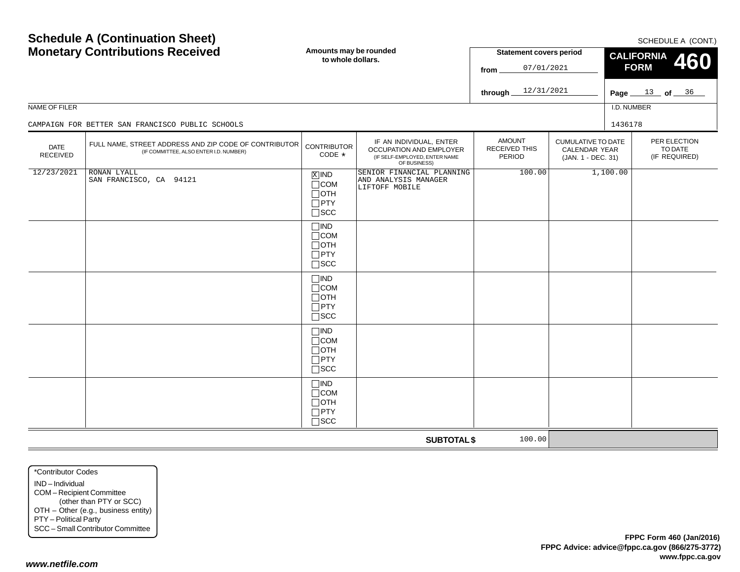| NAME OF FILER                  | <b>Monetary Contributions Received</b><br>CAMPAIGN FOR BETTER SAN FRANCISCO PUBLIC SCHOOLS      | Amounts may be rounded<br>to whole dollars.                           |                                                                                                     | <b>Statement covers period</b><br>07/01/2021<br>from<br>12/31/2021<br>through |                                                                  | <b>CALIFORNIA</b><br>460<br><b>FORM</b><br>Page $13$ of $36$<br>I.D. NUMBER<br>1436178 |                                          |  |
|--------------------------------|-------------------------------------------------------------------------------------------------|-----------------------------------------------------------------------|-----------------------------------------------------------------------------------------------------|-------------------------------------------------------------------------------|------------------------------------------------------------------|----------------------------------------------------------------------------------------|------------------------------------------|--|
| <b>DATE</b><br><b>RECEIVED</b> | FULL NAME, STREET ADDRESS AND ZIP CODE OF CONTRIBUTOR<br>(IF COMMITTEE, ALSO ENTER I.D. NUMBER) | <b>CONTRIBUTOR</b><br>CODE *                                          | IF AN INDIVIDUAL, ENTER<br>OCCUPATION AND EMPLOYER<br>(IF SELF-EMPLOYED, ENTER NAME<br>OF BUSINESS) | <b>AMOUNT</b><br><b>RECEIVED THIS</b><br>PERIOD                               | <b>CUMULATIVE TO DATE</b><br>CALENDAR YEAR<br>(JAN. 1 - DEC. 31) |                                                                                        | PER ELECTION<br>TO DATE<br>(IF REQUIRED) |  |
| 12/23/2021                     | <b>RONAN LYALL</b><br>SAN FRANCISCO, CA 94121                                                   | $X$ IND<br>$\Box$ COM<br>$\Box$ OTH<br>$\Box$ PTY<br>$\square$ SCC    | SENIOR FINANCIAL PLANNING<br>AND ANALYSIS MANAGER<br>LIFTOFF MOBILE                                 | 100.00                                                                        |                                                                  | 1,100.00                                                                               |                                          |  |
|                                |                                                                                                 | $\Box$ IND<br>$\Box$ COM<br>$\Box$ OTH<br>$\Box$ PTY<br>$\square$ SCC |                                                                                                     |                                                                               |                                                                  |                                                                                        |                                          |  |
|                                |                                                                                                 | $\Box$ IND<br>$\Box$ COM<br>$\Box$ OTH<br>$\Box$ PTY<br>$\square$ SCC |                                                                                                     |                                                                               |                                                                  |                                                                                        |                                          |  |
|                                |                                                                                                 | $\Box$ IND<br>$\Box$ COM<br>$\Box$ OTH<br>$\Box$ PTY<br>$\Box$<br>SCC |                                                                                                     |                                                                               |                                                                  |                                                                                        |                                          |  |
|                                |                                                                                                 | $\Box$ IND<br>$\Box$ COM<br>$\Box$ OTH<br>$\Box$ PTY<br>$\square$ SCC |                                                                                                     |                                                                               |                                                                  |                                                                                        |                                          |  |
|                                |                                                                                                 |                                                                       | <b>SUBTOTAL \$</b>                                                                                  | 100.00                                                                        |                                                                  |                                                                                        |                                          |  |

\*Contributor CodesIND – Individual COM – Recipient Committee (other than PTY or SCC) OTH – Other (e.g., business entity) PTY – Political Party SCC – Small Contributor Committee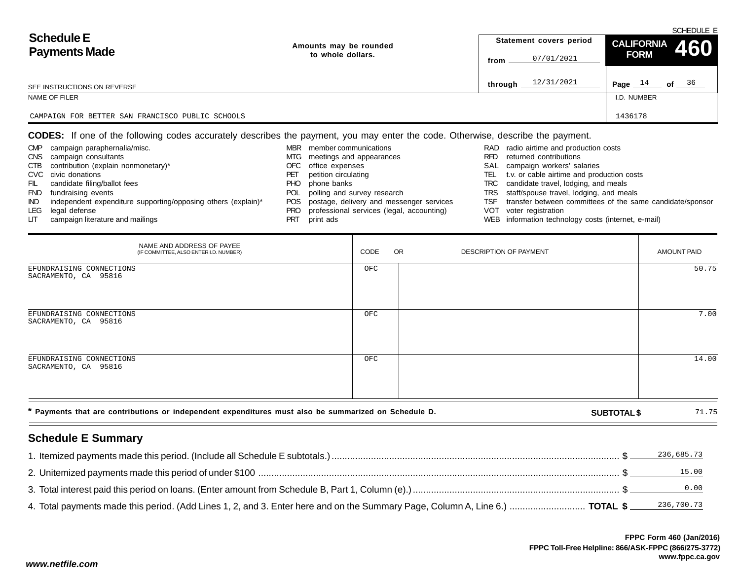| <b>Schedule E</b><br><b>Payments Made</b>        | Amounts may be rounded |         | Statement covers period | $\left  \begin{array}{cc} \text{CALIFORNIA} & 460 \end{array} \right $ | SCHEDULE E |
|--------------------------------------------------|------------------------|---------|-------------------------|------------------------------------------------------------------------|------------|
|                                                  | to whole dollars.      | from    | 07/01/2021              | <b>FORM</b>                                                            |            |
| SEE INSTRUCTIONS ON REVERSE                      |                        | through | 12/31/2021              | Page $14$                                                              | of $36$    |
| NAME OF FILER                                    |                        |         |                         | I.D. NUMBER                                                            |            |
| CAMPAIGN FOR BETTER SAN FRANCISCO PUBLIC SCHOOLS |                        |         |                         | 1436178                                                                |            |

**CODES:** If one of the following codes accurately describes the payment, you may enter the code. Otherwise, describe the payment.

| <b>CMP</b> | campaign paraphernalia/misc.                                  | MBR  | member communications                        |      | RAD radio airtime and production costs                    |
|------------|---------------------------------------------------------------|------|----------------------------------------------|------|-----------------------------------------------------------|
| <b>CNS</b> | campaign consultants                                          | MTG  | meetings and appearances                     | RFD  | returned contributions                                    |
| CTB        | contribution (explain nonmonetary)*                           | OFC. | office expenses                              |      | SAL campaign workers' salaries                            |
|            | CVC civic donations                                           | PET  | petition circulating                         | TEL. | t.v. or cable airtime and production costs                |
| FIL        | candidate filing/ballot fees                                  | PHO. | phone banks                                  | TRC  | candidate travel, lodging, and meals                      |
| <b>FND</b> | fundraising events                                            | POL  | polling and survey research                  |      | TRS staff/spouse travel, lodging, and meals               |
| IND.       |                                                               |      | POS postage, delivery and messenger services | TSF  | transfer between committees of the same candidate/sponsor |
| LEG        | legal defense                                                 | PRO. | professional services (legal, accounting)    |      | VOT voter registration                                    |
| LГ         | campaign literature and mailings                              |      | print ads                                    |      | WEB information technology costs (internet, e-mail)       |
|            | independent expenditure supporting/opposing others (explain)* |      |                                              |      |                                                           |

| NAME AND ADDRESS OF PAYEE<br>(IF COMMITTEE, ALSO ENTER I.D. NUMBER)                                  | CODE | OR. | DESCRIPTION OF PAYMENT |                    | <b>AMOUNT PAID</b> |
|------------------------------------------------------------------------------------------------------|------|-----|------------------------|--------------------|--------------------|
| EFUNDRAISING CONNECTIONS<br>SACRAMENTO, CA 95816                                                     | OFC  |     |                        |                    | 50.75              |
| EFUNDRAISING CONNECTIONS<br>SACRAMENTO, CA 95816                                                     | OFC  |     |                        |                    | 7.00               |
| EFUNDRAISING CONNECTIONS<br>SACRAMENTO, CA 95816                                                     | OFC  |     |                        |                    | 14.00              |
| * Payments that are contributions or independent expenditures must also be summarized on Schedule D. |      |     |                        | <b>SUBTOTAL \$</b> | 71.75              |

# **Schedule E Summary**

| . Itemized payments made this period. (Include all Schedule E subtotals.) ……………………………………………………………………………………………\$                         | 236,685.73 |
|-----------------------------------------------------------------------------------------------------------------------------------------|------------|
|                                                                                                                                         | 15.00      |
|                                                                                                                                         | 0.00       |
| 4. Total payments made this period. (Add Lines 1, 2, and 3. Enter here and on the Summary Page, Column A, Line 6.)  TOTAL \$ 236,700.73 |            |

 $\sim$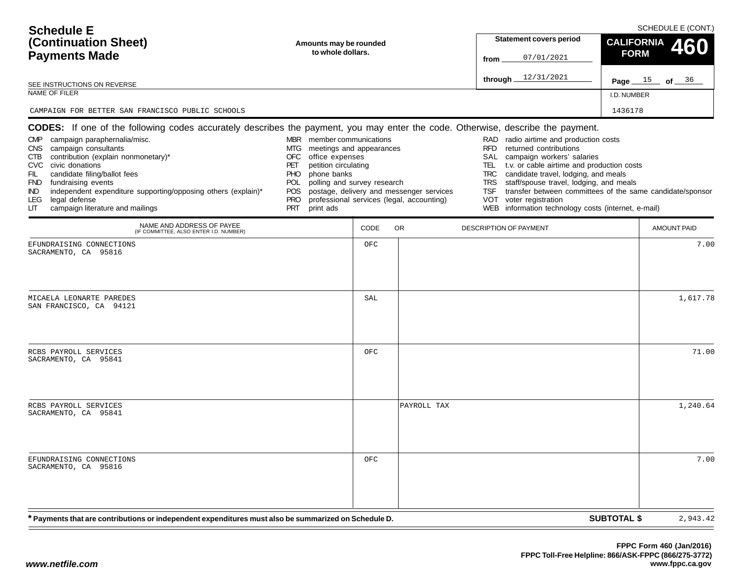| <b>Schedule E</b><br>(Continuation Sheet)<br><b>Payments Made</b><br>SEE INSTRUCTIONS ON REVERSE<br>NAME OF FILER                                                                                                                                                                                                                                              | Amounts may be rounded<br>to whole dollars.                                                                                                                                                                                                     |      |                                                                                       | <b>Statement covers period</b><br>07/01/2021<br>from<br>through $12/31/2021$                                                                                                                                                                                                                                                                                                                  | SCHEDULE E (CONT.)<br><b>CALIFORNIA</b><br>460<br><b>FORM</b><br>Page $15$ of $36$<br>I.D. NUMBER |
|----------------------------------------------------------------------------------------------------------------------------------------------------------------------------------------------------------------------------------------------------------------------------------------------------------------------------------------------------------------|-------------------------------------------------------------------------------------------------------------------------------------------------------------------------------------------------------------------------------------------------|------|---------------------------------------------------------------------------------------|-----------------------------------------------------------------------------------------------------------------------------------------------------------------------------------------------------------------------------------------------------------------------------------------------------------------------------------------------------------------------------------------------|---------------------------------------------------------------------------------------------------|
| CAMPAIGN FOR BETTER SAN FRANCISCO PUBLIC SCHOOLS<br>CODES: If one of the following codes accurately describes the payment, you may enter the code. Otherwise, describe the payment.                                                                                                                                                                            |                                                                                                                                                                                                                                                 |      |                                                                                       |                                                                                                                                                                                                                                                                                                                                                                                               | 1436178                                                                                           |
| campaign paraphernalia/misc.<br><b>CMP</b><br>campaign consultants<br>CNS .<br>contribution (explain nonmonetary)*<br>CTB<br>CVC civic donations<br>FIL<br>candidate filing/ballot fees<br>FND fundraising events<br>independent expenditure supporting/opposing others (explain)*<br>IND.<br>legal defense<br>LEG.<br>campaign literature and mailings<br>LIТ | MBR member communications<br>meetings and appearances<br>MTG<br>OFC<br>office expenses<br>petition circulating<br>PET<br>phone banks<br><b>PHO</b><br>polling and survey research<br>POL<br><b>POS</b><br><b>PRO</b><br><b>PRT</b><br>print ads |      | postage, delivery and messenger services<br>professional services (legal, accounting) | radio airtime and production costs<br>RAD<br><b>RFD</b><br>returned contributions<br>campaign workers' salaries<br>SAL<br>t.v. or cable airtime and production costs<br>TEL.<br>candidate travel, lodging, and meals<br><b>TRC</b><br>staff/spouse travel, lodging, and meals<br><b>TRS</b><br><b>TSF</b><br>voter registration<br>VOT<br>WEB information technology costs (internet, e-mail) | transfer between committees of the same candidate/sponsor                                         |
| NAME AND ADDRESS OF PAYEE<br>(IF COMMITTEE, ALSO ENTER I.D. NUMBER)                                                                                                                                                                                                                                                                                            |                                                                                                                                                                                                                                                 | CODE | OR.                                                                                   | DESCRIPTION OF PAYMENT                                                                                                                                                                                                                                                                                                                                                                        | <b>AMOUNT PAID</b>                                                                                |
| EFUNDRAISING CONNECTIONS<br>SACRAMENTO, CA 95816                                                                                                                                                                                                                                                                                                               |                                                                                                                                                                                                                                                 | OFC  |                                                                                       |                                                                                                                                                                                                                                                                                                                                                                                               | 7.00                                                                                              |
| MICAELA LEONARTE PAREDES<br>SAN FRANCISCO, CA 94121                                                                                                                                                                                                                                                                                                            |                                                                                                                                                                                                                                                 | SAL  |                                                                                       |                                                                                                                                                                                                                                                                                                                                                                                               | 1,617.78                                                                                          |
| RCBS PAYROLL SERVICES<br>SACRAMENTO, CA 95841                                                                                                                                                                                                                                                                                                                  |                                                                                                                                                                                                                                                 | OFC  |                                                                                       |                                                                                                                                                                                                                                                                                                                                                                                               | 71.00                                                                                             |
| RCBS PAYROLL SERVICES<br>SACRAMENTO, CA 95841                                                                                                                                                                                                                                                                                                                  |                                                                                                                                                                                                                                                 |      | PAYROLL TAX                                                                           |                                                                                                                                                                                                                                                                                                                                                                                               | 1,240.64                                                                                          |
| EFUNDRAISING CONNECTIONS<br>SACRAMENTO, CA 95816                                                                                                                                                                                                                                                                                                               |                                                                                                                                                                                                                                                 | OFC  |                                                                                       |                                                                                                                                                                                                                                                                                                                                                                                               | 7.00                                                                                              |
| * Payments that are contributions or independent expenditures must also be summarized on Schedule D.                                                                                                                                                                                                                                                           |                                                                                                                                                                                                                                                 |      |                                                                                       |                                                                                                                                                                                                                                                                                                                                                                                               | <b>SUBTOTAL \$</b><br>2,943.42                                                                    |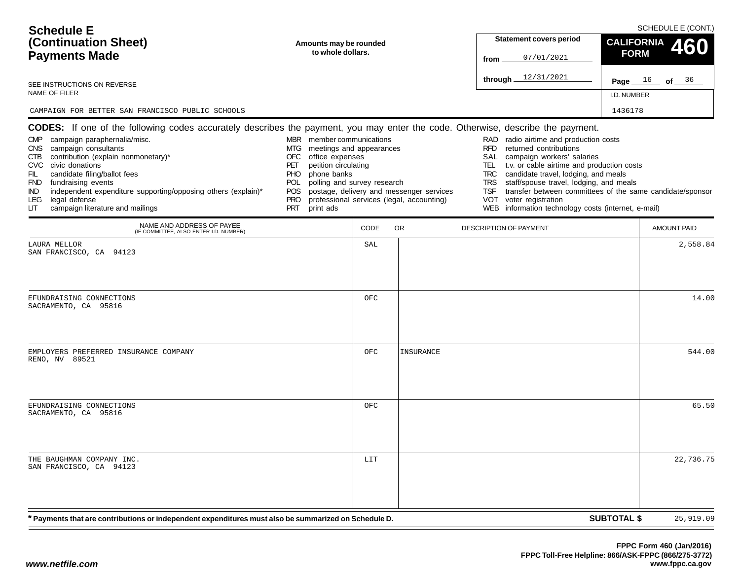| <b>Schedule E</b><br>(Continuation Sheet)<br><b>Payments Made</b>                                                                                                                                                                                                                                                                                                                                                                                                                                       | Amounts may be rounded<br>to whole dollars.                                                                                                                                                                                                                                       |      |                                           | <b>Statement covers period</b><br>07/01/2021<br>from                                                                                                                                                                                                                                                                                                                                                                                                             | SCHEDULE E (CONT.)<br><b>CALIFORNIA</b><br><b>FORM</b> | 460       |
|---------------------------------------------------------------------------------------------------------------------------------------------------------------------------------------------------------------------------------------------------------------------------------------------------------------------------------------------------------------------------------------------------------------------------------------------------------------------------------------------------------|-----------------------------------------------------------------------------------------------------------------------------------------------------------------------------------------------------------------------------------------------------------------------------------|------|-------------------------------------------|------------------------------------------------------------------------------------------------------------------------------------------------------------------------------------------------------------------------------------------------------------------------------------------------------------------------------------------------------------------------------------------------------------------------------------------------------------------|--------------------------------------------------------|-----------|
| SEE INSTRUCTIONS ON REVERSE                                                                                                                                                                                                                                                                                                                                                                                                                                                                             |                                                                                                                                                                                                                                                                                   |      |                                           | through $12/31/2021$                                                                                                                                                                                                                                                                                                                                                                                                                                             | Page $16$ of $36$                                      |           |
| NAME OF FILER                                                                                                                                                                                                                                                                                                                                                                                                                                                                                           |                                                                                                                                                                                                                                                                                   |      |                                           |                                                                                                                                                                                                                                                                                                                                                                                                                                                                  | I.D. NUMBER                                            |           |
| CAMPAIGN FOR BETTER SAN FRANCISCO PUBLIC SCHOOLS                                                                                                                                                                                                                                                                                                                                                                                                                                                        |                                                                                                                                                                                                                                                                                   |      |                                           |                                                                                                                                                                                                                                                                                                                                                                                                                                                                  | 1436178                                                |           |
| <b>CODES:</b> If one of the following codes accurately describes the payment, you may enter the code. Otherwise, describe the payment.<br>campaign paraphernalia/misc.<br><b>CMP</b><br>CNS campaign consultants<br>CTB contribution (explain nonmonetary)*<br>CVC civic donations<br>candidate filing/ballot fees<br>FIL.<br>FND fundraising events<br>independent expenditure supporting/opposing others (explain)*<br>IND.<br>legal defense<br><b>LEG</b><br>campaign literature and mailings<br>LIТ | MBR member communications<br>meetings and appearances<br>MTG<br>office expenses<br>OFC<br>petition circulating<br>PET<br>phone banks<br><b>PHO</b><br>polling and survey research<br>POL<br>POS postage, delivery and messenger services<br><b>PRO</b><br><b>PRT</b><br>print ads |      | professional services (legal, accounting) | RAD radio airtime and production costs<br><b>RFD</b><br>returned contributions<br>SAL<br>campaign workers' salaries<br>TEL<br>t.v. or cable airtime and production costs<br>candidate travel, lodging, and meals<br><b>TRC</b><br>staff/spouse travel, lodging, and meals<br><b>TRS</b><br>transfer between committees of the same candidate/sponsor<br><b>TSF</b><br>voter registration<br><b>VOT</b><br>information technology costs (internet, e-mail)<br>WEB |                                                        |           |
| NAME AND ADDRESS OF PAYEE<br>(IF COMMITTEE, ALSO ENTER I.D. NUMBER)                                                                                                                                                                                                                                                                                                                                                                                                                                     |                                                                                                                                                                                                                                                                                   | CODE | OR.                                       | DESCRIPTION OF PAYMENT                                                                                                                                                                                                                                                                                                                                                                                                                                           | <b>AMOUNT PAID</b>                                     |           |
| LAURA MELLOR<br>SAN FRANCISCO, CA 94123                                                                                                                                                                                                                                                                                                                                                                                                                                                                 |                                                                                                                                                                                                                                                                                   | SAL  |                                           |                                                                                                                                                                                                                                                                                                                                                                                                                                                                  |                                                        | 2,558.84  |
| EFUNDRAISING CONNECTIONS<br>SACRAMENTO, CA 95816                                                                                                                                                                                                                                                                                                                                                                                                                                                        |                                                                                                                                                                                                                                                                                   | OFC  |                                           |                                                                                                                                                                                                                                                                                                                                                                                                                                                                  |                                                        | 14.00     |
| EMPLOYERS PREFERRED INSURANCE COMPANY<br>RENO, NV 89521                                                                                                                                                                                                                                                                                                                                                                                                                                                 |                                                                                                                                                                                                                                                                                   | OFC  | INSURANCE                                 |                                                                                                                                                                                                                                                                                                                                                                                                                                                                  |                                                        | 544.00    |
| EFUNDRAISING CONNECTIONS<br>SACRAMENTO, CA 95816                                                                                                                                                                                                                                                                                                                                                                                                                                                        |                                                                                                                                                                                                                                                                                   | OFC  |                                           |                                                                                                                                                                                                                                                                                                                                                                                                                                                                  |                                                        | 65.50     |
| THE BAUGHMAN COMPANY INC.<br>SAN FRANCISCO, CA 94123                                                                                                                                                                                                                                                                                                                                                                                                                                                    |                                                                                                                                                                                                                                                                                   | LIT  |                                           |                                                                                                                                                                                                                                                                                                                                                                                                                                                                  |                                                        | 22,736.75 |
| * Payments that are contributions or independent expenditures must also be summarized on Schedule D.                                                                                                                                                                                                                                                                                                                                                                                                    |                                                                                                                                                                                                                                                                                   |      |                                           |                                                                                                                                                                                                                                                                                                                                                                                                                                                                  | <b>SUBTOTAL \$</b>                                     | 25,919.09 |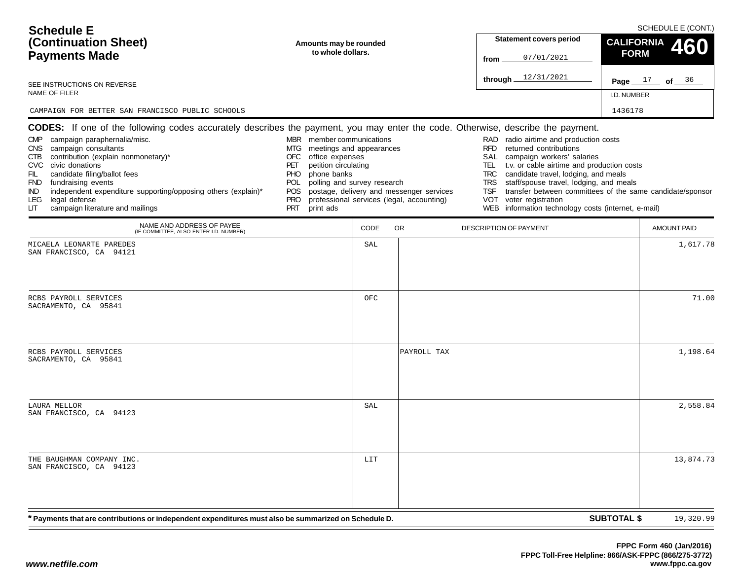| <b>Schedule E</b><br>(Continuation Sheet)<br><b>Payments Made</b><br>SEE INSTRUCTIONS ON REVERSE<br>NAME OF FILER<br>CAMPAIGN FOR BETTER SAN FRANCISCO PUBLIC SCHOOLS                                                                                                                                                                                         | Amounts may be rounded<br>to whole dollars.                                                                                                                                                                                                |      |                                                                                       | <b>Statement covers period</b><br>07/01/2021<br>from<br>through $12/31/2021$                                                                                                                                                                                                                                                                                                                                                                           | <b>CALIFORNIA</b><br><b>FORM</b><br>I.D. NUMBER<br>1436178 | SCHEDULE E (CONT.)<br>460<br><b>Page</b> $17$ of $36$ |
|---------------------------------------------------------------------------------------------------------------------------------------------------------------------------------------------------------------------------------------------------------------------------------------------------------------------------------------------------------------|--------------------------------------------------------------------------------------------------------------------------------------------------------------------------------------------------------------------------------------------|------|---------------------------------------------------------------------------------------|--------------------------------------------------------------------------------------------------------------------------------------------------------------------------------------------------------------------------------------------------------------------------------------------------------------------------------------------------------------------------------------------------------------------------------------------------------|------------------------------------------------------------|-------------------------------------------------------|
| CODES: If one of the following codes accurately describes the payment, you may enter the code. Otherwise, describe the payment.                                                                                                                                                                                                                               |                                                                                                                                                                                                                                            |      |                                                                                       |                                                                                                                                                                                                                                                                                                                                                                                                                                                        |                                                            |                                                       |
| campaign paraphernalia/misc.<br><b>CMP</b><br>campaign consultants<br>CNS.<br>contribution (explain nonmonetary)*<br>CTB<br>CVC civic donations<br>FIL<br>candidate filing/ballot fees<br>FND fundraising events<br>independent expenditure supporting/opposing others (explain)*<br>IND.<br>legal defense<br>LEG.<br>campaign literature and mailings<br>LIТ | MBR member communications<br>meetings and appearances<br>MTG<br>OFC<br>office expenses<br>petition circulating<br>PET<br>phone banks<br>PHO.<br>polling and survey research<br>POL.<br><b>POS</b><br><b>PRO</b><br><b>PRT</b><br>print ads |      | postage, delivery and messenger services<br>professional services (legal, accounting) | RAD<br>radio airtime and production costs<br><b>RFD</b><br>returned contributions<br>SAL<br>campaign workers' salaries<br>t.v. or cable airtime and production costs<br>TEL.<br>candidate travel, lodging, and meals<br><b>TRC</b><br>staff/spouse travel, lodging, and meals<br><b>TRS</b><br>transfer between committees of the same candidate/sponsor<br>TSF<br>VOT<br>voter registration<br>information technology costs (internet, e-mail)<br>WEB |                                                            |                                                       |
| NAME AND ADDRESS OF PAYEE<br>(IF COMMITTEE, ALSO ENTER I.D. NUMBER)                                                                                                                                                                                                                                                                                           |                                                                                                                                                                                                                                            | CODE | OR.                                                                                   | DESCRIPTION OF PAYMENT                                                                                                                                                                                                                                                                                                                                                                                                                                 |                                                            | <b>AMOUNT PAID</b>                                    |
| MICAELA LEONARTE PAREDES<br>SAN FRANCISCO, CA 94121                                                                                                                                                                                                                                                                                                           |                                                                                                                                                                                                                                            | SAL  |                                                                                       |                                                                                                                                                                                                                                                                                                                                                                                                                                                        |                                                            | 1,617.78                                              |
| RCBS PAYROLL SERVICES<br>SACRAMENTO, CA 95841                                                                                                                                                                                                                                                                                                                 |                                                                                                                                                                                                                                            | OFC  |                                                                                       |                                                                                                                                                                                                                                                                                                                                                                                                                                                        |                                                            | 71.00                                                 |
| RCBS PAYROLL SERVICES<br>SACRAMENTO, CA 95841                                                                                                                                                                                                                                                                                                                 |                                                                                                                                                                                                                                            |      | PAYROLL TAX                                                                           |                                                                                                                                                                                                                                                                                                                                                                                                                                                        |                                                            | 1,198.64                                              |
| LAURA MELLOR<br>SAN FRANCISCO, CA 94123                                                                                                                                                                                                                                                                                                                       |                                                                                                                                                                                                                                            | SAL  |                                                                                       |                                                                                                                                                                                                                                                                                                                                                                                                                                                        |                                                            | 2,558.84                                              |
| THE BAUGHMAN COMPANY INC.<br>SAN FRANCISCO, CA 94123                                                                                                                                                                                                                                                                                                          |                                                                                                                                                                                                                                            | LIT  |                                                                                       |                                                                                                                                                                                                                                                                                                                                                                                                                                                        |                                                            | 13,874.73                                             |
| * Payments that are contributions or independent expenditures must also be summarized on Schedule D.                                                                                                                                                                                                                                                          |                                                                                                                                                                                                                                            |      |                                                                                       |                                                                                                                                                                                                                                                                                                                                                                                                                                                        | <b>SUBTOTAL \$</b>                                         | 19,320.99                                             |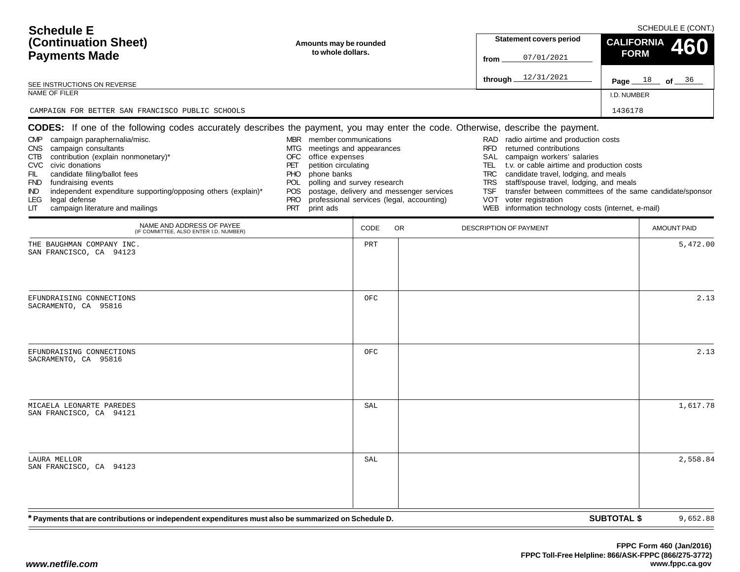| <b>Schedule E</b><br>(Continuation Sheet)<br><b>Payments Made</b><br>SEE INSTRUCTIONS ON REVERSE                                                                                                                                                                                                                                                                                                                                                                                                           | Amounts may be rounded<br>to whole dollars.                                                                                                                                                                                                                                       |      |                                           | <b>Statement covers period</b><br>07/01/2021<br>from<br>through $12/31/2021$                                                                                                                                                                                                                                                                                                                        | SCHEDULE E (CONT.)<br><b>CALIFORNIA</b><br>460<br><b>FORM</b><br>Page $18$ of $36$ |
|------------------------------------------------------------------------------------------------------------------------------------------------------------------------------------------------------------------------------------------------------------------------------------------------------------------------------------------------------------------------------------------------------------------------------------------------------------------------------------------------------------|-----------------------------------------------------------------------------------------------------------------------------------------------------------------------------------------------------------------------------------------------------------------------------------|------|-------------------------------------------|-----------------------------------------------------------------------------------------------------------------------------------------------------------------------------------------------------------------------------------------------------------------------------------------------------------------------------------------------------------------------------------------------------|------------------------------------------------------------------------------------|
| NAME OF FILER                                                                                                                                                                                                                                                                                                                                                                                                                                                                                              |                                                                                                                                                                                                                                                                                   |      |                                           |                                                                                                                                                                                                                                                                                                                                                                                                     | I.D. NUMBER                                                                        |
| CAMPAIGN FOR BETTER SAN FRANCISCO PUBLIC SCHOOLS                                                                                                                                                                                                                                                                                                                                                                                                                                                           |                                                                                                                                                                                                                                                                                   |      |                                           |                                                                                                                                                                                                                                                                                                                                                                                                     | 1436178                                                                            |
| <b>CODES:</b> If one of the following codes accurately describes the payment, you may enter the code. Otherwise, describe the payment.<br>campaign paraphernalia/misc.<br><b>CMP</b><br>CNS campaign consultants<br>contribution (explain nonmonetary)*<br>CTB<br>CVC civic donations<br>candidate filing/ballot fees<br>FIL.<br>FND fundraising events<br>independent expenditure supporting/opposing others (explain)*<br>IND.<br>legal defense<br><b>LEG</b><br>campaign literature and mailings<br>LIТ | MBR member communications<br>meetings and appearances<br>MTG<br>office expenses<br>OFC<br>petition circulating<br>PET<br>phone banks<br><b>PHO</b><br>polling and survey research<br>POL<br>POS postage, delivery and messenger services<br><b>PRO</b><br><b>PRT</b><br>print ads |      | professional services (legal, accounting) | RAD radio airtime and production costs<br><b>RFD</b><br>returned contributions<br>SAL<br>campaign workers' salaries<br>t.v. or cable airtime and production costs<br>TEL<br>candidate travel, lodging, and meals<br><b>TRC</b><br>staff/spouse travel, lodging, and meals<br><b>TRS</b><br><b>TSF</b><br>voter registration<br><b>VOT</b><br>information technology costs (internet, e-mail)<br>WEB | transfer between committees of the same candidate/sponsor                          |
| NAME AND ADDRESS OF PAYEE<br>(IF COMMITTEE, ALSO ENTER I.D. NUMBER)                                                                                                                                                                                                                                                                                                                                                                                                                                        |                                                                                                                                                                                                                                                                                   | CODE | OR.                                       | DESCRIPTION OF PAYMENT                                                                                                                                                                                                                                                                                                                                                                              | <b>AMOUNT PAID</b>                                                                 |
| THE BAUGHMAN COMPANY INC.<br>SAN FRANCISCO, CA 94123                                                                                                                                                                                                                                                                                                                                                                                                                                                       |                                                                                                                                                                                                                                                                                   | PRT  |                                           |                                                                                                                                                                                                                                                                                                                                                                                                     | 5,472.00                                                                           |
| EFUNDRAISING CONNECTIONS<br>SACRAMENTO, CA 95816                                                                                                                                                                                                                                                                                                                                                                                                                                                           |                                                                                                                                                                                                                                                                                   | OFC  |                                           |                                                                                                                                                                                                                                                                                                                                                                                                     | 2.13                                                                               |
| EFUNDRAISING CONNECTIONS<br>SACRAMENTO, CA 95816                                                                                                                                                                                                                                                                                                                                                                                                                                                           |                                                                                                                                                                                                                                                                                   | OFC  |                                           |                                                                                                                                                                                                                                                                                                                                                                                                     | 2.13                                                                               |
| MICAELA LEONARTE PAREDES<br>SAN FRANCISCO, CA 94121                                                                                                                                                                                                                                                                                                                                                                                                                                                        |                                                                                                                                                                                                                                                                                   | SAL  |                                           |                                                                                                                                                                                                                                                                                                                                                                                                     | 1,617.78                                                                           |
| <b>LAURA MELLOR</b><br>SAN FRANCISCO, CA 94123                                                                                                                                                                                                                                                                                                                                                                                                                                                             |                                                                                                                                                                                                                                                                                   | SAL  |                                           |                                                                                                                                                                                                                                                                                                                                                                                                     | 2,558.84                                                                           |
| * Payments that are contributions or independent expenditures must also be summarized on Schedule D.                                                                                                                                                                                                                                                                                                                                                                                                       |                                                                                                                                                                                                                                                                                   |      |                                           |                                                                                                                                                                                                                                                                                                                                                                                                     | <b>SUBTOTAL \$</b><br>9,652.88                                                     |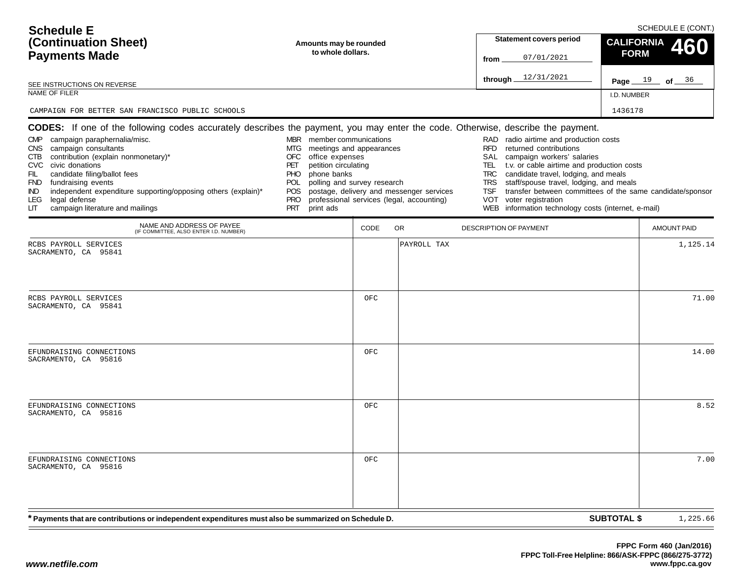| <b>Schedule E</b><br>(Continuation Sheet)                              | Amounts may be rounded                                                                                                                 | <b>Statement covers period</b>                                                 | SCHEDULE E (CONT.)<br>CALIFORNIA 460 |
|------------------------------------------------------------------------|----------------------------------------------------------------------------------------------------------------------------------------|--------------------------------------------------------------------------------|--------------------------------------|
| <b>Payments Made</b>                                                   | to whole dollars.                                                                                                                      | 07/01/2021<br>from                                                             | <b>FORM</b>                          |
| SEE INSTRUCTIONS ON REVERSE                                            |                                                                                                                                        | 12/31/2021<br>through.                                                         | Page $19$ of $36$                    |
| NAME OF FILER                                                          | I.D. NUMBER                                                                                                                            |                                                                                |                                      |
| CAMPAIGN FOR BETTER SAN FRANCISCO PUBLIC SCHOOLS                       |                                                                                                                                        |                                                                                | 1436178                              |
|                                                                        | <b>CODES:</b> If one of the following codes accurately describes the payment, you may enter the code. Otherwise, describe the payment. |                                                                                |                                      |
| campaign paraphernalia/misc.<br><b>CMP</b><br>CNS campaign consultants | member communications<br><b>MBR</b><br>meetings and appearances<br>MTG                                                                 | RAD radio airtime and production costs<br>returned contributions<br><b>RFD</b> |                                      |

POS postage, delivery and messenger services PRO professional services (legal, accounting)

OFC office expenses PET petition circulating PHO phone banks

POL polling and survey research

| legal defense<br>LEG<br>campaign literature and mailings<br>LIT.                                     | PRT<br>print ads | PRO professional services (legal, accounting) | VOT voter registration<br>WEB information technology costs (internet, e-mail) |                    |          |
|------------------------------------------------------------------------------------------------------|------------------|-----------------------------------------------|-------------------------------------------------------------------------------|--------------------|----------|
| NAME AND ADDRESS OF PAYEE<br>(IF COMMITTEE, ALSO ENTER I.D. NUMBER)                                  |                  | CODE<br>OR                                    | DESCRIPTION OF PAYMENT                                                        | AMOUNT PAID        |          |
| RCBS PAYROLL SERVICES<br>SACRAMENTO, CA 95841                                                        |                  |                                               | PAYROLL TAX                                                                   |                    | 1,125.14 |
| RCBS PAYROLL SERVICES<br>SACRAMENTO, CA 95841                                                        |                  | OFC                                           |                                                                               |                    | 71.00    |
| EFUNDRAISING CONNECTIONS<br>SACRAMENTO, CA 95816                                                     |                  | OFC                                           |                                                                               |                    | 14.00    |
| EFUNDRAISING CONNECTIONS<br>SACRAMENTO, CA 95816                                                     |                  | OFC                                           |                                                                               |                    | 8.52     |
| EFUNDRAISING CONNECTIONS<br>SACRAMENTO, CA 95816                                                     |                  | OFC                                           |                                                                               |                    | 7.00     |
| * Payments that are contributions or independent expenditures must also be summarized on Schedule D. |                  |                                               |                                                                               | <b>SUBTOTAL \$</b> | 1,225.66 |

SAL campaign workers' salaries

TEL t.v. or cable airtime and production costs TRC candidate travel, lodging, and meals TRS staff/spouse travel, lodging, and meals

TSF transfer between committees of the same candidate/sponsor

CTB contribution (explain nonmonetary)\*

independent expenditure supporting/opposing others (explain)\*

 FIL candidate filing/ballot fees FND fundraising events<br>IND independent expend

CVC civic donations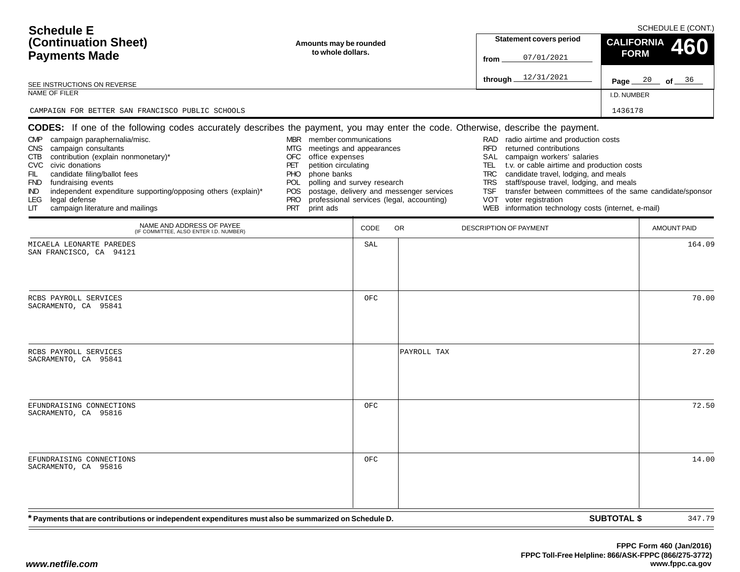| CAMPAIGN FOR BETTER SAN FRANCISCO PUBLIC SCHOOLS<br>1436178<br>CODES: If one of the following codes accurately describes the payment, you may enter the code. Otherwise, describe the payment.<br>MBR member communications<br>campaign paraphernalia/misc.<br>RAD<br>radio airtime and production costs<br><b>CMP</b><br>campaign consultants<br>meetings and appearances<br><b>RFD</b><br>returned contributions<br>CNS .<br>MTG<br>contribution (explain nonmonetary)*<br>SAL<br>campaign workers' salaries<br>CTB<br>OFC<br>office expenses<br>CVC civic donations<br>petition circulating<br>t.v. or cable airtime and production costs<br>PET<br>TEL.<br>phone banks<br>candidate travel, lodging, and meals<br>FIL<br>candidate filing/ballot fees<br>PHO.<br><b>TRC</b><br>polling and survey research<br>staff/spouse travel, lodging, and meals<br>FND fundraising events<br><b>TRS</b><br>POL.<br>independent expenditure supporting/opposing others (explain)*<br>postage, delivery and messenger services<br>transfer between committees of the same candidate/sponsor<br>TSF<br>IND.<br><b>POS</b><br>professional services (legal, accounting)<br>voter registration<br>legal defense<br>VOT<br>LEG.<br><b>PRO</b><br>campaign literature and mailings<br>information technology costs (internet, e-mail)<br><b>PRT</b><br>print ads<br>WEB<br>LIТ<br>NAME AND ADDRESS OF PAYEE<br>CODE<br>OR.<br>DESCRIPTION OF PAYMENT<br>(IF COMMITTEE, ALSO ENTER I.D. NUMBER)<br>SAL<br>MICAELA LEONARTE PAREDES<br>SAN FRANCISCO, CA 94121<br>OFC<br>RCBS PAYROLL SERVICES<br>SACRAMENTO, CA 95841<br>PAYROLL TAX<br>RCBS PAYROLL SERVICES | <b>AMOUNT PAID</b> |
|-------------------------------------------------------------------------------------------------------------------------------------------------------------------------------------------------------------------------------------------------------------------------------------------------------------------------------------------------------------------------------------------------------------------------------------------------------------------------------------------------------------------------------------------------------------------------------------------------------------------------------------------------------------------------------------------------------------------------------------------------------------------------------------------------------------------------------------------------------------------------------------------------------------------------------------------------------------------------------------------------------------------------------------------------------------------------------------------------------------------------------------------------------------------------------------------------------------------------------------------------------------------------------------------------------------------------------------------------------------------------------------------------------------------------------------------------------------------------------------------------------------------------------------------------------------------------------------------------------------------------------------------------|--------------------|
|                                                                                                                                                                                                                                                                                                                                                                                                                                                                                                                                                                                                                                                                                                                                                                                                                                                                                                                                                                                                                                                                                                                                                                                                                                                                                                                                                                                                                                                                                                                                                                                                                                                 |                    |
|                                                                                                                                                                                                                                                                                                                                                                                                                                                                                                                                                                                                                                                                                                                                                                                                                                                                                                                                                                                                                                                                                                                                                                                                                                                                                                                                                                                                                                                                                                                                                                                                                                                 |                    |
|                                                                                                                                                                                                                                                                                                                                                                                                                                                                                                                                                                                                                                                                                                                                                                                                                                                                                                                                                                                                                                                                                                                                                                                                                                                                                                                                                                                                                                                                                                                                                                                                                                                 |                    |
|                                                                                                                                                                                                                                                                                                                                                                                                                                                                                                                                                                                                                                                                                                                                                                                                                                                                                                                                                                                                                                                                                                                                                                                                                                                                                                                                                                                                                                                                                                                                                                                                                                                 | 164.09             |
|                                                                                                                                                                                                                                                                                                                                                                                                                                                                                                                                                                                                                                                                                                                                                                                                                                                                                                                                                                                                                                                                                                                                                                                                                                                                                                                                                                                                                                                                                                                                                                                                                                                 | 70.00              |
| SACRAMENTO, CA 95841                                                                                                                                                                                                                                                                                                                                                                                                                                                                                                                                                                                                                                                                                                                                                                                                                                                                                                                                                                                                                                                                                                                                                                                                                                                                                                                                                                                                                                                                                                                                                                                                                            | 27.20              |
| EFUNDRAISING CONNECTIONS<br>OFC<br>SACRAMENTO, CA 95816                                                                                                                                                                                                                                                                                                                                                                                                                                                                                                                                                                                                                                                                                                                                                                                                                                                                                                                                                                                                                                                                                                                                                                                                                                                                                                                                                                                                                                                                                                                                                                                         | 72.50              |
| OFC<br>EFUNDRAISING CONNECTIONS<br>SACRAMENTO, CA 95816                                                                                                                                                                                                                                                                                                                                                                                                                                                                                                                                                                                                                                                                                                                                                                                                                                                                                                                                                                                                                                                                                                                                                                                                                                                                                                                                                                                                                                                                                                                                                                                         | 14.00              |
| <b>SUBTOTAL \$</b><br>* Payments that are contributions or independent expenditures must also be summarized on Schedule D.                                                                                                                                                                                                                                                                                                                                                                                                                                                                                                                                                                                                                                                                                                                                                                                                                                                                                                                                                                                                                                                                                                                                                                                                                                                                                                                                                                                                                                                                                                                      | 347.79             |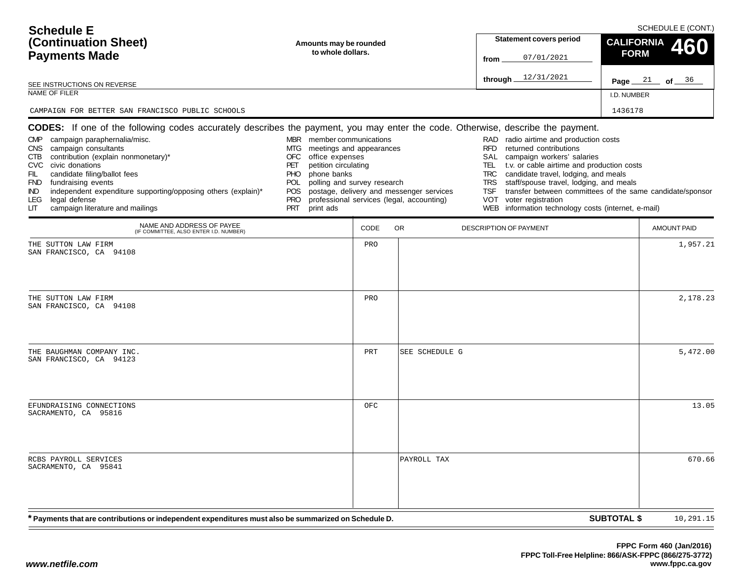| <b>Schedule E</b><br>(Continuation Sheet)<br><b>Payments Made</b>                                                                                                                                                                                                                                                                                                                                                                                                                                                    | Amounts may be rounded<br>to whole dollars.                                                                                                                                                                                              |      |                                                                                       | <b>Statement covers period</b><br>07/01/2021<br>from                                                                                                                                                                                                                                                                                                                                                                                                             | <b>CALIFORNIA</b><br><b>FORM</b> | SCHEDULE E (CONT.)<br>460 |
|----------------------------------------------------------------------------------------------------------------------------------------------------------------------------------------------------------------------------------------------------------------------------------------------------------------------------------------------------------------------------------------------------------------------------------------------------------------------------------------------------------------------|------------------------------------------------------------------------------------------------------------------------------------------------------------------------------------------------------------------------------------------|------|---------------------------------------------------------------------------------------|------------------------------------------------------------------------------------------------------------------------------------------------------------------------------------------------------------------------------------------------------------------------------------------------------------------------------------------------------------------------------------------------------------------------------------------------------------------|----------------------------------|---------------------------|
| SEE INSTRUCTIONS ON REVERSE                                                                                                                                                                                                                                                                                                                                                                                                                                                                                          |                                                                                                                                                                                                                                          |      |                                                                                       | through $12/31/2021$                                                                                                                                                                                                                                                                                                                                                                                                                                             |                                  | Page $21$ of $36$         |
| NAME OF FILER                                                                                                                                                                                                                                                                                                                                                                                                                                                                                                        |                                                                                                                                                                                                                                          |      |                                                                                       |                                                                                                                                                                                                                                                                                                                                                                                                                                                                  | I.D. NUMBER                      |                           |
| CAMPAIGN FOR BETTER SAN FRANCISCO PUBLIC SCHOOLS                                                                                                                                                                                                                                                                                                                                                                                                                                                                     |                                                                                                                                                                                                                                          |      |                                                                                       |                                                                                                                                                                                                                                                                                                                                                                                                                                                                  | 1436178                          |                           |
| <b>CODES:</b> If one of the following codes accurately describes the payment, you may enter the code. Otherwise, describe the payment.<br>campaign paraphernalia/misc.<br><b>CMP</b><br>campaign consultants<br><b>CNS</b><br>contribution (explain nonmonetary)*<br>CTB<br>CVC civic donations<br>candidate filing/ballot fees<br>FIL.<br>FND fundraising events<br>independent expenditure supporting/opposing others (explain)*<br>IND.<br>legal defense<br><b>LEG</b><br>campaign literature and mailings<br>LIТ | MBR member communications<br>meetings and appearances<br>MTG<br>office expenses<br>OFC<br>petition circulating<br>PET<br>phone banks<br><b>PHO</b><br>polling and survey research<br>POL<br>POS<br><b>PRO</b><br><b>PRT</b><br>print ads |      | postage, delivery and messenger services<br>professional services (legal, accounting) | RAD radio airtime and production costs<br><b>RFD</b><br>returned contributions<br>SAL<br>campaign workers' salaries<br>t.v. or cable airtime and production costs<br>TEL<br>candidate travel, lodging, and meals<br><b>TRC</b><br>staff/spouse travel, lodging, and meals<br><b>TRS</b><br>transfer between committees of the same candidate/sponsor<br><b>TSF</b><br>voter registration<br><b>VOT</b><br>information technology costs (internet, e-mail)<br>WEB |                                  |                           |
| NAME AND ADDRESS OF PAYEE<br>(IF COMMITTEE, ALSO ENTER I.D. NUMBER)                                                                                                                                                                                                                                                                                                                                                                                                                                                  |                                                                                                                                                                                                                                          | CODE | OR.                                                                                   | DESCRIPTION OF PAYMENT                                                                                                                                                                                                                                                                                                                                                                                                                                           |                                  | <b>AMOUNT PAID</b>        |
| THE SUTTON LAW FIRM<br>SAN FRANCISCO, CA 94108                                                                                                                                                                                                                                                                                                                                                                                                                                                                       |                                                                                                                                                                                                                                          | PRO  |                                                                                       |                                                                                                                                                                                                                                                                                                                                                                                                                                                                  |                                  | 1,957.21                  |
| THE SUTTON LAW FIRM<br>SAN FRANCISCO, CA 94108                                                                                                                                                                                                                                                                                                                                                                                                                                                                       |                                                                                                                                                                                                                                          | PRO  |                                                                                       |                                                                                                                                                                                                                                                                                                                                                                                                                                                                  |                                  | 2,178.23                  |
| THE BAUGHMAN COMPANY INC.<br>SAN FRANCISCO, CA 94123                                                                                                                                                                                                                                                                                                                                                                                                                                                                 |                                                                                                                                                                                                                                          | PRT  | SEE SCHEDULE G                                                                        |                                                                                                                                                                                                                                                                                                                                                                                                                                                                  |                                  | 5,472.00                  |
| EFUNDRAISING CONNECTIONS<br>SACRAMENTO, CA 95816                                                                                                                                                                                                                                                                                                                                                                                                                                                                     |                                                                                                                                                                                                                                          | OFC  |                                                                                       |                                                                                                                                                                                                                                                                                                                                                                                                                                                                  |                                  | 13.05                     |
| RCBS PAYROLL SERVICES<br>SACRAMENTO, CA 95841                                                                                                                                                                                                                                                                                                                                                                                                                                                                        |                                                                                                                                                                                                                                          |      | PAYROLL TAX                                                                           |                                                                                                                                                                                                                                                                                                                                                                                                                                                                  |                                  | 670.66                    |
| * Payments that are contributions or independent expenditures must also be summarized on Schedule D.                                                                                                                                                                                                                                                                                                                                                                                                                 |                                                                                                                                                                                                                                          |      |                                                                                       |                                                                                                                                                                                                                                                                                                                                                                                                                                                                  | <b>SUBTOTAL \$</b>               | 10,291.15                 |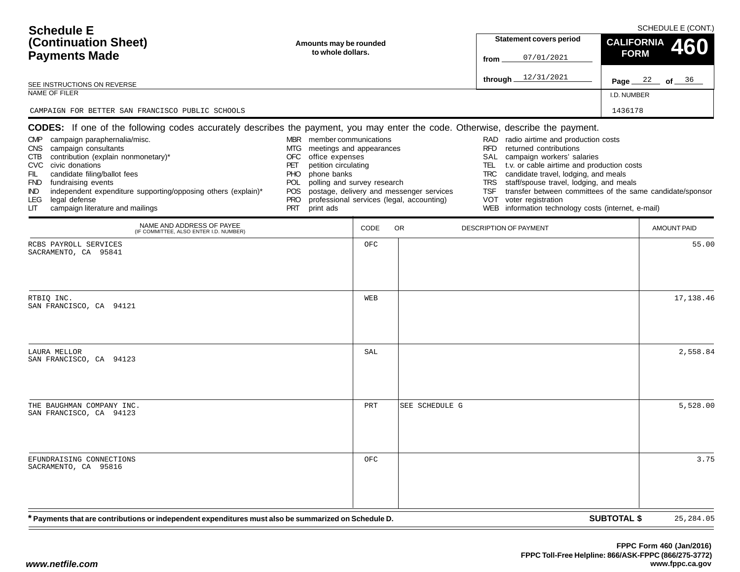| <b>Schedule E</b><br>(Continuation Sheet)<br>Amounts may be rounded<br>to whole dollars.<br><b>Payments Made</b>                                                                                                                                                                                                                                                                                                                                                                                    |                                                                                                                                                                                                                                            |      |                                                                                       | <b>Statement covers period</b><br>07/01/2021<br>from                                                                                                                                                                                                                                                                                                                                                   | SCHEDULE E (CONT.)<br><b>CALIFORNIA</b><br>460<br><b>FORM</b> |
|-----------------------------------------------------------------------------------------------------------------------------------------------------------------------------------------------------------------------------------------------------------------------------------------------------------------------------------------------------------------------------------------------------------------------------------------------------------------------------------------------------|--------------------------------------------------------------------------------------------------------------------------------------------------------------------------------------------------------------------------------------------|------|---------------------------------------------------------------------------------------|--------------------------------------------------------------------------------------------------------------------------------------------------------------------------------------------------------------------------------------------------------------------------------------------------------------------------------------------------------------------------------------------------------|---------------------------------------------------------------|
| SEE INSTRUCTIONS ON REVERSE                                                                                                                                                                                                                                                                                                                                                                                                                                                                         |                                                                                                                                                                                                                                            |      |                                                                                       | 12/31/2021<br>through.                                                                                                                                                                                                                                                                                                                                                                                 | Page $22$ of $36$                                             |
| NAME OF FILER                                                                                                                                                                                                                                                                                                                                                                                                                                                                                       |                                                                                                                                                                                                                                            |      |                                                                                       |                                                                                                                                                                                                                                                                                                                                                                                                        | I.D. NUMBER                                                   |
| CAMPAIGN FOR BETTER SAN FRANCISCO PUBLIC SCHOOLS                                                                                                                                                                                                                                                                                                                                                                                                                                                    |                                                                                                                                                                                                                                            |      |                                                                                       |                                                                                                                                                                                                                                                                                                                                                                                                        | 1436178                                                       |
| <b>CODES:</b> If one of the following codes accurately describes the payment, you may enter the code. Otherwise, describe the payment.<br>CMP campaign paraphernalia/misc.<br>campaign consultants<br><b>CNS</b><br>contribution (explain nonmonetary)*<br>CTB<br>CVC civic donations<br>FIL<br>candidate filing/ballot fees<br>FND fundraising events<br>independent expenditure supporting/opposing others (explain)*<br>IND.<br>legal defense<br>LEG.<br>campaign literature and mailings<br>LIТ | MBR member communications<br>meetings and appearances<br>MTG.<br><b>OFC</b><br>office expenses<br>petition circulating<br>PET<br>phone banks<br>PHO<br>polling and survey research<br>POL<br>POS.<br><b>PRO</b><br><b>PRT</b><br>print ads |      | postage, delivery and messenger services<br>professional services (legal, accounting) | radio airtime and production costs<br>RAD<br>returned contributions<br><b>RFD</b><br>SAL<br>campaign workers' salaries<br>t.v. or cable airtime and production costs<br>TEL<br>candidate travel, lodging, and meals<br><b>TRC</b><br>staff/spouse travel, lodging, and meals<br><b>TRS</b><br>TSF<br><b>VOT</b><br>voter registration<br>information technology costs (internet, e-mail)<br><b>WEB</b> | transfer between committees of the same candidate/sponsor     |
| NAME AND ADDRESS OF PAYEE<br>(IF COMMITTEE, ALSO ENTER I.D. NUMBER)                                                                                                                                                                                                                                                                                                                                                                                                                                 |                                                                                                                                                                                                                                            | CODE | <b>OR</b>                                                                             | <b>DESCRIPTION OF PAYMENT</b>                                                                                                                                                                                                                                                                                                                                                                          | <b>AMOUNT PAID</b>                                            |
| RCBS PAYROLL SERVICES<br>SACRAMENTO, CA 95841                                                                                                                                                                                                                                                                                                                                                                                                                                                       |                                                                                                                                                                                                                                            | OFC  |                                                                                       |                                                                                                                                                                                                                                                                                                                                                                                                        | 55.00                                                         |
| RTBIQ INC.<br>SAN FRANCISCO, CA 94121                                                                                                                                                                                                                                                                                                                                                                                                                                                               |                                                                                                                                                                                                                                            | WEB  |                                                                                       |                                                                                                                                                                                                                                                                                                                                                                                                        | 17,138.46                                                     |
| LAURA MELLOR<br>SAN FRANCISCO, CA 94123                                                                                                                                                                                                                                                                                                                                                                                                                                                             |                                                                                                                                                                                                                                            | SAL  |                                                                                       |                                                                                                                                                                                                                                                                                                                                                                                                        | 2,558.84                                                      |
| THE BAUGHMAN COMPANY INC.<br>SAN FRANCISCO, CA 94123                                                                                                                                                                                                                                                                                                                                                                                                                                                |                                                                                                                                                                                                                                            | PRT  | SEE SCHEDULE G                                                                        |                                                                                                                                                                                                                                                                                                                                                                                                        | 5,528.00                                                      |
| EFUNDRAISING CONNECTIONS<br>SACRAMENTO, CA 95816                                                                                                                                                                                                                                                                                                                                                                                                                                                    |                                                                                                                                                                                                                                            | OFC  |                                                                                       |                                                                                                                                                                                                                                                                                                                                                                                                        | 3.75                                                          |
| * Payments that are contributions or independent expenditures must also be summarized on Schedule D.                                                                                                                                                                                                                                                                                                                                                                                                |                                                                                                                                                                                                                                            |      |                                                                                       |                                                                                                                                                                                                                                                                                                                                                                                                        | <b>SUBTOTAL \$</b><br>25, 284.05                              |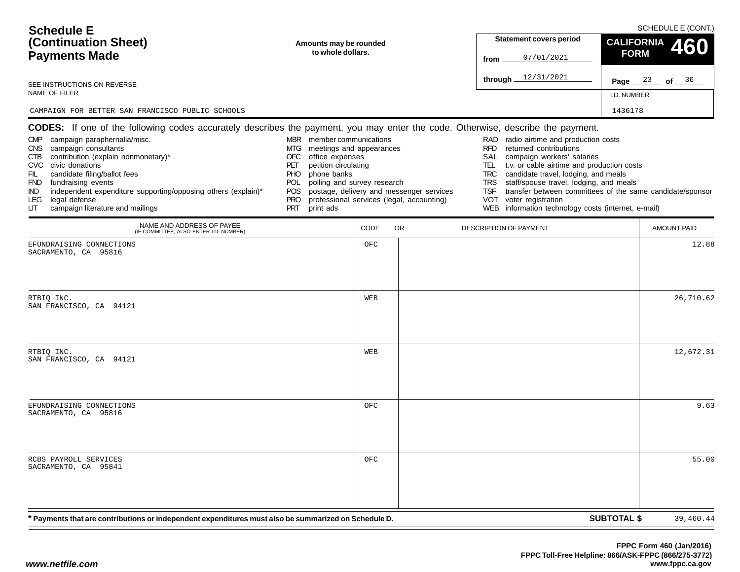| <b>Schedule E</b><br>(Continuation Sheet)<br><b>Payments Made</b><br>SEE INSTRUCTIONS ON REVERSE                                                                                                                                                                                                                                                                                                                                                                                                        | Amounts may be rounded<br>to whole dollars.                                                                                                                                                                                                                                       |      |                                           | <b>Statement covers period</b><br>07/01/2021<br>from<br>through $12/31/2021$                                                                                                                                                                                                                                                                                                                        | SCHEDULE E (CONT.)<br><b>CALIFORNIA</b><br>460<br><b>FORM</b><br>Page $23$ of $36$ |
|---------------------------------------------------------------------------------------------------------------------------------------------------------------------------------------------------------------------------------------------------------------------------------------------------------------------------------------------------------------------------------------------------------------------------------------------------------------------------------------------------------|-----------------------------------------------------------------------------------------------------------------------------------------------------------------------------------------------------------------------------------------------------------------------------------|------|-------------------------------------------|-----------------------------------------------------------------------------------------------------------------------------------------------------------------------------------------------------------------------------------------------------------------------------------------------------------------------------------------------------------------------------------------------------|------------------------------------------------------------------------------------|
| NAME OF FILER                                                                                                                                                                                                                                                                                                                                                                                                                                                                                           |                                                                                                                                                                                                                                                                                   |      |                                           |                                                                                                                                                                                                                                                                                                                                                                                                     | I.D. NUMBER                                                                        |
| CAMPAIGN FOR BETTER SAN FRANCISCO PUBLIC SCHOOLS                                                                                                                                                                                                                                                                                                                                                                                                                                                        |                                                                                                                                                                                                                                                                                   |      |                                           |                                                                                                                                                                                                                                                                                                                                                                                                     | 1436178                                                                            |
| <b>CODES:</b> If one of the following codes accurately describes the payment, you may enter the code. Otherwise, describe the payment.<br>campaign paraphernalia/misc.<br><b>CMP</b><br>CNS campaign consultants<br>CTB contribution (explain nonmonetary)*<br>CVC civic donations<br>candidate filing/ballot fees<br>FIL.<br>FND fundraising events<br>independent expenditure supporting/opposing others (explain)*<br>IND.<br>legal defense<br><b>LEG</b><br>campaign literature and mailings<br>LIТ | MBR member communications<br>meetings and appearances<br>MTG<br>office expenses<br>OFC<br>petition circulating<br>PET<br>phone banks<br><b>PHO</b><br>polling and survey research<br>POL<br>POS postage, delivery and messenger services<br><b>PRO</b><br><b>PRT</b><br>print ads |      | professional services (legal, accounting) | RAD radio airtime and production costs<br><b>RFD</b><br>returned contributions<br>SAL<br>campaign workers' salaries<br>TEL<br>t.v. or cable airtime and production costs<br>candidate travel, lodging, and meals<br><b>TRC</b><br>staff/spouse travel, lodging, and meals<br><b>TRS</b><br><b>TSF</b><br>voter registration<br><b>VOT</b><br>information technology costs (internet, e-mail)<br>WEB | transfer between committees of the same candidate/sponsor                          |
| NAME AND ADDRESS OF PAYEE<br>(IF COMMITTEE, ALSO ENTER I.D. NUMBER)                                                                                                                                                                                                                                                                                                                                                                                                                                     |                                                                                                                                                                                                                                                                                   | CODE | OR.                                       | DESCRIPTION OF PAYMENT                                                                                                                                                                                                                                                                                                                                                                              | <b>AMOUNT PAID</b>                                                                 |
| EFUNDRAISING CONNECTIONS<br>SACRAMENTO, CA 95816                                                                                                                                                                                                                                                                                                                                                                                                                                                        |                                                                                                                                                                                                                                                                                   | OFC  |                                           |                                                                                                                                                                                                                                                                                                                                                                                                     | 12.88                                                                              |
| RTBIQ INC.<br>SAN FRANCISCO, CA 94121                                                                                                                                                                                                                                                                                                                                                                                                                                                                   |                                                                                                                                                                                                                                                                                   | WEB  |                                           |                                                                                                                                                                                                                                                                                                                                                                                                     | 26,710.62                                                                          |
| RTBIQ INC.<br>SAN FRANCISCO, CA 94121                                                                                                                                                                                                                                                                                                                                                                                                                                                                   |                                                                                                                                                                                                                                                                                   | WEB  |                                           |                                                                                                                                                                                                                                                                                                                                                                                                     | 12,672.31                                                                          |
| EFUNDRAISING CONNECTIONS<br>SACRAMENTO, CA 95816                                                                                                                                                                                                                                                                                                                                                                                                                                                        |                                                                                                                                                                                                                                                                                   | OFC  |                                           |                                                                                                                                                                                                                                                                                                                                                                                                     | 9.63                                                                               |
| RCBS PAYROLL SERVICES<br>SACRAMENTO, CA 95841                                                                                                                                                                                                                                                                                                                                                                                                                                                           |                                                                                                                                                                                                                                                                                   | OFC  |                                           |                                                                                                                                                                                                                                                                                                                                                                                                     | 55.00                                                                              |
| * Payments that are contributions or independent expenditures must also be summarized on Schedule D.                                                                                                                                                                                                                                                                                                                                                                                                    |                                                                                                                                                                                                                                                                                   |      |                                           |                                                                                                                                                                                                                                                                                                                                                                                                     | <b>SUBTOTAL \$</b><br>39,460.44                                                    |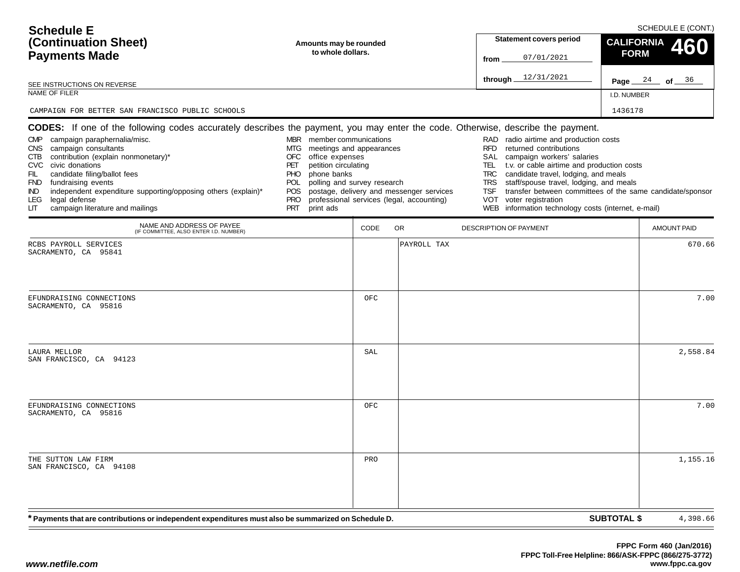| <b>Schedule E</b><br>(Continuation Sheet)                              | Amounts may be rounded                                                                                                                 | <b>Statement covers period</b>                                                 | SCHEDULE E (CONT.)<br>$\frac{\text{CALIFORNIA}}{\text{FORM}}$ 460 |
|------------------------------------------------------------------------|----------------------------------------------------------------------------------------------------------------------------------------|--------------------------------------------------------------------------------|-------------------------------------------------------------------|
| <b>Payments Made</b>                                                   | to whole dollars.                                                                                                                      | 07/01/2021<br>from                                                             | <b>FORM</b>                                                       |
| SEE INSTRUCTIONS ON REVERSE                                            |                                                                                                                                        | 12/31/2021<br>through_                                                         | Page $24$ of $36$                                                 |
| NAME OF FILER                                                          | I.D. NUMBER                                                                                                                            |                                                                                |                                                                   |
| CAMPAIGN FOR BETTER SAN FRANCISCO PUBLIC SCHOOLS                       |                                                                                                                                        |                                                                                | 1436178                                                           |
|                                                                        | <b>CODES:</b> If one of the following codes accurately describes the payment, you may enter the code. Otherwise, describe the payment. |                                                                                |                                                                   |
| campaign paraphernalia/misc.<br><b>CMP</b><br>CNS campaign consultants | member communications<br><b>MBR</b><br>meetings and appearances<br>MTG                                                                 | RAD radio airtime and production costs<br>returned contributions<br><b>RFD</b> |                                                                   |

POS postage, delivery and messenger services PRO professional services (legal, accounting)

OFC office expenses PET petition circulating PHO phone banks

POL polling and survey research

| campaign literature and mailings<br>LIТ                                                              | PRT print ads |            | WEB information technology costs (internet, e-mail) |                                |
|------------------------------------------------------------------------------------------------------|---------------|------------|-----------------------------------------------------|--------------------------------|
| NAME AND ADDRESS OF PAYEE<br>(IF COMMITTEE, ALSO ENTER I.D. NUMBER)                                  |               | CODE<br>OR | DESCRIPTION OF PAYMENT                              | <b>AMOUNT PAID</b>             |
| RCBS PAYROLL SERVICES<br>SACRAMENTO, CA 95841                                                        |               |            | PAYROLL TAX                                         | 670.66                         |
| EFUNDRAISING CONNECTIONS<br>SACRAMENTO, CA 95816                                                     |               | OFC        |                                                     | 7.00                           |
| LAURA MELLOR<br>SAN FRANCISCO, CA 94123                                                              |               | SAL        |                                                     | 2,558.84                       |
| EFUNDRAISING CONNECTIONS<br>SACRAMENTO, CA 95816                                                     |               | OFC        |                                                     | 7.00                           |
| THE SUTTON LAW FIRM<br>SAN FRANCISCO, CA 94108                                                       |               | PRO        |                                                     | 1,155.16                       |
| * Payments that are contributions or independent expenditures must also be summarized on Schedule D. |               |            |                                                     | <b>SUBTOTAL \$</b><br>4,398.66 |

SAL campaign workers' salaries

VOT voter registration

TEL t.v. or cable airtime and production costs TRC candidate travel, lodging, and meals TRS staff/spouse travel, lodging, and meals

TSF transfer between committees of the same candidate/sponsor

CTB contribution (explain nonmonetary)\*

independent expenditure supporting/opposing others (explain)\*

CVC civic donations

LEG legal defense<br>LIT campaign litera

FIL candidate filing/ballot fees FND fundraising events<br>IND independent expen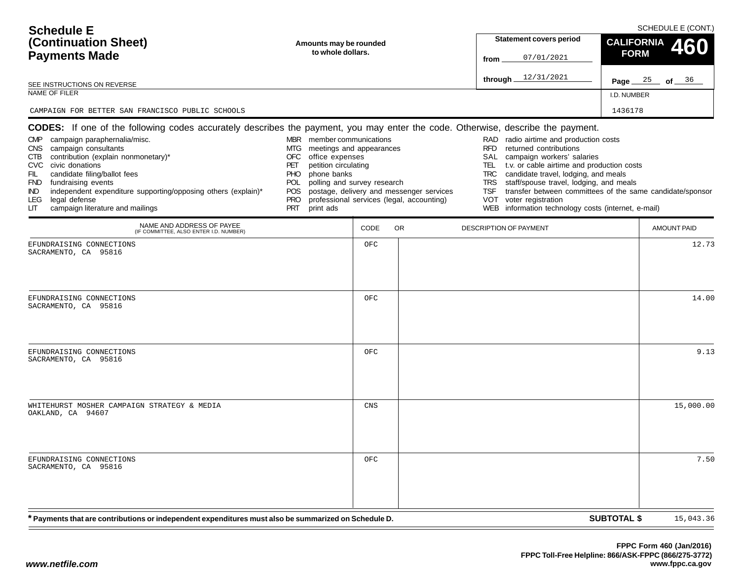| <b>Schedule E</b><br>(Continuation Sheet)<br><b>Payments Made</b><br>SEE INSTRUCTIONS ON REVERSE<br>NAME OF FILER<br>CAMPAIGN FOR BETTER SAN FRANCISCO PUBLIC SCHOOLS                                                                                                                                                                                                                                                                                                                             | Amounts may be rounded<br>to whole dollars.                                                                                                                                                                                               |             |                                                                                       | from                                                                       | <b>Statement covers period</b><br>07/01/2021<br>through $12/31/2021$                                                                                                                                                                                                                                                                                                  | <b>CALIFORNIA</b><br><b>FORM</b><br>I.D. NUMBER<br>1436178 | SCHEDULE E (CONT.)<br>460<br>Page $25$ of $36$ |
|---------------------------------------------------------------------------------------------------------------------------------------------------------------------------------------------------------------------------------------------------------------------------------------------------------------------------------------------------------------------------------------------------------------------------------------------------------------------------------------------------|-------------------------------------------------------------------------------------------------------------------------------------------------------------------------------------------------------------------------------------------|-------------|---------------------------------------------------------------------------------------|----------------------------------------------------------------------------|-----------------------------------------------------------------------------------------------------------------------------------------------------------------------------------------------------------------------------------------------------------------------------------------------------------------------------------------------------------------------|------------------------------------------------------------|------------------------------------------------|
| CODES: If one of the following codes accurately describes the payment, you may enter the code. Otherwise, describe the payment.<br>campaign paraphernalia/misc.<br><b>CMP</b><br>campaign consultants<br>CNS .<br>contribution (explain nonmonetary)*<br>CTB<br>CVC civic donations<br>FIL<br>candidate filing/ballot fees<br>FND fundraising events<br>independent expenditure supporting/opposing others (explain)*<br>IND.<br>legal defense<br>LEG.<br>campaign literature and mailings<br>LIТ | MBR member communications<br>meetings and appearances<br>MTG<br>OFC<br>office expenses<br>petition circulating<br>PET<br>phone banks<br>PHO.<br>polling and survey research<br>POL<br><b>POS</b><br><b>PRO</b><br><b>PRT</b><br>print ads |             | postage, delivery and messenger services<br>professional services (legal, accounting) | RAD<br><b>RFD</b><br>SAL<br>TEL.<br><b>TRC</b><br><b>TRS</b><br>TSF<br>VOT | radio airtime and production costs<br>returned contributions<br>campaign workers' salaries<br>t.v. or cable airtime and production costs<br>candidate travel, lodging, and meals<br>staff/spouse travel, lodging, and meals<br>transfer between committees of the same candidate/sponsor<br>voter registration<br>WEB information technology costs (internet, e-mail) |                                                            |                                                |
| NAME AND ADDRESS OF PAYEE<br>(IF COMMITTEE, ALSO ENTER I.D. NUMBER)<br>EFUNDRAISING CONNECTIONS                                                                                                                                                                                                                                                                                                                                                                                                   |                                                                                                                                                                                                                                           | CODE<br>OFC | OR.                                                                                   |                                                                            | DESCRIPTION OF PAYMENT                                                                                                                                                                                                                                                                                                                                                |                                                            | <b>AMOUNT PAID</b><br>12.73                    |
| SACRAMENTO, CA 95816<br>EFUNDRAISING CONNECTIONS<br>SACRAMENTO, CA 95816                                                                                                                                                                                                                                                                                                                                                                                                                          |                                                                                                                                                                                                                                           | OFC         |                                                                                       |                                                                            |                                                                                                                                                                                                                                                                                                                                                                       |                                                            | 14.00                                          |
| EFUNDRAISING CONNECTIONS<br>SACRAMENTO, CA 95816                                                                                                                                                                                                                                                                                                                                                                                                                                                  |                                                                                                                                                                                                                                           | OFC         |                                                                                       |                                                                            |                                                                                                                                                                                                                                                                                                                                                                       |                                                            | 9.13                                           |
| WHITEHURST MOSHER CAMPAIGN STRATEGY & MEDIA<br>OAKLAND, CA 94607                                                                                                                                                                                                                                                                                                                                                                                                                                  |                                                                                                                                                                                                                                           | CNS         |                                                                                       |                                                                            |                                                                                                                                                                                                                                                                                                                                                                       |                                                            | 15,000.00                                      |
| EFUNDRAISING CONNECTIONS<br>SACRAMENTO, CA 95816                                                                                                                                                                                                                                                                                                                                                                                                                                                  |                                                                                                                                                                                                                                           | OFC         |                                                                                       |                                                                            |                                                                                                                                                                                                                                                                                                                                                                       |                                                            | 7.50                                           |
| * Payments that are contributions or independent expenditures must also be summarized on Schedule D.                                                                                                                                                                                                                                                                                                                                                                                              |                                                                                                                                                                                                                                           |             |                                                                                       |                                                                            |                                                                                                                                                                                                                                                                                                                                                                       | <b>SUBTOTAL \$</b>                                         | 15,043.36                                      |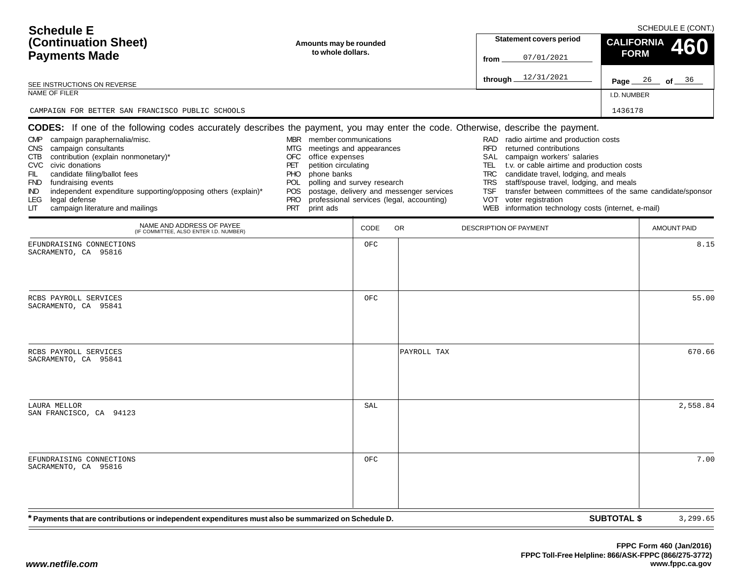| <b>Schedule E</b><br>(Continuation Sheet)<br><b>Payments Made</b><br>SEE INSTRUCTIONS ON REVERSE<br>NAME OF FILER<br>CAMPAIGN FOR BETTER SAN FRANCISCO PUBLIC SCHOOLS                                                                                                                                                                                         | Amounts may be rounded<br>to whole dollars.                                                                                                                                                                                                |      |                                                                                       | <b>Statement covers period</b><br>07/01/2021<br>from<br>through $12/31/2021$                                                                                    | <b>CALIFORNIA</b><br><b>FORM</b><br>I.D. NUMBER<br>1436178                                                                                                                                                                                                                          | SCHEDULE E (CONT.)<br>460<br><b>Page</b> $26$ of $36$ |
|---------------------------------------------------------------------------------------------------------------------------------------------------------------------------------------------------------------------------------------------------------------------------------------------------------------------------------------------------------------|--------------------------------------------------------------------------------------------------------------------------------------------------------------------------------------------------------------------------------------------|------|---------------------------------------------------------------------------------------|-----------------------------------------------------------------------------------------------------------------------------------------------------------------|-------------------------------------------------------------------------------------------------------------------------------------------------------------------------------------------------------------------------------------------------------------------------------------|-------------------------------------------------------|
| CODES: If one of the following codes accurately describes the payment, you may enter the code. Otherwise, describe the payment.                                                                                                                                                                                                                               |                                                                                                                                                                                                                                            |      |                                                                                       |                                                                                                                                                                 |                                                                                                                                                                                                                                                                                     |                                                       |
| campaign paraphernalia/misc.<br><b>CMP</b><br>campaign consultants<br>CNS.<br>contribution (explain nonmonetary)*<br>CTB<br>CVC civic donations<br>FIL<br>candidate filing/ballot fees<br>FND fundraising events<br>independent expenditure supporting/opposing others (explain)*<br>IND.<br>legal defense<br>LEG.<br>campaign literature and mailings<br>LIТ | MBR member communications<br>meetings and appearances<br>MTG<br>OFC<br>office expenses<br>petition circulating<br>PET<br>phone banks<br>PHO.<br>polling and survey research<br>POL.<br><b>POS</b><br><b>PRO</b><br><b>PRT</b><br>print ads |      | postage, delivery and messenger services<br>professional services (legal, accounting) | RAD<br><b>RFD</b><br>returned contributions<br>SAL<br>campaign workers' salaries<br>TEL.<br><b>TRC</b><br><b>TRS</b><br>TSF<br>VOT<br>voter registration<br>WEB | radio airtime and production costs<br>t.v. or cable airtime and production costs<br>candidate travel, lodging, and meals<br>staff/spouse travel, lodging, and meals<br>transfer between committees of the same candidate/sponsor<br>information technology costs (internet, e-mail) |                                                       |
| NAME AND ADDRESS OF PAYEE<br>(IF COMMITTEE, ALSO ENTER I.D. NUMBER)                                                                                                                                                                                                                                                                                           |                                                                                                                                                                                                                                            | CODE | OR.                                                                                   | DESCRIPTION OF PAYMENT                                                                                                                                          |                                                                                                                                                                                                                                                                                     | <b>AMOUNT PAID</b>                                    |
| EFUNDRAISING CONNECTIONS<br>SACRAMENTO, CA 95816                                                                                                                                                                                                                                                                                                              |                                                                                                                                                                                                                                            | OFC  |                                                                                       |                                                                                                                                                                 |                                                                                                                                                                                                                                                                                     | 8.15                                                  |
| RCBS PAYROLL SERVICES<br>SACRAMENTO, CA 95841                                                                                                                                                                                                                                                                                                                 |                                                                                                                                                                                                                                            | OFC  |                                                                                       |                                                                                                                                                                 |                                                                                                                                                                                                                                                                                     | 55.00                                                 |
| RCBS PAYROLL SERVICES<br>SACRAMENTO, CA 95841                                                                                                                                                                                                                                                                                                                 |                                                                                                                                                                                                                                            |      | PAYROLL TAX                                                                           |                                                                                                                                                                 |                                                                                                                                                                                                                                                                                     | 670.66                                                |
| LAURA MELLOR<br>SAN FRANCISCO, CA 94123                                                                                                                                                                                                                                                                                                                       |                                                                                                                                                                                                                                            | SAL  |                                                                                       |                                                                                                                                                                 |                                                                                                                                                                                                                                                                                     | 2,558.84                                              |
| EFUNDRAISING CONNECTIONS<br>SACRAMENTO, CA 95816                                                                                                                                                                                                                                                                                                              |                                                                                                                                                                                                                                            | OFC  |                                                                                       |                                                                                                                                                                 |                                                                                                                                                                                                                                                                                     | 7.00                                                  |
| * Payments that are contributions or independent expenditures must also be summarized on Schedule D.                                                                                                                                                                                                                                                          |                                                                                                                                                                                                                                            |      |                                                                                       |                                                                                                                                                                 | <b>SUBTOTAL \$</b>                                                                                                                                                                                                                                                                  | 3,299.65                                              |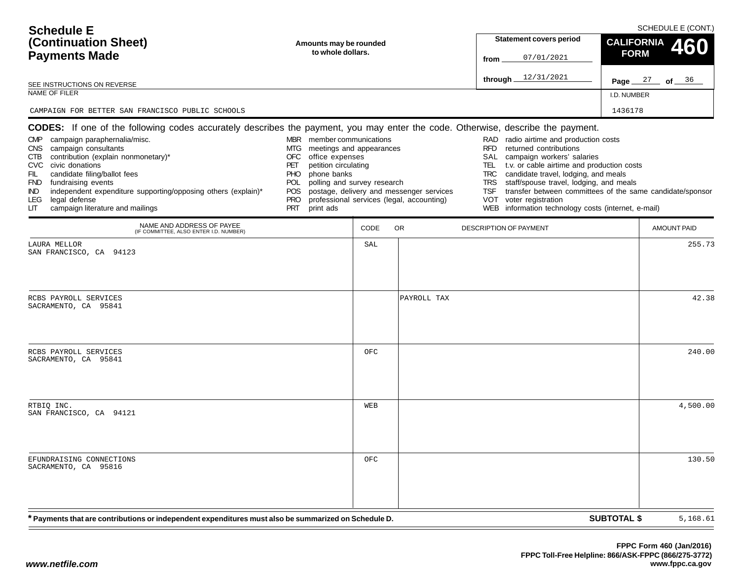| <b>Schedule E</b>                                                                                                                                                                                                                                                                                                                                                                                                                                                                              |                                                                                                                                                                                                                                     |      |                                                                                       |                                                                                                                                                                                                                                                                                                                                                                                                          | SCHEDULE E (CONT.)                                        |
|------------------------------------------------------------------------------------------------------------------------------------------------------------------------------------------------------------------------------------------------------------------------------------------------------------------------------------------------------------------------------------------------------------------------------------------------------------------------------------------------|-------------------------------------------------------------------------------------------------------------------------------------------------------------------------------------------------------------------------------------|------|---------------------------------------------------------------------------------------|----------------------------------------------------------------------------------------------------------------------------------------------------------------------------------------------------------------------------------------------------------------------------------------------------------------------------------------------------------------------------------------------------------|-----------------------------------------------------------|
| (Continuation Sheet)                                                                                                                                                                                                                                                                                                                                                                                                                                                                           | Amounts may be rounded                                                                                                                                                                                                              |      |                                                                                       | <b>Statement covers period</b>                                                                                                                                                                                                                                                                                                                                                                           | <b>CALIFORNIA</b><br>460                                  |
| <b>Payments Made</b>                                                                                                                                                                                                                                                                                                                                                                                                                                                                           | to whole dollars.                                                                                                                                                                                                                   |      |                                                                                       | 07/01/2021<br>from                                                                                                                                                                                                                                                                                                                                                                                       | <b>FORM</b>                                               |
| SEE INSTRUCTIONS ON REVERSE                                                                                                                                                                                                                                                                                                                                                                                                                                                                    |                                                                                                                                                                                                                                     |      |                                                                                       | 12/31/2021<br>through.                                                                                                                                                                                                                                                                                                                                                                                   | Page $27$ of $36$                                         |
| NAME OF FILER                                                                                                                                                                                                                                                                                                                                                                                                                                                                                  |                                                                                                                                                                                                                                     |      |                                                                                       |                                                                                                                                                                                                                                                                                                                                                                                                          | I.D. NUMBER                                               |
| CAMPAIGN FOR BETTER SAN FRANCISCO PUBLIC SCHOOLS                                                                                                                                                                                                                                                                                                                                                                                                                                               |                                                                                                                                                                                                                                     |      |                                                                                       |                                                                                                                                                                                                                                                                                                                                                                                                          | 1436178                                                   |
| <b>CODES:</b> If one of the following codes accurately describes the payment, you may enter the code. Otherwise, describe the payment.<br>CMP campaign paraphernalia/misc.<br>campaign consultants<br>CNS .<br>contribution (explain nonmonetary)*<br>CTB<br>CVC civic donations<br>FIL<br>candidate filing/ballot fees<br>FND fundraising events<br>independent expenditure supporting/opposing others (explain)*<br>IND.<br>legal defense<br>LEG.<br>campaign literature and mailings<br>LIТ | MBR member communications<br>meetings and appearances<br>MTG.<br>OFC<br>office expenses<br>petition circulating<br>PET<br>phone banks<br>PHO<br>polling and survey research<br>POL<br>POS.<br><b>PRO</b><br><b>PRT</b><br>print ads |      | postage, delivery and messenger services<br>professional services (legal, accounting) | radio airtime and production costs<br>RAD.<br>returned contributions<br><b>RFD</b><br>SAL<br>campaign workers' salaries<br>t.v. or cable airtime and production costs<br>TEL.<br>candidate travel, lodging, and meals<br><b>TRC</b><br>staff/spouse travel, lodging, and meals<br><b>TRS</b><br>TSF<br><b>VOT</b><br>voter registration<br>information technology costs (internet, e-mail)<br><b>WEB</b> | transfer between committees of the same candidate/sponsor |
| NAME AND ADDRESS OF PAYEE<br>(IF COMMITTEE, ALSO ENTER I.D. NUMBER)                                                                                                                                                                                                                                                                                                                                                                                                                            |                                                                                                                                                                                                                                     | CODE | <b>OR</b>                                                                             | DESCRIPTION OF PAYMENT                                                                                                                                                                                                                                                                                                                                                                                   | <b>AMOUNT PAID</b>                                        |
| LAURA MELLOR<br>SAN FRANCISCO, CA 94123                                                                                                                                                                                                                                                                                                                                                                                                                                                        |                                                                                                                                                                                                                                     | SAL  |                                                                                       |                                                                                                                                                                                                                                                                                                                                                                                                          | 255.73                                                    |
| RCBS PAYROLL SERVICES<br>SACRAMENTO, CA 95841                                                                                                                                                                                                                                                                                                                                                                                                                                                  |                                                                                                                                                                                                                                     |      | PAYROLL TAX                                                                           |                                                                                                                                                                                                                                                                                                                                                                                                          | 42.38                                                     |
| RCBS PAYROLL SERVICES<br>SACRAMENTO, CA 95841                                                                                                                                                                                                                                                                                                                                                                                                                                                  |                                                                                                                                                                                                                                     | OFC  |                                                                                       |                                                                                                                                                                                                                                                                                                                                                                                                          | 240.00                                                    |
| RTBIQ INC.<br>SAN FRANCISCO, CA 94121                                                                                                                                                                                                                                                                                                                                                                                                                                                          |                                                                                                                                                                                                                                     | WEB  |                                                                                       |                                                                                                                                                                                                                                                                                                                                                                                                          | 4,500.00                                                  |
| EFUNDRAISING CONNECTIONS<br>SACRAMENTO, CA 95816                                                                                                                                                                                                                                                                                                                                                                                                                                               |                                                                                                                                                                                                                                     | OFC  |                                                                                       |                                                                                                                                                                                                                                                                                                                                                                                                          | 130.50                                                    |
| * Payments that are contributions or independent expenditures must also be summarized on Schedule D.                                                                                                                                                                                                                                                                                                                                                                                           |                                                                                                                                                                                                                                     |      |                                                                                       |                                                                                                                                                                                                                                                                                                                                                                                                          | <b>SUBTOTAL \$</b><br>5,168.61                            |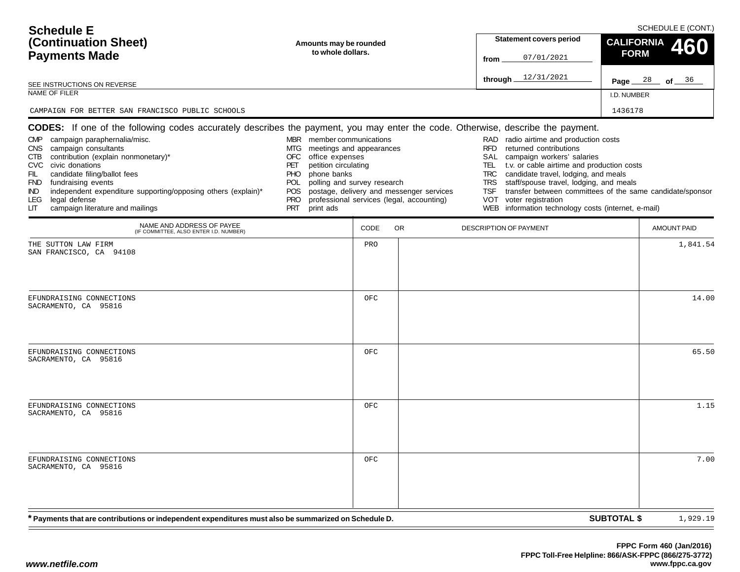| <b>Schedule E</b><br>(Continuation Sheet)<br><b>Payments Made</b><br>SEE INSTRUCTIONS ON REVERSE<br>NAME OF FILER<br>CAMPAIGN FOR BETTER SAN FRANCISCO PUBLIC SCHOOLS                                                                                                                                                                                                                                                                                                                             | Amounts may be rounded<br>to whole dollars.                                                                                                                                                                                         |             |                                                                                       | from                                                                       | <b>Statement covers period</b><br>07/01/2021<br>through $12/31/2021$                                                                                                                                                                                                                                                                                                  | <b>CALIFORNIA</b><br><b>FORM</b><br>I.D. NUMBER<br>1436178 | SCHEDULE E (CONT.)<br>460<br>Page $28$ of $36$ |
|---------------------------------------------------------------------------------------------------------------------------------------------------------------------------------------------------------------------------------------------------------------------------------------------------------------------------------------------------------------------------------------------------------------------------------------------------------------------------------------------------|-------------------------------------------------------------------------------------------------------------------------------------------------------------------------------------------------------------------------------------|-------------|---------------------------------------------------------------------------------------|----------------------------------------------------------------------------|-----------------------------------------------------------------------------------------------------------------------------------------------------------------------------------------------------------------------------------------------------------------------------------------------------------------------------------------------------------------------|------------------------------------------------------------|------------------------------------------------|
| CODES: If one of the following codes accurately describes the payment, you may enter the code. Otherwise, describe the payment.<br>campaign paraphernalia/misc.<br><b>CMP</b><br>campaign consultants<br>CNS .<br>contribution (explain nonmonetary)*<br>CTB<br>CVC civic donations<br>FIL<br>candidate filing/ballot fees<br>FND fundraising events<br>independent expenditure supporting/opposing others (explain)*<br>IND.<br>legal defense<br>LEG.<br>campaign literature and mailings<br>LIТ | MBR member communications<br>meetings and appearances<br>MTG<br>OFC<br>office expenses<br>petition circulating<br>PET<br>phone banks<br>PHO.<br>polling and survey research<br>POL.<br>POS<br><b>PRO</b><br><b>PRT</b><br>print ads |             | postage, delivery and messenger services<br>professional services (legal, accounting) | RAD<br><b>RFD</b><br>SAL<br>TEL.<br><b>TRC</b><br><b>TRS</b><br>TSF<br>VOT | radio airtime and production costs<br>returned contributions<br>campaign workers' salaries<br>t.v. or cable airtime and production costs<br>candidate travel, lodging, and meals<br>staff/spouse travel, lodging, and meals<br>transfer between committees of the same candidate/sponsor<br>voter registration<br>WEB information technology costs (internet, e-mail) |                                                            |                                                |
| NAME AND ADDRESS OF PAYEE<br>(IF COMMITTEE, ALSO ENTER I.D. NUMBER)                                                                                                                                                                                                                                                                                                                                                                                                                               |                                                                                                                                                                                                                                     | CODE<br>PRO | OR.                                                                                   |                                                                            | DESCRIPTION OF PAYMENT                                                                                                                                                                                                                                                                                                                                                |                                                            | <b>AMOUNT PAID</b><br>1,841.54                 |
| THE SUTTON LAW FIRM<br>SAN FRANCISCO, CA 94108<br>EFUNDRAISING CONNECTIONS<br>SACRAMENTO, CA 95816                                                                                                                                                                                                                                                                                                                                                                                                |                                                                                                                                                                                                                                     | OFC         |                                                                                       |                                                                            |                                                                                                                                                                                                                                                                                                                                                                       |                                                            | 14.00                                          |
| EFUNDRAISING CONNECTIONS<br>SACRAMENTO, CA 95816                                                                                                                                                                                                                                                                                                                                                                                                                                                  |                                                                                                                                                                                                                                     | OFC         |                                                                                       |                                                                            |                                                                                                                                                                                                                                                                                                                                                                       |                                                            | 65.50                                          |
| EFUNDRAISING CONNECTIONS<br>SACRAMENTO, CA 95816                                                                                                                                                                                                                                                                                                                                                                                                                                                  |                                                                                                                                                                                                                                     | OFC         |                                                                                       |                                                                            |                                                                                                                                                                                                                                                                                                                                                                       |                                                            | 1.15                                           |
| EFUNDRAISING CONNECTIONS<br>SACRAMENTO, CA 95816                                                                                                                                                                                                                                                                                                                                                                                                                                                  |                                                                                                                                                                                                                                     | OFC         |                                                                                       |                                                                            |                                                                                                                                                                                                                                                                                                                                                                       |                                                            | 7.00                                           |
| * Payments that are contributions or independent expenditures must also be summarized on Schedule D.                                                                                                                                                                                                                                                                                                                                                                                              |                                                                                                                                                                                                                                     |             |                                                                                       |                                                                            |                                                                                                                                                                                                                                                                                                                                                                       | <b>SUBTOTAL \$</b>                                         | 1,929.19                                       |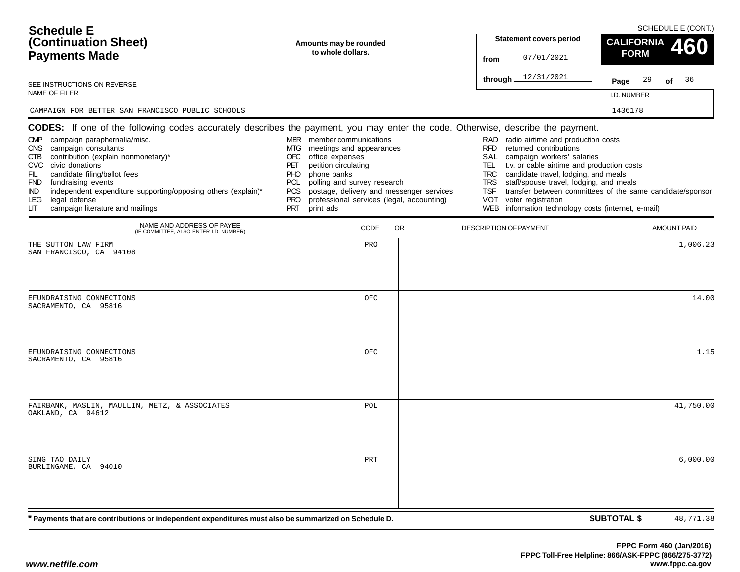| <b>Schedule E</b><br>(Continuation Sheet)<br><b>Payments Made</b><br>SEE INSTRUCTIONS ON REVERSE<br>NAME OF FILER<br>CAMPAIGN FOR BETTER SAN FRANCISCO PUBLIC SCHOOLS                                                                                                                                                                                                                                                                                                                            | Amounts may be rounded<br>to whole dollars.                                                                                                                                                                                                |            |                                                                                       | <b>Statement covers period</b><br>07/01/2021<br>from<br>through $12/31/2021$                                                                                                                                                                                                                                                             | <b>CALIFORNIA</b><br><b>FORM</b><br>I.D. NUMBER<br>1436178                                              | SCHEDULE E (CONT.)<br>460<br><b>Page</b> $29$ of $36$ |
|--------------------------------------------------------------------------------------------------------------------------------------------------------------------------------------------------------------------------------------------------------------------------------------------------------------------------------------------------------------------------------------------------------------------------------------------------------------------------------------------------|--------------------------------------------------------------------------------------------------------------------------------------------------------------------------------------------------------------------------------------------|------------|---------------------------------------------------------------------------------------|------------------------------------------------------------------------------------------------------------------------------------------------------------------------------------------------------------------------------------------------------------------------------------------------------------------------------------------|---------------------------------------------------------------------------------------------------------|-------------------------------------------------------|
| CODES: If one of the following codes accurately describes the payment, you may enter the code. Otherwise, describe the payment.<br>campaign paraphernalia/misc.<br><b>CMP</b><br>campaign consultants<br>CNS.<br>contribution (explain nonmonetary)*<br>CTB<br>CVC civic donations<br>FIL<br>candidate filing/ballot fees<br>FND fundraising events<br>independent expenditure supporting/opposing others (explain)*<br>IND.<br>legal defense<br>LEG.<br>campaign literature and mailings<br>LIТ | MBR member communications<br>meetings and appearances<br>MTG<br>OFC<br>office expenses<br>petition circulating<br>PET<br>phone banks<br>PHO.<br>polling and survey research<br>POL.<br><b>POS</b><br><b>PRO</b><br><b>PRT</b><br>print ads |            | postage, delivery and messenger services<br>professional services (legal, accounting) | RAD<br>radio airtime and production costs<br><b>RFD</b><br>returned contributions<br>SAL<br>campaign workers' salaries<br>TEL.<br>candidate travel, lodging, and meals<br><b>TRC</b><br>staff/spouse travel, lodging, and meals<br><b>TRS</b><br>TSF<br>voter registration<br>VOT<br>WEB information technology costs (internet, e-mail) | t.v. or cable airtime and production costs<br>transfer between committees of the same candidate/sponsor |                                                       |
| NAME AND ADDRESS OF PAYEE<br>(IF COMMITTEE, ALSO ENTER I.D. NUMBER)                                                                                                                                                                                                                                                                                                                                                                                                                              |                                                                                                                                                                                                                                            | CODE       | OR.                                                                                   | DESCRIPTION OF PAYMENT                                                                                                                                                                                                                                                                                                                   |                                                                                                         | <b>AMOUNT PAID</b>                                    |
| THE SUTTON LAW FIRM<br>SAN FRANCISCO, CA 94108<br>EFUNDRAISING CONNECTIONS<br>SACRAMENTO, CA 95816                                                                                                                                                                                                                                                                                                                                                                                               |                                                                                                                                                                                                                                            | PRO<br>OFC |                                                                                       |                                                                                                                                                                                                                                                                                                                                          |                                                                                                         | 1,006.23<br>14.00                                     |
| EFUNDRAISING CONNECTIONS<br>SACRAMENTO, CA 95816                                                                                                                                                                                                                                                                                                                                                                                                                                                 |                                                                                                                                                                                                                                            | OFC        |                                                                                       |                                                                                                                                                                                                                                                                                                                                          |                                                                                                         | 1.15                                                  |
| FAIRBANK, MASLIN, MAULLIN, METZ, & ASSOCIATES<br>OAKLAND, CA 94612                                                                                                                                                                                                                                                                                                                                                                                                                               |                                                                                                                                                                                                                                            | POL        |                                                                                       |                                                                                                                                                                                                                                                                                                                                          |                                                                                                         | 41,750.00                                             |
| SING TAO DAILY<br>BURLINGAME, CA 94010                                                                                                                                                                                                                                                                                                                                                                                                                                                           |                                                                                                                                                                                                                                            | PRT        |                                                                                       |                                                                                                                                                                                                                                                                                                                                          |                                                                                                         | 6,000.00                                              |
| * Payments that are contributions or independent expenditures must also be summarized on Schedule D.                                                                                                                                                                                                                                                                                                                                                                                             |                                                                                                                                                                                                                                            |            |                                                                                       |                                                                                                                                                                                                                                                                                                                                          | <b>SUBTOTAL \$</b>                                                                                      | 48,771.38                                             |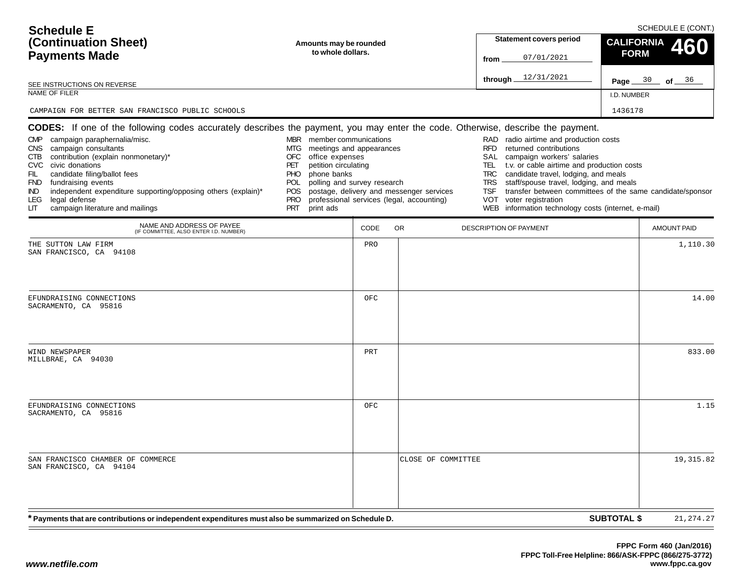| <b>Schedule E</b><br>(Continuation Sheet)<br><b>Payments Made</b><br>SEE INSTRUCTIONS ON REVERSE<br>NAME OF FILER<br>CAMPAIGN FOR BETTER SAN FRANCISCO PUBLIC SCHOOLS                                                                                                                                                                                                                                                                                                                                   | Amounts may be rounded<br>to whole dollars.                                                                                                                                                                                               |             |                                                                                       | from                                                                | <b>Statement covers period</b><br>07/01/2021<br>through 12/31/2021                                                                                                                                                                                                                                                                                                            | <b>FORM</b><br>I.D. NUMBER<br>1436178 | SCHEDULE E (CONT.)<br>CALIFORNIA 460<br>Page $30$ of $36$ |
|---------------------------------------------------------------------------------------------------------------------------------------------------------------------------------------------------------------------------------------------------------------------------------------------------------------------------------------------------------------------------------------------------------------------------------------------------------------------------------------------------------|-------------------------------------------------------------------------------------------------------------------------------------------------------------------------------------------------------------------------------------------|-------------|---------------------------------------------------------------------------------------|---------------------------------------------------------------------|-------------------------------------------------------------------------------------------------------------------------------------------------------------------------------------------------------------------------------------------------------------------------------------------------------------------------------------------------------------------------------|---------------------------------------|-----------------------------------------------------------|
| CODES: If one of the following codes accurately describes the payment, you may enter the code. Otherwise, describe the payment.<br>campaign paraphernalia/misc.<br><b>CMP</b><br>campaign consultants<br>CNS .<br>contribution (explain nonmonetary)*<br>CTB<br>CVC civic donations<br>FIL<br>candidate filing/ballot fees<br>FND fundraising events<br>independent expenditure supporting/opposing others (explain)*<br>IND.<br><b>LEG</b><br>legal defense<br>campaign literature and mailings<br>LIТ | MBR member communications<br>meetings and appearances<br>MTG<br>OFC<br>office expenses<br>petition circulating<br>PET<br>phone banks<br><b>PHO</b><br>polling and survey research<br>POL<br>POS.<br><b>PRO</b><br><b>PRT</b><br>print ads |             | postage, delivery and messenger services<br>professional services (legal, accounting) | <b>RFD</b><br>TEL.<br><b>TRC</b><br><b>TRS</b><br><b>TSF</b><br>VOT | RAD radio airtime and production costs<br>returned contributions<br>SAL campaign workers' salaries<br>t.v. or cable airtime and production costs<br>candidate travel, lodging, and meals<br>staff/spouse travel, lodging, and meals<br>transfer between committees of the same candidate/sponsor<br>voter registration<br>WEB information technology costs (internet, e-mail) |                                       |                                                           |
| NAME AND ADDRESS OF PAYEE<br>(IF COMMITTEE, ALSO ENTER I.D. NUMBER)<br>THE SUTTON LAW FIRM                                                                                                                                                                                                                                                                                                                                                                                                              |                                                                                                                                                                                                                                           | CODE<br>PRO | OR.                                                                                   |                                                                     | <b>DESCRIPTION OF PAYMENT</b>                                                                                                                                                                                                                                                                                                                                                 |                                       | <b>AMOUNT PAID</b><br>1,110.30                            |
| SAN FRANCISCO, CA 94108<br>EFUNDRAISING CONNECTIONS<br>SACRAMENTO, CA 95816                                                                                                                                                                                                                                                                                                                                                                                                                             |                                                                                                                                                                                                                                           | OFC         |                                                                                       |                                                                     |                                                                                                                                                                                                                                                                                                                                                                               |                                       | 14.00                                                     |
| WIND NEWSPAPER<br>MILLBRAE, CA 94030                                                                                                                                                                                                                                                                                                                                                                                                                                                                    |                                                                                                                                                                                                                                           | PRT         |                                                                                       |                                                                     |                                                                                                                                                                                                                                                                                                                                                                               |                                       | 833.00                                                    |
| EFUNDRAISING CONNECTIONS<br>SACRAMENTO, CA 95816                                                                                                                                                                                                                                                                                                                                                                                                                                                        |                                                                                                                                                                                                                                           | OFC         |                                                                                       |                                                                     |                                                                                                                                                                                                                                                                                                                                                                               |                                       | 1.15                                                      |
| SAN FRANCISCO CHAMBER OF COMMERCE<br>SAN FRANCISCO, CA 94104                                                                                                                                                                                                                                                                                                                                                                                                                                            |                                                                                                                                                                                                                                           |             | CLOSE OF COMMITTEE                                                                    |                                                                     |                                                                                                                                                                                                                                                                                                                                                                               |                                       | 19,315.82                                                 |
| <sup>*</sup> Payments that are contributions or independent expenditures must also be summarized on Schedule D.                                                                                                                                                                                                                                                                                                                                                                                         |                                                                                                                                                                                                                                           |             |                                                                                       |                                                                     |                                                                                                                                                                                                                                                                                                                                                                               | <b>SUBTOTAL \$</b>                    | 21, 274. 27                                               |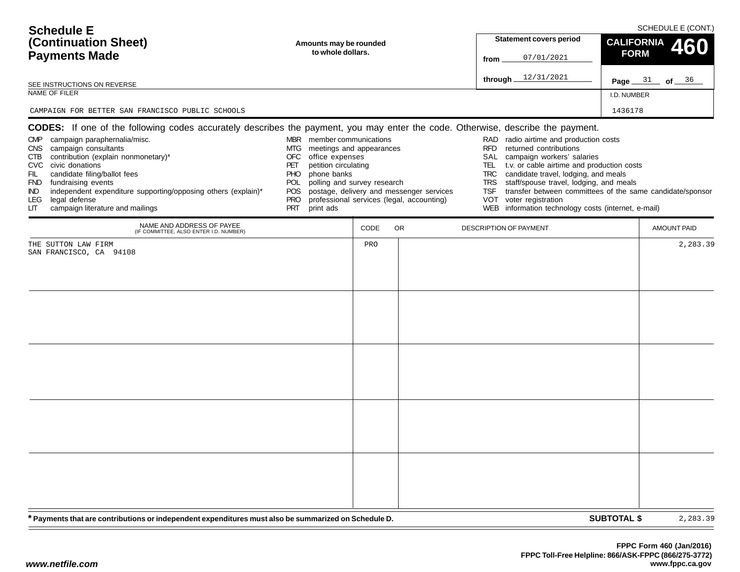| <b>Schedule E</b>                                                                                                                                                                                                                                                                                                                               |                                                                                                                                                                                                                                 |      |                                                                                       |                                                             |                                                                                                                                                                                                                                                                                                                                                                           |                    | SCHEDULE E (CONT.) |
|-------------------------------------------------------------------------------------------------------------------------------------------------------------------------------------------------------------------------------------------------------------------------------------------------------------------------------------------------|---------------------------------------------------------------------------------------------------------------------------------------------------------------------------------------------------------------------------------|------|---------------------------------------------------------------------------------------|-------------------------------------------------------------|---------------------------------------------------------------------------------------------------------------------------------------------------------------------------------------------------------------------------------------------------------------------------------------------------------------------------------------------------------------------------|--------------------|--------------------|
| (Continuation Sheet)                                                                                                                                                                                                                                                                                                                            | Amounts may be rounded                                                                                                                                                                                                          |      |                                                                                       |                                                             | <b>Statement covers period</b>                                                                                                                                                                                                                                                                                                                                            | <b>CALIFORNIA</b>  | 460                |
| <b>Payments Made</b>                                                                                                                                                                                                                                                                                                                            | to whole dollars.                                                                                                                                                                                                               |      |                                                                                       | from                                                        | 07/01/2021                                                                                                                                                                                                                                                                                                                                                                | <b>FORM</b>        |                    |
| SEE INSTRUCTIONS ON REVERSE                                                                                                                                                                                                                                                                                                                     |                                                                                                                                                                                                                                 |      |                                                                                       | through                                                     | 12/31/2021                                                                                                                                                                                                                                                                                                                                                                |                    | Page $31$ of $36$  |
| NAME OF FILER                                                                                                                                                                                                                                                                                                                                   |                                                                                                                                                                                                                                 |      |                                                                                       |                                                             |                                                                                                                                                                                                                                                                                                                                                                           | I.D. NUMBER        |                    |
| CAMPAIGN FOR BETTER SAN FRANCISCO PUBLIC SCHOOLS                                                                                                                                                                                                                                                                                                |                                                                                                                                                                                                                                 |      |                                                                                       |                                                             |                                                                                                                                                                                                                                                                                                                                                                           | 1436178            |                    |
| <b>CODES:</b> If one of the following codes accurately describes the payment, you may enter the code. Otherwise, describe the payment.                                                                                                                                                                                                          |                                                                                                                                                                                                                                 |      |                                                                                       |                                                             |                                                                                                                                                                                                                                                                                                                                                                           |                    |                    |
| CMP campaign paraphernalia/misc.<br>CNS campaign consultants<br>contribution (explain nonmonetary)*<br>CTB<br>CVC civic donations<br>FIL<br>candidate filing/ballot fees<br>FND fundraising events<br>independent expenditure supporting/opposing others (explain)*<br>IND.<br>legal defense<br>LEG.<br>campaign literature and mailings<br>LIТ | MBR member communications<br>MTG<br>meetings and appearances<br>OFC<br>office expenses<br>petition circulating<br>PET<br>phone banks<br>PHO.<br>POL polling and survey research<br><b>POS</b><br><b>PRO</b><br>PRT<br>print ads |      | postage, delivery and messenger services<br>professional services (legal, accounting) | <b>RFD</b><br>SAL<br>TEL<br><b>TRC</b><br>TRS<br>TSF<br>VOT | RAD radio airtime and production costs<br>returned contributions<br>campaign workers' salaries<br>t.v. or cable airtime and production costs<br>candidate travel, lodging, and meals<br>staff/spouse travel, lodging, and meals<br>transfer between committees of the same candidate/sponsor<br>voter registration<br>WEB information technology costs (internet, e-mail) |                    |                    |
| NAME AND ADDRESS OF PAYEE<br>(IF COMMITTEE, ALSO ENTER I.D. NUMBER)                                                                                                                                                                                                                                                                             |                                                                                                                                                                                                                                 | CODE | <b>OR</b>                                                                             | DESCRIPTION OF PAYMENT                                      |                                                                                                                                                                                                                                                                                                                                                                           |                    | <b>AMOUNT PAID</b> |
| THE SUTTON LAW FIRM<br>SAN FRANCISCO, CA 94108                                                                                                                                                                                                                                                                                                  |                                                                                                                                                                                                                                 | PRO  |                                                                                       |                                                             |                                                                                                                                                                                                                                                                                                                                                                           |                    | 2,283.39           |
| * Payments that are contributions or independent expenditures must also be summarized on Schedule D.                                                                                                                                                                                                                                            |                                                                                                                                                                                                                                 |      |                                                                                       |                                                             |                                                                                                                                                                                                                                                                                                                                                                           | <b>SUBTOTAL \$</b> | 2,283.39           |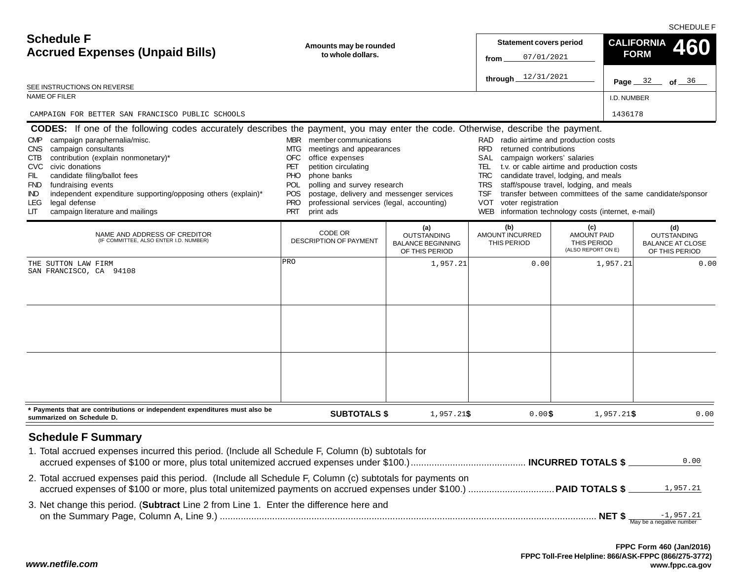SCHEDULE F

| <b>Schedule F</b><br><b>Accrued Expenses (Unpaid Bills)</b><br>SEE INSTRUCTIONS ON REVERSE                                                                                                                                                                                                                                                                                            | Amounts may be rounded<br>to whole dollars.                                                                                                                                                                                                                                                                                                         |                                                                         | <b>Statement covers period</b><br>07/01/2021<br>from<br>through $12/31/2021$                                                                                                                       |                                                                                                                                                                                                                                                   | <b>CALIFORNIA</b><br>460<br><b>FORM</b><br>Page $32$<br>of $36$        |
|---------------------------------------------------------------------------------------------------------------------------------------------------------------------------------------------------------------------------------------------------------------------------------------------------------------------------------------------------------------------------------------|-----------------------------------------------------------------------------------------------------------------------------------------------------------------------------------------------------------------------------------------------------------------------------------------------------------------------------------------------------|-------------------------------------------------------------------------|----------------------------------------------------------------------------------------------------------------------------------------------------------------------------------------------------|---------------------------------------------------------------------------------------------------------------------------------------------------------------------------------------------------------------------------------------------------|------------------------------------------------------------------------|
| <b>NAME OF FILER</b>                                                                                                                                                                                                                                                                                                                                                                  |                                                                                                                                                                                                                                                                                                                                                     |                                                                         |                                                                                                                                                                                                    | I.D. NUMBER                                                                                                                                                                                                                                       |                                                                        |
| CAMPAIGN FOR BETTER SAN FRANCISCO PUBLIC SCHOOLS<br><b>CODES:</b> If one of the following codes accurately describes the payment, you may enter the code. Otherwise, describe the payment.                                                                                                                                                                                            |                                                                                                                                                                                                                                                                                                                                                     |                                                                         |                                                                                                                                                                                                    | 1436178                                                                                                                                                                                                                                           |                                                                        |
| campaign paraphernalia/misc.<br><b>CMP</b><br>campaign consultants<br>CNS<br>contribution (explain nonmonetary)*<br>CTB<br>civic donations<br><b>CVC</b><br>candidate filing/ballot fees<br>FIL<br>fundraising events<br><b>FND</b><br>independent expenditure supporting/opposing others (explain)*<br><b>IND</b><br>legal defense<br>LEG<br>campaign literature and mailings<br>LIТ | MBR member communications<br>MTG meetings and appearances<br><b>OFC</b><br>office expenses<br>petition circulating<br>PET<br><b>PHO</b><br>phone banks<br>polling and survey research<br><b>POL</b><br>postage, delivery and messenger services<br><b>POS</b><br><b>PRO</b><br>professional services (legal, accounting)<br><b>PRT</b><br>print ads |                                                                         | RAD radio airtime and production costs<br><b>RFD</b><br>returned contributions<br>SAL<br>campaign workers' salaries<br>TRC.<br><b>TRS</b><br><b>TSF</b><br><b>VOT</b><br>voter registration<br>WEB | TEL t.v. or cable airtime and production costs<br>candidate travel, lodging, and meals<br>staff/spouse travel, lodging, and meals<br>transfer between committees of the same candidate/sponsor<br>information technology costs (internet, e-mail) |                                                                        |
| NAME AND ADDRESS OF CREDITOR<br>(IF COMMITTEE, ALSO ENTER I.D. NUMBER)                                                                                                                                                                                                                                                                                                                | CODE OR<br><b>DESCRIPTION OF PAYMENT</b>                                                                                                                                                                                                                                                                                                            | (a)<br><b>OUTSTANDING</b><br><b>BALANCE BEGINNING</b><br>OF THIS PERIOD | (b)<br>AMOUNT INCURRED<br>THIS PERIOD                                                                                                                                                              | (c)<br><b>AMOUNT PAID</b><br>THIS PERIOD<br>(ALSO REPORT ON E)                                                                                                                                                                                    | (d)<br><b>OUTSTANDING</b><br><b>BALANCE AT CLOSE</b><br>OF THIS PERIOD |
| THE SUTTON LAW FIRM<br>SAN FRANCISCO, CA 94108                                                                                                                                                                                                                                                                                                                                        | PRO                                                                                                                                                                                                                                                                                                                                                 | 1,957.21                                                                | 0.00                                                                                                                                                                                               | 1,957.21                                                                                                                                                                                                                                          | 0.00                                                                   |
| * Payments that are contributions or independent expenditures must also be<br>summarized on Schedule D.                                                                                                                                                                                                                                                                               | <b>SUBTOTALS \$</b>                                                                                                                                                                                                                                                                                                                                 | $1,957.21$ \$                                                           | $0.00$ \$                                                                                                                                                                                          | $1,957.21$ \$                                                                                                                                                                                                                                     | 0.00                                                                   |
| <b>Schedule F Summary</b><br>1. Total accrued expenses incurred this period. (Include all Schedule F, Column (b) subtotals for                                                                                                                                                                                                                                                        |                                                                                                                                                                                                                                                                                                                                                     |                                                                         |                                                                                                                                                                                                    |                                                                                                                                                                                                                                                   |                                                                        |
| 2. Total accrued expenses paid this period. (Include all Schedule F, Column (c) subtotals for payments on                                                                                                                                                                                                                                                                             |                                                                                                                                                                                                                                                                                                                                                     |                                                                         |                                                                                                                                                                                                    |                                                                                                                                                                                                                                                   | 0.00<br>1,957.21                                                       |
| 3. Net change this period. (Subtract Line 2 from Line 1. Enter the difference here and                                                                                                                                                                                                                                                                                                |                                                                                                                                                                                                                                                                                                                                                     |                                                                         |                                                                                                                                                                                                    |                                                                                                                                                                                                                                                   |                                                                        |

*www.netfile.com*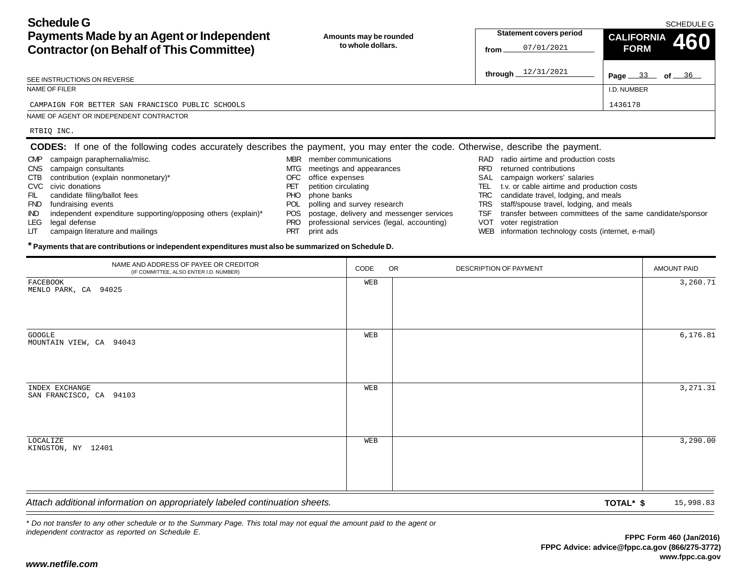**Schedule GPayments Made by an Agent or Independent**

| Payments Made by an Agent or Independent<br><b>Contractor (on Behalf of This Committee)</b>                                     |            | Amounts may be rounded<br>to whole dollars. | from       | <b>Statement covers period</b><br>07/01/2021        | <b>CALIFORNIA</b><br>460<br><b>FORM</b>                   |
|---------------------------------------------------------------------------------------------------------------------------------|------------|---------------------------------------------|------------|-----------------------------------------------------|-----------------------------------------------------------|
| SEE INSTRUCTIONS ON REVERSE                                                                                                     |            |                                             |            | through $12/31/2021$                                | Page $33$ of $36$                                         |
| NAME OF FILER                                                                                                                   |            |                                             |            |                                                     | I.D. NUMBER                                               |
| CAMPAIGN FOR BETTER SAN FRANCISCO PUBLIC SCHOOLS                                                                                |            |                                             |            |                                                     | 1436178                                                   |
| NAME OF AGENT OR INDEPENDENT CONTRACTOR                                                                                         |            |                                             |            |                                                     |                                                           |
| RTBIQ INC.                                                                                                                      |            |                                             |            |                                                     |                                                           |
| CODES: If one of the following codes accurately describes the payment, you may enter the code. Otherwise, describe the payment. |            |                                             |            |                                                     |                                                           |
| campaign paraphernalia/misc.<br><b>CMP</b>                                                                                      | <b>MBR</b> | member communications                       |            | RAD radio airtime and production costs              |                                                           |
| campaign consultants<br><b>CNS</b>                                                                                              | MTG.       | meetings and appearances                    | RFD        | returned contributions                              |                                                           |
| contribution (explain nonmonetary)*<br><b>CTB</b>                                                                               | OFC        | office expenses                             | SAL        | campaign workers' salaries                          |                                                           |
| CVC<br>civic donations                                                                                                          | PET        | petition circulating                        | TEL        | t.v. or cable airtime and production costs          |                                                           |
| candidate filing/ballot fees<br>FIL                                                                                             | <b>PHO</b> | phone banks                                 | TRC.       | candidate travel, lodging, and meals                |                                                           |
| fundraising events<br><b>FND</b>                                                                                                | <b>POL</b> | polling and survey research                 | <b>TRS</b> | staff/spouse travel, lodging, and meals             |                                                           |
| independent expenditure supporting/opposing others (explain)*<br>IND.                                                           | <b>POS</b> | postage, delivery and messenger services    | <b>TSF</b> |                                                     | transfer between committees of the same candidate/sponsor |
| LEG.<br>legal defense                                                                                                           | <b>PRO</b> | professional services (legal, accounting)   | VOT        | voter registration                                  |                                                           |
| campaign literature and mailings<br>LIТ                                                                                         | <b>PRT</b> | print ads                                   |            | WEB information technology costs (internet, e-mail) |                                                           |

WEB information technology costs (internet, e-mail)

## **\* Payments that are contributions or independent expenditures must also be summarized on Schedule D.**

| NAME AND ADDRESS OF PAYEE OR CREDITOR<br>(IF COMMITTEE, ALSO ENTER I.D. NUMBER) | CODE | OR | DESCRIPTION OF PAYMENT |           | AMOUNT PAID |
|---------------------------------------------------------------------------------|------|----|------------------------|-----------|-------------|
| FACEBOOK<br>MENLO PARK, CA 94025                                                | WEB  |    |                        |           | 3,260.71    |
| GOOGLE<br>MOUNTAIN VIEW, CA 94043                                               | WEB  |    |                        |           | 6, 176.81   |
| INDEX EXCHANGE<br>SAN FRANCISCO, CA 94103                                       | WEB  |    |                        |           | 3,271.31    |
| LOCALIZE<br>KINGSTON, NY 12401                                                  | WEB  |    |                        |           | 3,290.00    |
| Attach additional information on appropriately labeled continuation sheets.     |      |    |                        | TOTAL* \$ | 15,998.83   |

*\* Do not transfer to any other schedule or to the Summary Page. This total may not equal the amount paid to the agent or independent contractor as reported on Schedule E.*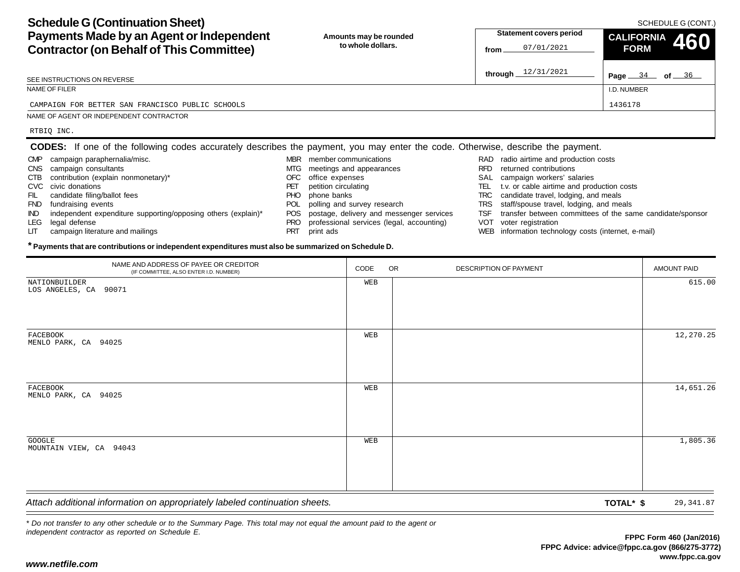| <b>Schedule G (Continuation Sheet)</b><br>Payments Made by an Agent or Independent | Amounts may be rounded |
|------------------------------------------------------------------------------------|------------------------|
| <b>Contractor (on Behalf of This Committee)</b>                                    | to whole dollars.      |

| Payments Made by an Agent or Independent<br><b>Contractor (on Behalf of This Committee)</b>                                     | Amounts may be rounded<br>to whole dollars.      | <b>Statement covers period</b><br>07/01/2021<br>from | <b>CALIFORNIA</b><br>460<br><b>FORM</b>                   |  |  |
|---------------------------------------------------------------------------------------------------------------------------------|--------------------------------------------------|------------------------------------------------------|-----------------------------------------------------------|--|--|
| SEE INSTRUCTIONS ON REVERSE                                                                                                     |                                                  | through $12/31/2021$                                 | <b>Page</b> $34$ of $36$                                  |  |  |
| NAME OF FILER                                                                                                                   |                                                  |                                                      | I.D. NUMBER                                               |  |  |
| CAMPAIGN FOR BETTER SAN FRANCISCO PUBLIC SCHOOLS                                                                                |                                                  |                                                      | 1436178                                                   |  |  |
| NAME OF AGENT OR INDEPENDENT CONTRACTOR                                                                                         |                                                  |                                                      |                                                           |  |  |
| RTBIQ INC.                                                                                                                      |                                                  |                                                      |                                                           |  |  |
| CODES: If one of the following codes accurately describes the payment, you may enter the code. Otherwise, describe the payment. |                                                  |                                                      |                                                           |  |  |
| campaign paraphernalia/misc.<br><b>CMP</b>                                                                                      | member communications<br>MBR.                    | RAD radio airtime and production costs               |                                                           |  |  |
| <b>CNS</b><br>campaign consultants                                                                                              | meetings and appearances<br>MTG                  | returned contributions<br><b>RFD</b>                 |                                                           |  |  |
| contribution (explain nonmonetary)*<br>CTB                                                                                      | OFC<br>office expenses                           | SAL.                                                 | campaign workers' salaries                                |  |  |
| CVC<br>civic donations                                                                                                          | petition circulating<br>PET                      | TEL                                                  | t.v. or cable airtime and production costs                |  |  |
| candidate filing/ballot fees<br>FIL                                                                                             | <b>PHO</b><br>phone banks                        | TRC                                                  | candidate travel, lodging, and meals                      |  |  |
| <b>FND</b><br>fundraising events                                                                                                | <b>POL</b><br>polling and survey research        | TRS.                                                 | staff/spouse travel, lodging, and meals                   |  |  |
| <b>IND</b><br>independent expenditure supporting/opposing others (explain)*                                                     | postage, delivery and messenger services<br>POS. | TSF                                                  | transfer between committees of the same candidate/sponsor |  |  |
| LEG.<br>legal defense                                                                                                           | professional services (legal, accounting)<br>PRO | VOT<br>voter registration                            |                                                           |  |  |

PRT print ads

LIT campaign literature and mailings

- VOT voter registration
- WEB information technology costs (internet, e-mail)

## **\* Payments that are contributions or independent expenditures must also be summarized on Schedule D.**

| NAME AND ADDRESS OF PAYEE OR CREDITOR<br>(IF COMMITTEE, ALSO ENTER I.D. NUMBER) | CODE | <b>OR</b> | DESCRIPTION OF PAYMENT |           | <b>AMOUNT PAID</b> |
|---------------------------------------------------------------------------------|------|-----------|------------------------|-----------|--------------------|
| NATIONBUILDER<br>LOS ANGELES, CA 90071                                          | WEB  |           |                        |           | 615.00             |
| FACEBOOK<br>MENLO PARK, CA 94025                                                | WEB  |           |                        |           | 12,270.25          |
| FACEBOOK<br>MENLO PARK, CA 94025                                                | WEB  |           |                        |           | 14,651.26          |
| GOOGLE<br>MOUNTAIN VIEW, CA 94043                                               | WEB  |           |                        |           | 1,805.36           |
| Attach additional information on appropriately labeled continuation sheets.     |      |           |                        | TOTAL* \$ | 29, 341.87         |

*\* Do not transfer to any other schedule or to the Summary Page. This total may not equal the amount paid to the agent or independent contractor as reported on Schedule E.*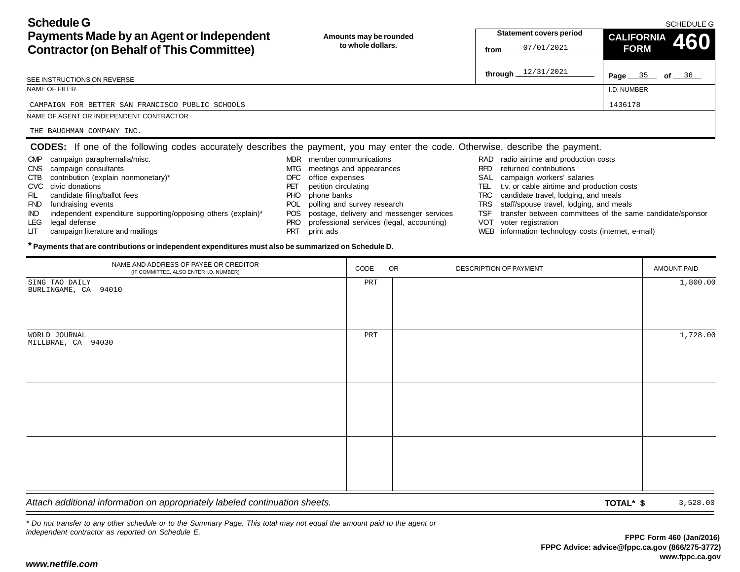SCHEDULE G

**Page** 35 of 36

I.D. NUMBER

**FORM**

| <b>Schedule G</b>                               |
|-------------------------------------------------|
| Payments Made by an Agent or Independent        |
| <b>Contractor (on Behalf of This Committee)</b> |

**Amounts may be rounded to whole dollars.**

**through** 12/31/2021

#### SEE INSTRUCTIONS ON REVERSE

### NAME OF FILER

#### CAMPAIGN FOR BETTER SAN FRANCISCO PUBLIC SCHOOLS $\sim$  1436178

IND independent expenditure supporting/opposing others (explain)\*

## NAME OF AGENT OR INDEPENDENT CONTRACTOR

CTB contribution (explain nonmonetary)\*

THE BAUGHMAN COMPANY INC.

CNS campaign consultants

FIL candidate filing/ballot fees FND fundraising events

LIT campaign literature and mailings

CVC civic donations

LEG legal defense

#### **CODES:** If one of the following codes accurately describes the payment, you may enter the code. Otherwise, describe the payment. MBR member communications CMP campaign paraphernalia/misc.

- MTG meetings and appearances
	- OFC office expenses
	- PET petition circulating
	- PHO phone banks
	- POL polling and survey research
	- POS postage, delivery and messenger services
	- PRO professional services (legal, accounting)
	- PRT print ads
- RAD radio airtime and production costs
- RFD returned contributions
- SAL campaign workers' salaries
- TEL t.v. or cable airtime and production costs
- TRC candidate travel, lodging, and meals
- TRS staff/spouse travel, lodging, and meals
- TSF transfer between committees of the same candidate/sponsor
- VOT voter registration
- WEB information technology costs (internet, e-mail)

### **\* Payments that are contributions or independent expenditures must also be summarized on Schedule D.**

| NAME AND ADDRESS OF PAYEE OR CREDITOR<br>(IF COMMITTEE, ALSO ENTER I.D. NUMBER) | CODE | OR | DESCRIPTION OF PAYMENT | <b>AMOUNT PAID</b> |
|---------------------------------------------------------------------------------|------|----|------------------------|--------------------|
| SING TAO DAILY<br>BURLINGAME, CA 94010                                          | PRT  |    |                        | 1,800.00           |
| WORLD JOURNAL<br>MILLBRAE, CA 94030                                             | PRT  |    |                        | 1,728.00           |
|                                                                                 |      |    |                        |                    |
|                                                                                 |      |    |                        |                    |
|                                                                                 |      |    |                        |                    |
| Attach additional information on appropriately labeled continuation sheets.     |      |    | TOTAL* \$              | 3,528.00           |

*\* Do not transfer to any other schedule or to the Summary Page. This total may not equal the amount paid to the agent or independent contractor as reported on Schedule E.*